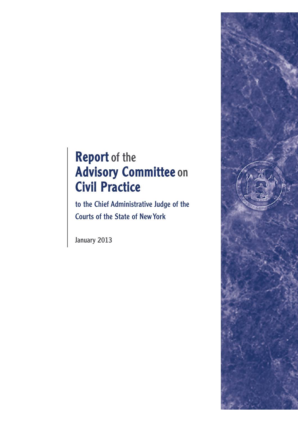# Report of the Advisory Committee on Civil Practice

to the Chief Administrative Judge of the Courts of the State of New York

January 2013

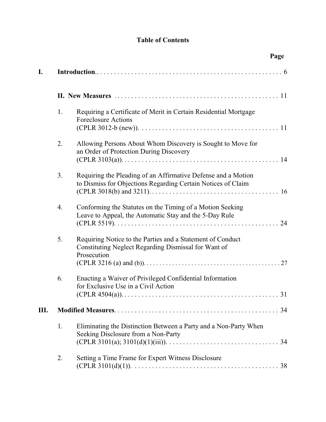## **Table of Contents**

|    |    | Page                                                                                                                              |
|----|----|-----------------------------------------------------------------------------------------------------------------------------------|
| I. |    |                                                                                                                                   |
|    |    |                                                                                                                                   |
|    | 1. | Requiring a Certificate of Merit in Certain Residential Mortgage<br><b>Foreclosure Actions</b>                                    |
|    | 2. | Allowing Persons About Whom Discovery is Sought to Move for<br>an Order of Protection During Discovery                            |
|    | 3. | Requiring the Pleading of an Affirmative Defense and a Motion<br>to Dismiss for Objections Regarding Certain Notices of Claim     |
|    | 4. | Conforming the Statutes on the Timing of a Motion Seeking<br>Leave to Appeal, the Automatic Stay and the 5-Day Rule               |
|    | 5. | Requiring Notice to the Parties and a Statement of Conduct<br>Constituting Neglect Regarding Dismissal for Want of<br>Prosecution |
|    | 6. | Enacting a Waiver of Privileged Confidential Information<br>for Exclusive Use in a Civil Action                                   |
| Ш. |    |                                                                                                                                   |
|    | 1. | Eliminating the Distinction Between a Party and a Non-Party When<br>Seeking Disclosure from a Non-Party                           |
|    | 2. | Setting a Time Frame for Expert Witness Disclosure                                                                                |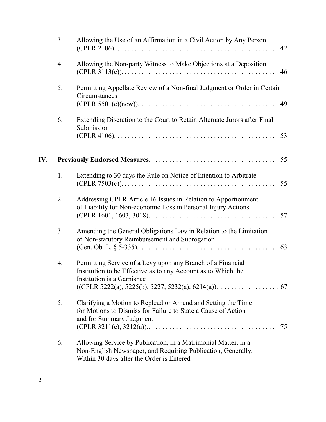|     | 3. | Allowing the Use of an Affirmation in a Civil Action by Any Person                                                                                                          |
|-----|----|-----------------------------------------------------------------------------------------------------------------------------------------------------------------------------|
|     | 4. | Allowing the Non-party Witness to Make Objections at a Deposition                                                                                                           |
|     | 5. | Permitting Appellate Review of a Non-final Judgment or Order in Certain<br>Circumstances                                                                                    |
|     | 6. | Extending Discretion to the Court to Retain Alternate Jurors after Final<br>Submission                                                                                      |
| IV. |    |                                                                                                                                                                             |
|     | 1. | Extending to 30 days the Rule on Notice of Intention to Arbitrate                                                                                                           |
|     | 2. | Addressing CPLR Article 16 Issues in Relation to Apportionment<br>of Liability for Non-economic Loss in Personal Injury Actions                                             |
|     | 3. | Amending the General Obligations Law in Relation to the Limitation<br>of Non-statutory Reimbursement and Subrogation                                                        |
|     | 4. | Permitting Service of a Levy upon any Branch of a Financial<br>Institution to be Effective as to any Account as to Which the<br>Institution is a Garnishee                  |
|     | 5. | Clarifying a Motion to Replead or Amend and Setting the Time<br>for Motions to Dismiss for Failure to State a Cause of Action<br>and for Summary Judgment                   |
|     | 6. | Allowing Service by Publication, in a Matrimonial Matter, in a<br>Non-English Newspaper, and Requiring Publication, Generally,<br>Within 30 days after the Order is Entered |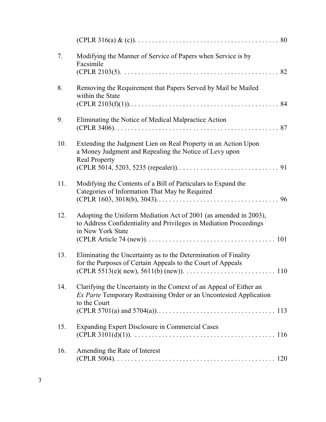| 7.  | Modifying the Manner of Service of Papers when Service is by<br>Facsimile                                                                                   |
|-----|-------------------------------------------------------------------------------------------------------------------------------------------------------------|
| 8.  | Removing the Requirement that Papers Served by Mail be Mailed<br>within the State                                                                           |
| 9.  | Eliminating the Notice of Medical Malpractice Action                                                                                                        |
| 10. | Extending the Judgment Lien on Real Property in an Action Upon<br>a Money Judgment and Repealing the Notice of Levy upon<br><b>Real Property</b>            |
| 11. | Modifying the Contents of a Bill of Particulars to Expand the<br>Categories of Information That May be Required                                             |
| 12. | Adopting the Uniform Mediation Act of 2001 (as amended in 2003),<br>to Address Confidentiality and Privileges in Mediation Proceedings<br>in New York State |
| 13. | Eliminating the Uncertainty as to the Determination of Finality<br>for the Purposes of Certain Appeals to the Court of Appeals                              |
| 14. | Clarifying the Uncertainty in the Context of an Appeal of Either an<br>Ex Parte Temporary Restraining Order or an Uncontested Application<br>to the Court   |
| 15. | <b>Expanding Expert Disclosure in Commercial Cases</b>                                                                                                      |
| 16. | Amending the Rate of Interest                                                                                                                               |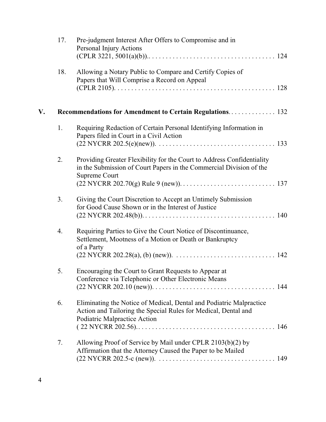|    | 17. | Pre-judgment Interest After Offers to Compromise and in<br>Personal Injury Actions                                                                                    |
|----|-----|-----------------------------------------------------------------------------------------------------------------------------------------------------------------------|
|    | 18. | Allowing a Notary Public to Compare and Certify Copies of<br>Papers that Will Comprise a Record on Appeal                                                             |
| V. |     | Recommendations for Amendment to Certain Regulations 132                                                                                                              |
|    | 1.  | Requiring Redaction of Certain Personal Identifying Information in<br>Papers filed in Court in a Civil Action                                                         |
|    | 2.  | Providing Greater Flexibility for the Court to Address Confidentiality<br>in the Submission of Court Papers in the Commercial Division of the<br>Supreme Court        |
|    | 3.  | Giving the Court Discretion to Accept an Untimely Submission<br>for Good Cause Shown or in the Interest of Justice                                                    |
|    | 4.  | Requiring Parties to Give the Court Notice of Discontinuance,<br>Settlement, Mootness of a Motion or Death or Bankruptcy<br>of a Party                                |
|    | 5.  | Encouraging the Court to Grant Requests to Appear at<br>Conference via Telephonic or Other Electronic Means                                                           |
|    | 6.  | Eliminating the Notice of Medical, Dental and Podiatric Malpractice<br>Action and Tailoring the Special Rules for Medical, Dental and<br>Podiatric Malpractice Action |
|    | 7.  | Allowing Proof of Service by Mail under CPLR 2103(b)(2) by<br>Affirmation that the Attorney Caused the Paper to be Mailed                                             |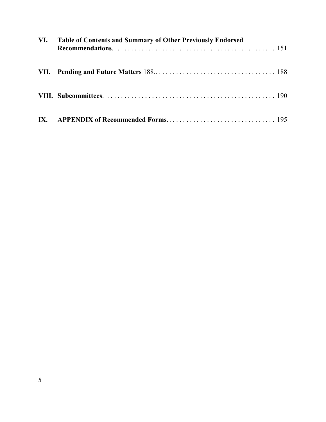| VI. | <b>Table of Contents and Summary of Other Previously Endorsed</b> |
|-----|-------------------------------------------------------------------|
|     |                                                                   |
|     |                                                                   |
|     |                                                                   |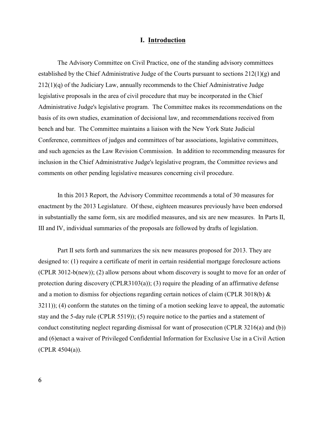## **I. Introduction**

The Advisory Committee on Civil Practice, one of the standing advisory committees established by the Chief Administrative Judge of the Courts pursuant to sections 212(1)(g) and 212(1)(q) of the Judiciary Law, annually recommends to the Chief Administrative Judge legislative proposals in the area of civil procedure that may be incorporated in the Chief Administrative Judge's legislative program. The Committee makes its recommendations on the basis of its own studies, examination of decisional law, and recommendations received from bench and bar. The Committee maintains a liaison with the New York State Judicial Conference, committees of judges and committees of bar associations, legislative committees, and such agencies as the Law Revision Commission. In addition to recommending measures for inclusion in the Chief Administrative Judge's legislative program, the Committee reviews and comments on other pending legislative measures concerning civil procedure.

In this 2013 Report, the Advisory Committee recommends a total of 30 measures for enactment by the 2013 Legislature. Of these, eighteen measures previously have been endorsed in substantially the same form, six are modified measures, and six are new measures. In Parts II, III and IV, individual summaries of the proposals are followed by drafts of legislation.

Part II sets forth and summarizes the six new measures proposed for 2013. They are designed to: (1) require a certificate of merit in certain residential mortgage foreclosure actions (CPLR 3012-b(new)); (2) allow persons about whom discovery is sought to move for an order of protection during discovery (CPLR3103(a)); (3) require the pleading of an affirmative defense and a motion to dismiss for objections regarding certain notices of claim (CPLR 3018(b) & 3211)); (4) conform the statutes on the timing of a motion seeking leave to appeal, the automatic stay and the 5-day rule (CPLR 5519)); (5) require notice to the parties and a statement of conduct constituting neglect regarding dismissal for want of prosecution (CPLR 3216(a) and (b)) and (6)enact a waiver of Privileged Confidential Information for Exclusive Use in a Civil Action (CPLR 4504(a)).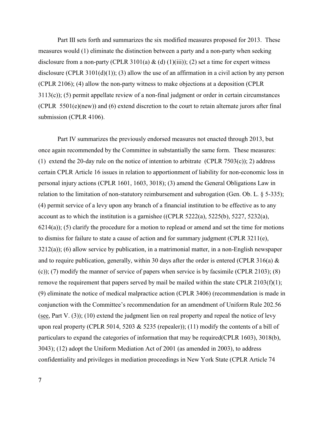Part III sets forth and summarizes the six modified measures proposed for 2013. These measures would (1) eliminate the distinction between a party and a non-party when seeking disclosure from a non-party (CPLR 3101(a)  $\&$  (d) (1)(iii)); (2) set a time for expert witness disclosure (CPLR 3101(d)(1)); (3) allow the use of an affirmation in a civil action by any person (CPLR 2106); (4) allow the non-party witness to make objections at a deposition (CPLR 3113(c)); (5) permit appellate review of a non-final judgment or order in certain circumstances (CPLR 5501(e)(new)) and (6) extend discretion to the court to retain alternate jurors after final submission (CPLR 4106).

Part IV summarizes the previously endorsed measures not enacted through 2013, but once again recommended by the Committee in substantially the same form. These measures: (1) extend the 20-day rule on the notice of intention to arbitrate (CPLR 7503(c)); 2) address certain CPLR Article 16 issues in relation to apportionment of liability for non-economic loss in personal injury actions (CPLR 1601, 1603, 3018); (3) amend the General Obligations Law in relation to the limitation of non-statutory reimbursement and subrogation (Gen. Ob. L. § 5-335); (4) permit service of a levy upon any branch of a financial institution to be effective as to any account as to which the institution is a garnishee ((CPLR  $5222(a)$ ,  $5225(b)$ ,  $5227$ ,  $5232(a)$ ,  $6214(a)$ ; (5) clarify the procedure for a motion to replead or amend and set the time for motions to dismiss for failure to state a cause of action and for summary judgment (CPLR  $3211(e)$ , 3212(a)); (6) allow service by publication, in a matrimonial matter, in a non-English newspaper and to require publication, generally, within 30 days after the order is entered (CPLR 316(a)  $\&$ (c)); (7) modify the manner of service of papers when service is by facsimile (CPLR 2103); (8) remove the requirement that papers served by mail be mailed within the state CPLR 2103(f)(1); (9) eliminate the notice of medical malpractice action (CPLR 3406) (recommendation is made in conjunction with the Committee's recommendation for an amendment of Uniform Rule 202.56 (see, Part V. (3)); (10) extend the judgment lien on real property and repeal the notice of levy upon real property (CPLR 5014, 5203  $\&$  5235 (repealer)); (11) modify the contents of a bill of particulars to expand the categories of information that may be required(CPLR 1603), 3018(b), 3043); (12) adopt the Uniform Mediation Act of 2001 (as amended in 2003), to address confidentiality and privileges in mediation proceedings in New York State (CPLR Article 74

7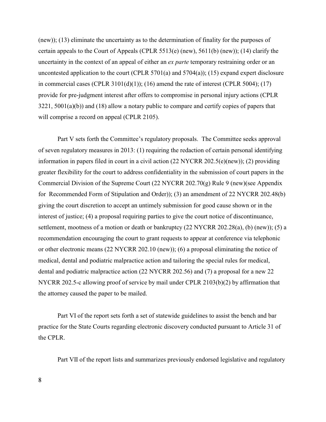(new)); (13) eliminate the uncertainty as to the determination of finality for the purposes of certain appeals to the Court of Appeals (CPLR 5513(e) (new), 5611(b) (new)); (14) clarify the uncertainty in the context of an appeal of either an *ex parte* temporary restraining order or an uncontested application to the court (CPLR 5701(a) and 5704(a)); (15) expand expert disclosure in commercial cases (CPLR  $3101(d)(1)$ ); (16) amend the rate of interest (CPLR 5004); (17) provide for pre-judgment interest after offers to compromise in personal injury actions (CPLR  $3221, 5001(a)(b)$  and  $(18)$  allow a notary public to compare and certify copies of papers that will comprise a record on appeal (CPLR 2105).

Part V sets forth the Committee's regulatory proposals. The Committee seeks approval of seven regulatory measures in 2013: (1) requiring the redaction of certain personal identifying information in papers filed in court in a civil action (22 NYCRR 202.5(e)(new)); (2) providing greater flexibility for the court to address confidentiality in the submission of court papers in the Commercial Division of the Supreme Court (22 NYCRR 202.70(g) Rule 9 (new)(see Appendix for Recommended Form of Stipulation and Order)); (3) an amendment of 22 NYCRR 202.48(b) giving the court discretion to accept an untimely submission for good cause shown or in the interest of justice; (4) a proposal requiring parties to give the court notice of discontinuance, settlement, mootness of a motion or death or bankruptcy (22 NYCRR 202.28(a), (b) (new)); (5) a recommendation encouraging the court to grant requests to appear at conference via telephonic or other electronic means (22 NYCRR 202.10 (new)); (6) a proposal eliminating the notice of medical, dental and podiatric malpractice action and tailoring the special rules for medical, dental and podiatric malpractice action (22 NYCRR 202.56) and (7) a proposal for a new 22 NYCRR 202.5-c allowing proof of service by mail under CPLR 2103(b)(2) by affirmation that the attorney caused the paper to be mailed.

Part VI of the report sets forth a set of statewide guidelines to assist the bench and bar practice for the State Courts regarding electronic discovery conducted pursuant to Article 31 of the CPLR.

Part VII of the report lists and summarizes previously endorsed legislative and regulatory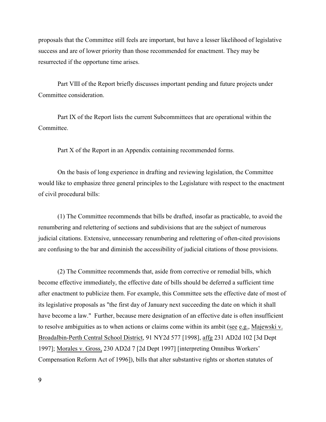proposals that the Committee still feels are important, but have a lesser likelihood of legislative success and are of lower priority than those recommended for enactment. They may be resurrected if the opportune time arises.

Part VIII of the Report briefly discusses important pending and future projects under Committee consideration.

Part IX of the Report lists the current Subcommittees that are operational within the Committee.

Part X of the Report in an Appendix containing recommended forms.

On the basis of long experience in drafting and reviewing legislation, the Committee would like to emphasize three general principles to the Legislature with respect to the enactment of civil procedural bills:

(1) The Committee recommends that bills be drafted, insofar as practicable, to avoid the renumbering and relettering of sections and subdivisions that are the subject of numerous judicial citations. Extensive, unnecessary renumbering and relettering of often-cited provisions are confusing to the bar and diminish the accessibility of judicial citations of those provisions.

(2) The Committee recommends that, aside from corrective or remedial bills, which become effective immediately, the effective date of bills should be deferred a sufficient time after enactment to publicize them. For example, this Committee sets the effective date of most of its legislative proposals as "the first day of January next succeeding the date on which it shall have become a law." Further, because mere designation of an effective date is often insufficient to resolve ambiguities as to when actions or claims come within its ambit (see e.g., Majewski v. Broadalbin-Perth Central School District, 91 NY2d 577 [1998], affg 231 AD2d 102 [3d Dept 1997]; Morales v. Gross, 230 AD2d 7 [2d Dept 1997] [interpreting Omnibus Workers' Compensation Reform Act of 1996]), bills that alter substantive rights or shorten statutes of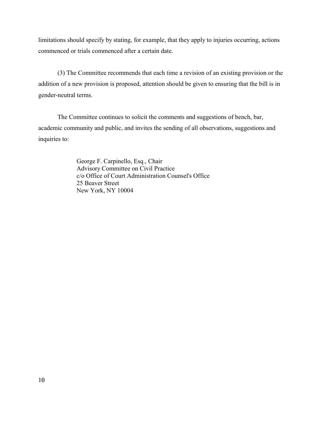limitations should specify by stating, for example, that they apply to injuries occurring, actions commenced or trials commenced after a certain date.

(3) The Committee recommends that each time a revision of an existing provision or the addition of a new provision is proposed, attention should be given to ensuring that the bill is in gender-neutral terms.

The Committee continues to solicit the comments and suggestions of bench, bar, academic community and public, and invites the sending of all observations, suggestions and inquiries to:

> George F. Carpinello, Esq., Chair Advisory Committee on Civil Practice c/o Office of Court Administration Counsel's Office 25 Beaver Street New York, NY 10004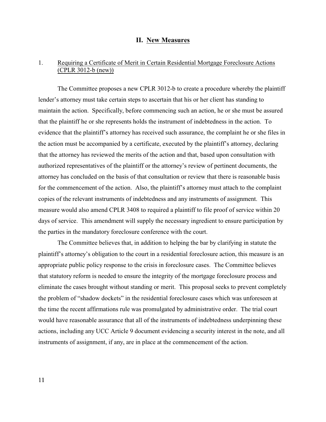#### **II. New Measures**

## 1. Requiring a Certificate of Merit in Certain Residential Mortgage Foreclosure Actions (CPLR 3012-b (new))

The Committee proposes a new CPLR 3012-b to create a procedure whereby the plaintiff lender's attorney must take certain steps to ascertain that his or her client has standing to maintain the action. Specifically, before commencing such an action, he or she must be assured that the plaintiff he or she represents holds the instrument of indebtedness in the action. To evidence that the plaintiff's attorney has received such assurance, the complaint he or she files in the action must be accompanied by a certificate, executed by the plaintiff's attorney, declaring that the attorney has reviewed the merits of the action and that, based upon consultation with authorized representatives of the plaintiff or the attorney's review of pertinent documents, the attorney has concluded on the basis of that consultation or review that there is reasonable basis for the commencement of the action. Also, the plaintiff's attorney must attach to the complaint copies of the relevant instruments of indebtedness and any instruments of assignment. This measure would also amend CPLR 3408 to required a plaintiff to file proof of service within 20 days of service. This amendment will supply the necessary ingredient to ensure participation by the parties in the mandatory foreclosure conference with the court.

The Committee believes that, in addition to helping the bar by clarifying in statute the plaintiff's attorney's obligation to the court in a residential foreclosure action, this measure is an appropriate public policy response to the crisis in foreclosure cases. The Committee believes that statutory reform is needed to ensure the integrity of the mortgage foreclosure process and eliminate the cases brought without standing or merit. This proposal seeks to prevent completely the problem of "shadow dockets" in the residential foreclosure cases which was unforeseen at the time the recent affirmations rule was promulgated by administrative order. The trial court would have reasonable assurance that all of the instruments of indebtedness underpinning these actions, including any UCC Article 9 document evidencing a security interest in the note, and all instruments of assignment, if any, are in place at the commencement of the action.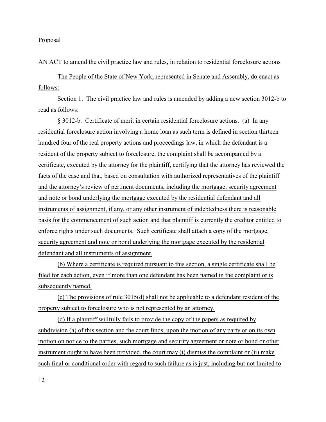## Proposal

AN ACT to amend the civil practice law and rules, in relation to residential foreclosure actions

The People of the State of New York, represented in Senate and Assembly, do enact as follows:

Section 1. The civil practice law and rules is amended by adding a new section 3012-b to read as follows:

§ 3012-b. Certificate of merit in certain residential foreclosure actions. (a) In any residential foreclosure action involving a home loan as such term is defined in section thirteen hundred four of the real property actions and proceedings law, in which the defendant is a resident of the property subject to foreclosure, the complaint shall be accompanied by a certificate, executed by the attorney for the plaintiff, certifying that the attorney has reviewed the facts of the case and that, based on consultation with authorized representatives of the plaintiff and the attorney's review of pertinent documents, including the mortgage, security agreement and note or bond underlying the mortgage executed by the residential defendant and all instruments of assignment, if any, or any other instrument of indebtedness there is reasonable basis for the commencement of such action and that plaintiff is currently the creditor entitled to enforce rights under such documents. Such certificate shall attach a copy of the mortgage, security agreement and note or bond underlying the mortgage executed by the residential defendant and all instruments of assignment.

(b) Where a certificate is required pursuant to this section, a single certificate shall be filed for each action, even if more than one defendant has been named in the complaint or is subsequently named.

(c) The provisions of rule 3015(d) shall not be applicable to a defendant resident of the property subject to foreclosure who is not represented by an attorney.

(d) If a plaintiff willfully fails to provide the copy of the papers as required by subdivision (a) of this section and the court finds, upon the motion of any party or on its own motion on notice to the parties, such mortgage and security agreement or note or bond or other instrument ought to have been provided, the court may (i) dismiss the complaint or (ii) make such final or conditional order with regard to such failure as is just, including but not limited to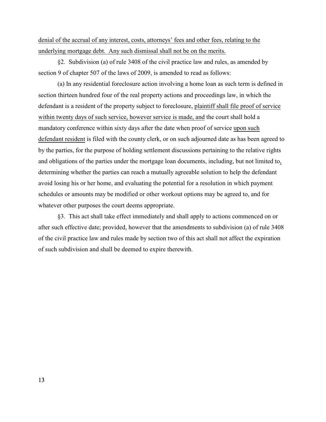denial of the accrual of any interest, costs, attorneys' fees and other fees, relating to the underlying mortgage debt. Any such dismissal shall not be on the merits.

§2. Subdivision (a) of rule 3408 of the civil practice law and rules, as amended by section 9 of chapter 507 of the laws of 2009, is amended to read as follows:

(a) In any residential foreclosure action involving a home loan as such term is defined in section thirteen hundred four of the real property actions and proceedings law, in which the defendant is a resident of the property subject to foreclosure, plaintiff shall file proof of service within twenty days of such service, however service is made, and the court shall hold a mandatory conference within sixty days after the date when proof of service upon such defendant resident is filed with the county clerk, or on such adjourned date as has been agreed to by the parties, for the purpose of holding settlement discussions pertaining to the relative rights and obligations of the parties under the mortgage loan documents, including, but not limited to, determining whether the parties can reach a mutually agreeable solution to help the defendant avoid losing his or her home, and evaluating the potential for a resolution in which payment schedules or amounts may be modified or other workout options may be agreed to, and for whatever other purposes the court deems appropriate.

§3. This act shall take effect immediately and shall apply to actions commenced on or after such effective date; provided, however that the amendments to subdivision (a) of rule 3408 of the civil practice law and rules made by section two of this act shall not affect the expiration of such subdivision and shall be deemed to expire therewith.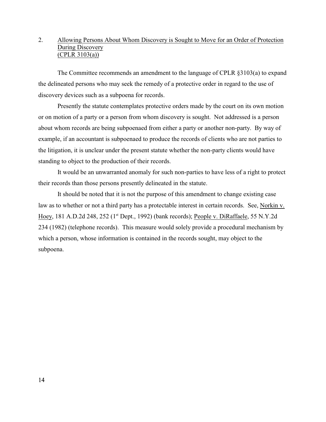## 2. Allowing Persons About Whom Discovery is Sought to Move for an Order of Protection During Discovery (CPLR 3103(a))

The Committee recommends an amendment to the language of CPLR §3103(a) to expand the delineated persons who may seek the remedy of a protective order in regard to the use of discovery devices such as a subpoena for records.

Presently the statute contemplates protective orders made by the court on its own motion or on motion of a party or a person from whom discovery is sought. Not addressed is a person about whom records are being subpoenaed from either a party or another non-party. By way of example, if an accountant is subpoenaed to produce the records of clients who are not parties to the litigation, it is unclear under the present statute whether the non-party clients would have standing to object to the production of their records.

It would be an unwarranted anomaly for such non-parties to have less of a right to protect their records than those persons presently delineated in the statute.

It should be noted that it is not the purpose of this amendment to change existing case law as to whether or not a third party has a protectable interest in certain records. See, Norkin v. Hoey, 181 A.D.2d 248, 252 ( $1<sup>st</sup>$  Dept., 1992) (bank records); People v. DiRaffaele, 55 N.Y.2d 234 (1982) (telephone records). This measure would solely provide a procedural mechanism by which a person, whose information is contained in the records sought, may object to the subpoena.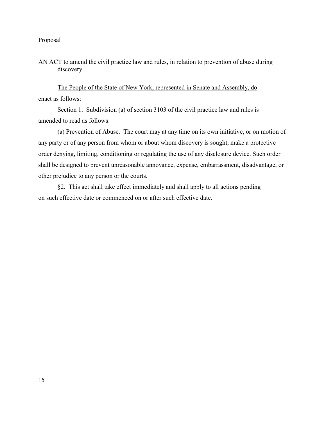## Proposal

AN ACT to amend the civil practice law and rules, in relation to prevention of abuse during discovery

The People of the State of New York, represented in Senate and Assembly, do enact as follows:

Section 1. Subdivision (a) of section 3103 of the civil practice law and rules is amended to read as follows:

(a) Prevention of Abuse. The court may at any time on its own initiative, or on motion of any party or of any person from whom or about whom discovery is sought, make a protective order denying, limiting, conditioning or regulating the use of any disclosure device. Such order shall be designed to prevent unreasonable annoyance, expense, embarrassment, disadvantage, or other prejudice to any person or the courts.

§2. This act shall take effect immediately and shall apply to all actions pending on such effective date or commenced on or after such effective date.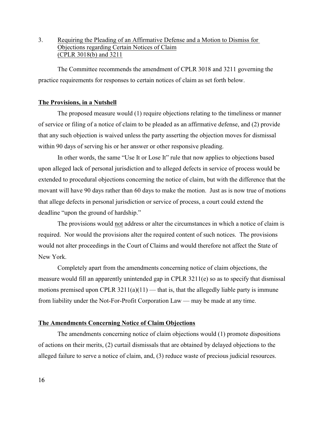3. Requiring the Pleading of an Affirmative Defense and a Motion to Dismiss for Objections regarding Certain Notices of Claim (CPLR 3018(b) and 3211

The Committee recommends the amendment of CPLR 3018 and 3211 governing the practice requirements for responses to certain notices of claim as set forth below.

#### **The Provisions, in a Nutshell**

The proposed measure would (1) require objections relating to the timeliness or manner of service or filing of a notice of claim to be pleaded as an affirmative defense, and (2) provide that any such objection is waived unless the party asserting the objection moves for dismissal within 90 days of serving his or her answer or other responsive pleading.

In other words, the same "Use It or Lose It" rule that now applies to objections based upon alleged lack of personal jurisdiction and to alleged defects in service of process would be extended to procedural objections concerning the notice of claim, but with the difference that the movant will have 90 days rather than 60 days to make the motion. Just as is now true of motions that allege defects in personal jurisdiction or service of process, a court could extend the deadline "upon the ground of hardship."

The provisions would not address or alter the circumstances in which a notice of claim is required. Nor would the provisions alter the required content of such notices. The provisions would not alter proceedings in the Court of Claims and would therefore not affect the State of New York.

Completely apart from the amendments concerning notice of claim objections, the measure would fill an apparently unintended gap in CPLR 3211(e) so as to specify that dismissal motions premised upon CPLR  $3211(a)(11)$  — that is, that the allegedly liable party is immune from liability under the Not-For-Profit Corporation Law — may be made at any time.

#### **The Amendments Concerning Notice of Claim Objections**

The amendments concerning notice of claim objections would (1) promote dispositions of actions on their merits, (2) curtail dismissals that are obtained by delayed objections to the alleged failure to serve a notice of claim, and, (3) reduce waste of precious judicial resources.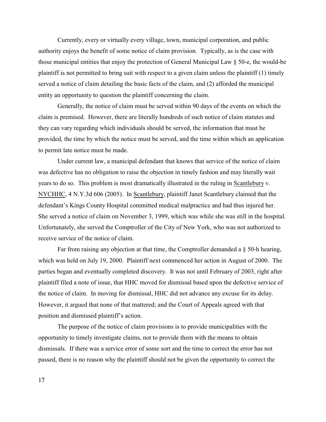Currently, every or virtually every village, town, municipal corporation, and public authority enjoys the benefit of some notice of claim provision. Typically, as is the case with those municipal entities that enjoy the protection of General Municipal Law § 50-e, the would-be plaintiff is not permitted to bring suit with respect to a given claim unless the plaintiff (1) timely served a notice of claim detailing the basic facts of the claim, and (2) afforded the municipal entity an opportunity to question the plaintiff concerning the claim.

Generally, the notice of claim must be served within 90 days of the events on which the claim is premised. However, there are literally hundreds of such notice of claim statutes and they can vary regarding which individuals should be served, the information that must be provided, the time by which the notice must be served, and the time within which an application to permit late notice must be made.

Under current law, a municipal defendant that knows that service of the notice of claim was defective has no obligation to raise the objection in timely fashion and may literally wait years to do so. This problem is most dramatically illustrated in the ruling in Scantlebury v. NYCHHC, 4 N.Y.3d 606 (2005). In Scantlebury, plaintiff Janet Scantlebury claimed that the defendant's Kings County Hospital committed medical malpractice and had thus injured her. She served a notice of claim on November 3, 1999, which was while she was still in the hospital. Unfortunately, she served the Comptroller of the City of New York, who was not authorized to receive service of the notice of claim.

Far from raising any objection at that time, the Comptroller demanded a  $\S$  50-h hearing, which was held on July 19, 2000. Plaintiff next commenced her action in August of 2000. The parties began and eventually completed discovery. It was not until February of 2003, right after plaintiff filed a note of issue, that HHC moved for dismissal based upon the defective service of the notice of claim. In moving for dismissal, HHC did not advance any excuse for its delay. However, it argued that none of that mattered; and the Court of Appeals agreed with that position and dismissed plaintiff's action.

The purpose of the notice of claim provisions is to provide municipalities with the opportunity to timely investigate claims, not to provide them with the means to obtain dismissals. If there was a service error of some sort and the time to correct the error has not passed, there is no reason why the plaintiff should not be given the opportunity to correct the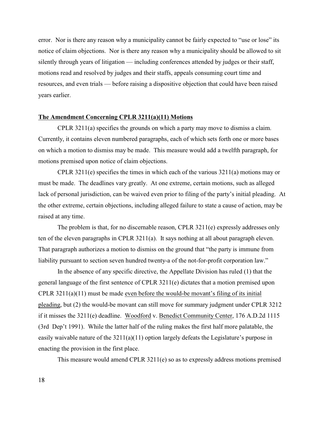error. Nor is there any reason why a municipality cannot be fairly expected to "use or lose" its notice of claim objections. Nor is there any reason why a municipality should be allowed to sit silently through years of litigation — including conferences attended by judges or their staff, motions read and resolved by judges and their staffs, appeals consuming court time and resources, and even trials — before raising a dispositive objection that could have been raised years earlier.

#### **The Amendment Concerning CPLR 3211(a)(11) Motions**

CPLR 3211(a) specifies the grounds on which a party may move to dismiss a claim. Currently, it contains eleven numbered paragraphs, each of which sets forth one or more bases on which a motion to dismiss may be made. This measure would add a twelfth paragraph, for motions premised upon notice of claim objections.

CPLR 3211(e) specifies the times in which each of the various 3211(a) motions may or must be made. The deadlines vary greatly. At one extreme, certain motions, such as alleged lack of personal jurisdiction, can be waived even prior to filing of the party's initial pleading. At the other extreme, certain objections, including alleged failure to state a cause of action, may be raised at any time.

The problem is that, for no discernable reason, CPLR 3211(e) expressly addresses only ten of the eleven paragraphs in CPLR 3211(a). It says nothing at all about paragraph eleven. That paragraph authorizes a motion to dismiss on the ground that "the party is immune from liability pursuant to section seven hundred twenty-a of the not-for-profit corporation law."

In the absence of any specific directive, the Appellate Division has ruled (1) that the general language of the first sentence of CPLR 3211(e) dictates that a motion premised upon CPLR  $3211(a)(11)$  must be made even before the would-be movant's filing of its initial pleading, but (2) the would-be movant can still move for summary judgment under CPLR 3212 if it misses the 3211(e) deadline. Woodford v. Benedict Community Center, 176 A.D.2d 1115 (3rd Dep't 1991). While the latter half of the ruling makes the first half more palatable, the easily waivable nature of the 3211(a)(11) option largely defeats the Legislature's purpose in enacting the provision in the first place.

This measure would amend CPLR 3211(e) so as to expressly address motions premised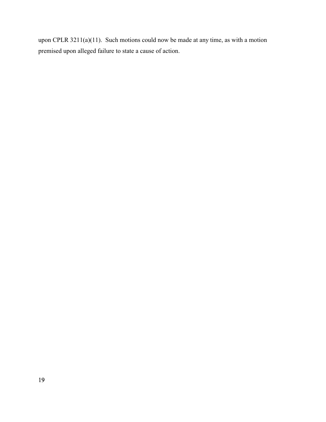upon CPLR 3211(a)(11). Such motions could now be made at any time, as with a motion premised upon alleged failure to state a cause of action.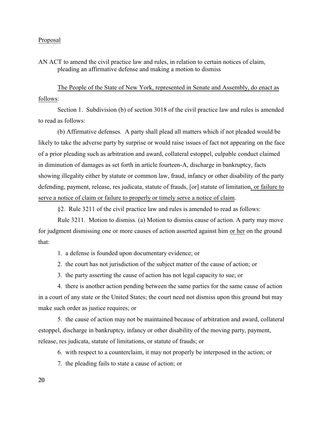## Proposal

AN ACT to amend the civil practice law and rules, in relation to certain notices of claim, pleading an affirmative defense and making a motion to dismiss

The People of the State of New York, represented in Senate and Assembly, do enact as follows:

Section 1. Subdivision (b) of section 3018 of the civil practice law and rules is amended to read as follows:

(b) Affirmative defenses. A party shall plead all matters which if not pleaded would be likely to take the adverse party by surprise or would raise issues of fact not appearing on the face of a prior pleading such as arbitration and award, collateral estoppel, culpable conduct claimed in diminution of damages as set forth in article fourteen-A, discharge in bankruptcy, facts showing illegality either by statute or common law, fraud, infancy or other disability of the party defending, payment, release, res judicata, statute of frauds, [or] statute of limitation, or failure to serve a notice of claim or failure to properly or timely serve a notice of claim.

§2. Rule 3211 of the civil practice law and rules is amended to read as follows:

 Rule 3211. Motion to dismiss. (a) Motion to dismiss cause of action. A party may move for judgment dismissing one or more causes of action asserted against him or her on the ground that:

1. a defense is founded upon documentary evidence; or

- 2. the court has not jurisdiction of the subject matter of the cause of action; or
- 3. the party asserting the cause of action has not legal capacity to sue; or

4. there is another action pending between the same parties for the same cause of action in a court of any state or the United States; the court need not dismiss upon this ground but may make such order as justice requires; or

5. the cause of action may not be maintained because of arbitration and award, collateral estoppel, discharge in bankruptcy, infancy or other disability of the moving party, payment, release, res judicata, statute of limitations, or statute of frauds; or

6. with respect to a counterclaim, it may not properly be interposed in the action; or

7. the pleading fails to state a cause of action; or

20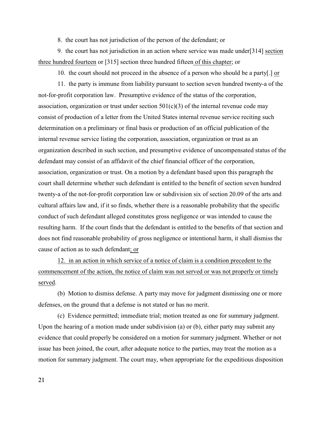8. the court has not jurisdiction of the person of the defendant; or

9. the court has not jurisdiction in an action where service was made under[314] section three hundred fourteen or [315] section three hundred fifteen of this chapter; or

10. the court should not proceed in the absence of a person who should be a party[.] or

11. the party is immune from liability pursuant to section seven hundred twenty-a of the not-for-profit corporation law. Presumptive evidence of the status of the corporation, association, organization or trust under section  $501(c)(3)$  of the internal revenue code may consist of production of a letter from the United States internal revenue service reciting such determination on a preliminary or final basis or production of an official publication of the internal revenue service listing the corporation, association, organization or trust as an organization described in such section, and presumptive evidence of uncompensated status of the defendant may consist of an affidavit of the chief financial officer of the corporation, association, organization or trust. On a motion by a defendant based upon this paragraph the court shall determine whether such defendant is entitled to the benefit of section seven hundred twenty-a of the not-for-profit corporation law or subdivision six of section 20.09 of the arts and cultural affairs law and, if it so finds, whether there is a reasonable probability that the specific conduct of such defendant alleged constitutes gross negligence or was intended to cause the resulting harm. If the court finds that the defendant is entitled to the benefits of that section and does not find reasonable probability of gross negligence or intentional harm, it shall dismiss the cause of action as to such defendant; or

12. in an action in which service of a notice of claim is a condition precedent to the commencement of the action, the notice of claim was not served or was not properly or timely served.

(b) Motion to dismiss defense. A party may move for judgment dismissing one or more defenses, on the ground that a defense is not stated or has no merit.

(c) Evidence permitted; immediate trial; motion treated as one for summary judgment. Upon the hearing of a motion made under subdivision (a) or (b), either party may submit any evidence that could properly be considered on a motion for summary judgment. Whether or not issue has been joined, the court, after adequate notice to the parties, may treat the motion as a motion for summary judgment. The court may, when appropriate for the expeditious disposition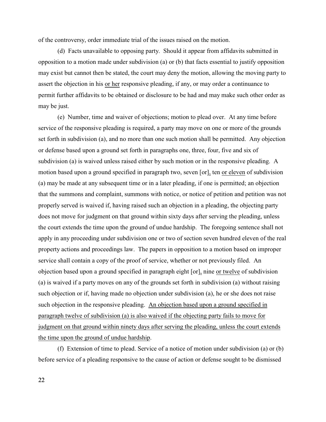of the controversy, order immediate trial of the issues raised on the motion.

(d) Facts unavailable to opposing party. Should it appear from affidavits submitted in opposition to a motion made under subdivision (a) or (b) that facts essential to justify opposition may exist but cannot then be stated, the court may deny the motion, allowing the moving party to assert the objection in his or her responsive pleading, if any, or may order a continuance to permit further affidavits to be obtained or disclosure to be had and may make such other order as may be just.

(e) Number, time and waiver of objections; motion to plead over. At any time before service of the responsive pleading is required, a party may move on one or more of the grounds set forth in subdivision (a), and no more than one such motion shall be permitted. Any objection or defense based upon a ground set forth in paragraphs one, three, four, five and six of subdivision (a) is waived unless raised either by such motion or in the responsive pleading. A motion based upon a ground specified in paragraph two, seven [or], ten or eleven of subdivision (a) may be made at any subsequent time or in a later pleading, if one is permitted; an objection that the summons and complaint, summons with notice, or notice of petition and petition was not properly served is waived if, having raised such an objection in a pleading, the objecting party does not move for judgment on that ground within sixty days after serving the pleading, unless the court extends the time upon the ground of undue hardship. The foregoing sentence shall not apply in any proceeding under subdivision one or two of section seven hundred eleven of the real property actions and proceedings law. The papers in opposition to a motion based on improper service shall contain a copy of the proof of service, whether or not previously filed. An objection based upon a ground specified in paragraph eight [or], nine or twelve of subdivision (a) is waived if a party moves on any of the grounds set forth in subdivision (a) without raising such objection or if, having made no objection under subdivision (a), he or she does not raise such objection in the responsive pleading. An objection based upon a ground specified in paragraph twelve of subdivision (a) is also waived if the objecting party fails to move for judgment on that ground within ninety days after serving the pleading, unless the court extends the time upon the ground of undue hardship.

(f) Extension of time to plead. Service of a notice of motion under subdivision (a) or (b) before service of a pleading responsive to the cause of action or defense sought to be dismissed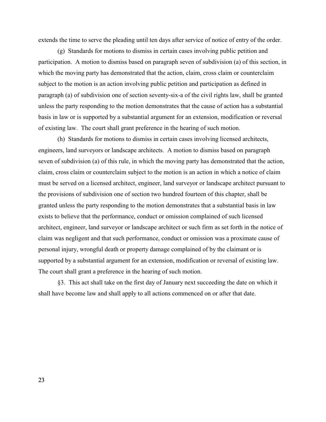extends the time to serve the pleading until ten days after service of notice of entry of the order.

(g) Standards for motions to dismiss in certain cases involving public petition and participation. A motion to dismiss based on paragraph seven of subdivision (a) of this section, in which the moving party has demonstrated that the action, claim, cross claim or counterclaim subject to the motion is an action involving public petition and participation as defined in paragraph (a) of subdivision one of section seventy-six-a of the civil rights law, shall be granted unless the party responding to the motion demonstrates that the cause of action has a substantial basis in law or is supported by a substantial argument for an extension, modification or reversal of existing law. The court shall grant preference in the hearing of such motion.

(h) Standards for motions to dismiss in certain cases involving licensed architects, engineers, land surveyors or landscape architects. A motion to dismiss based on paragraph seven of subdivision (a) of this rule, in which the moving party has demonstrated that the action, claim, cross claim or counterclaim subject to the motion is an action in which a notice of claim must be served on a licensed architect, engineer, land surveyor or landscape architect pursuant to the provisions of subdivision one of section two hundred fourteen of this chapter, shall be granted unless the party responding to the motion demonstrates that a substantial basis in law exists to believe that the performance, conduct or omission complained of such licensed architect, engineer, land surveyor or landscape architect or such firm as set forth in the notice of claim was negligent and that such performance, conduct or omission was a proximate cause of personal injury, wrongful death or property damage complained of by the claimant or is supported by a substantial argument for an extension, modification or reversal of existing law. The court shall grant a preference in the hearing of such motion.

§3. This act shall take on the first day of January next succeeding the date on which it shall have become law and shall apply to all actions commenced on or after that date.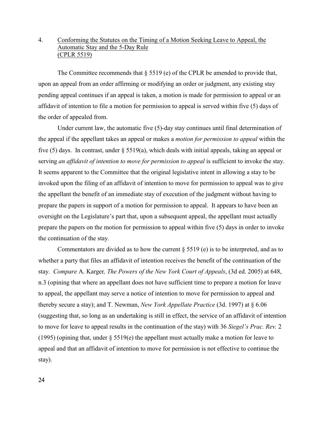## 4. Conforming the Statutes on the Timing of a Motion Seeking Leave to Appeal, the Automatic Stay and the 5-Day Rule (CPLR 5519)

The Committee recommends that  $\S$  5519 (e) of the CPLR be amended to provide that, upon an appeal from an order affirming or modifying an order or judgment, any existing stay pending appeal continues if an appeal is taken, a motion is made for permission to appeal or an affidavit of intention to file a motion for permission to appeal is served within five (5) days of the order of appealed from.

Under current law, the automatic five (5)-day stay continues until final determination of the appeal if the appellant takes an appeal or makes a *motion for permission to appeal* within the five (5) days. In contrast, under § 5519(a), which deals with initial appeals, taking an appeal or serving *an affidavit of intention to move for permission to appeal* is sufficient to invoke the stay. It seems apparent to the Committee that the original legislative intent in allowing a stay to be invoked upon the filing of an affidavit of intention to move for permission to appeal was to give the appellant the benefit of an immediate stay of execution of the judgment without having to prepare the papers in support of a motion for permission to appeal. It appears to have been an oversight on the Legislature's part that, upon a subsequent appeal, the appellant must actually prepare the papers on the motion for permission to appeal within five (5) days in order to invoke the continuation of the stay.

Commentators are divided as to how the current  $\S 5519$  (e) is to be interpreted, and as to whether a party that files an affidavit of intention receives the benefit of the continuation of the stay. *Compare* A. Karger*, The Powers of the New York Court of Appeals*, (3d ed. 2005) at 648, n.3 (opining that where an appellant does not have sufficient time to prepare a motion for leave to appeal, the appellant may serve a notice of intention to move for permission to appeal and thereby secure a stay); and T. Newman, *New York Appellate Practice* (3d. 1997) at § 6.06 (suggesting that, so long as an undertaking is still in effect, the service of an affidavit of intention to move for leave to appeal results in the continuation of the stay) with 36 *Siegel's Prac. Rev.* 2 (1995) (opining that, under  $\S 5519(e)$  the appellant must actually make a motion for leave to appeal and that an affidavit of intention to move for permission is not effective to continue the stay).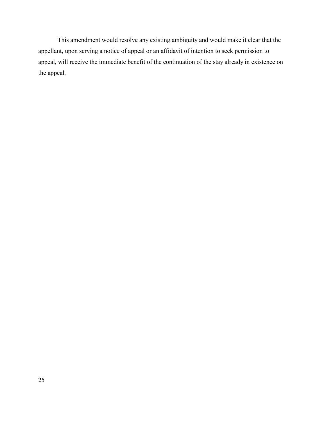This amendment would resolve any existing ambiguity and would make it clear that the appellant, upon serving a notice of appeal or an affidavit of intention to seek permission to appeal, will receive the immediate benefit of the continuation of the stay already in existence on the appeal.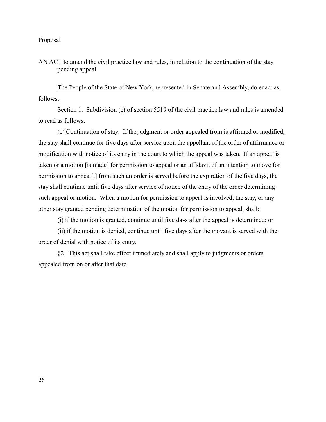## Proposal

## AN ACT to amend the civil practice law and rules, in relation to the continuation of the stay pending appeal

The People of the State of New York, represented in Senate and Assembly, do enact as follows:

Section 1. Subdivision (e) of section 5519 of the civil practice law and rules is amended to read as follows:

(e) Continuation of stay. If the judgment or order appealed from is affirmed or modified, the stay shall continue for five days after service upon the appellant of the order of affirmance or modification with notice of its entry in the court to which the appeal was taken. If an appeal is taken or a motion [is made] for permission to appeal or an affidavit of an intention to move for permission to appeal[,] from such an order is served before the expiration of the five days, the stay shall continue until five days after service of notice of the entry of the order determining such appeal or motion. When a motion for permission to appeal is involved, the stay, or any other stay granted pending determination of the motion for permission to appeal, shall:

(i) if the motion is granted, continue until five days after the appeal is determined; or

(ii) if the motion is denied, continue until five days after the movant is served with the order of denial with notice of its entry.

§2. This act shall take effect immediately and shall apply to judgments or orders appealed from on or after that date.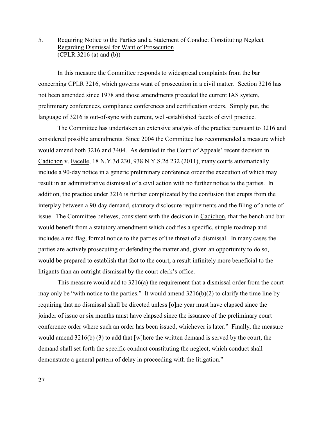## 5. Requiring Notice to the Parties and a Statement of Conduct Constituting Neglect Regarding Dismissal for Want of Prosecution (CPLR 3216 (a) and (b))

In this measure the Committee responds to widespread complaints from the bar concerning CPLR 3216, which governs want of prosecution in a civil matter. Section 3216 has not been amended since 1978 and those amendments preceded the current IAS system, preliminary conferences, compliance conferences and certification orders. Simply put, the language of 3216 is out-of-sync with current, well-established facets of civil practice.

The Committee has undertaken an extensive analysis of the practice pursuant to 3216 and considered possible amendments. Since 2004 the Committee has recommended a measure which would amend both 3216 and 3404. As detailed in the Court of Appeals' recent decision in Cadichon v. Facelle, 18 N.Y.3d 230, 938 N.Y.S.2d 232 (2011), many courts automatically include a 90-day notice in a generic preliminary conference order the execution of which may result in an administrative dismissal of a civil action with no further notice to the parties. In addition, the practice under 3216 is further complicated by the confusion that erupts from the interplay between a 90-day demand, statutory disclosure requirements and the filing of a note of issue. The Committee believes, consistent with the decision in Cadichon, that the bench and bar would benefit from a statutory amendment which codifies a specific, simple roadmap and includes a red flag, formal notice to the parties of the threat of a dismissal. In many cases the parties are actively prosecuting or defending the matter and, given an opportunity to do so, would be prepared to establish that fact to the court, a result infinitely more beneficial to the litigants than an outright dismissal by the court clerk's office.

This measure would add to 3216(a) the requirement that a dismissal order from the court may only be "with notice to the parties." It would amend 3216(b)(2) to clarify the time line by requiring that no dismissal shall be directed unless [o]ne year must have elapsed since the joinder of issue or six months must have elapsed since the issuance of the preliminary court conference order where such an order has been issued, whichever is later." Finally, the measure would amend 3216(b) (3) to add that [w]here the written demand is served by the court, the demand shall set forth the specific conduct constituting the neglect, which conduct shall demonstrate a general pattern of delay in proceeding with the litigation."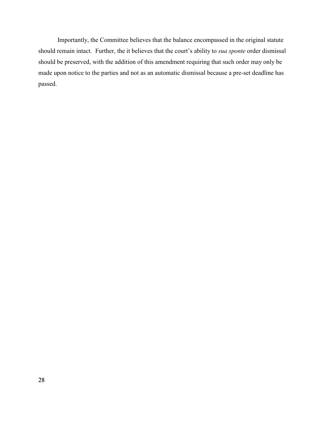Importantly, the Committee believes that the balance encompassed in the original statute should remain intact. Further, the it believes that the court's ability to *sua sponte* order dismissal should be preserved, with the addition of this amendment requiring that such order may only be made upon notice to the parties and not as an automatic dismissal because a pre-set deadline has passed.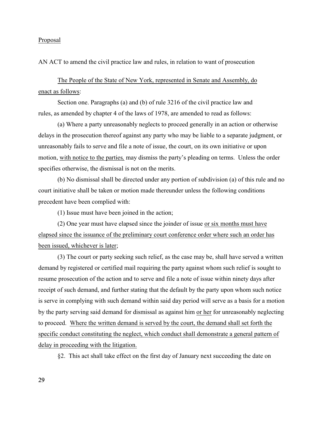## Proposal

AN ACT to amend the civil practice law and rules, in relation to want of prosecution

The People of the State of New York, represented in Senate and Assembly, do enact as follows:

Section one. Paragraphs (a) and (b) of rule 3216 of the civil practice law and rules, as amended by chapter 4 of the laws of 1978, are amended to read as follows:

(a) Where a party unreasonably neglects to proceed generally in an action or otherwise delays in the prosecution thereof against any party who may be liable to a separate judgment, or unreasonably fails to serve and file a note of issue, the court, on its own initiative or upon motion, with notice to the parties*,* may dismiss the party's pleading on terms. Unless the order specifies otherwise, the dismissal is not on the merits.

(b) No dismissal shall be directed under any portion of subdivision (a) of this rule and no court initiative shall be taken or motion made thereunder unless the following conditions precedent have been complied with:

(1) Issue must have been joined in the action;

(2) One year must have elapsed since the joinder of issue or six months must have elapsed since the issuance of the preliminary court conference order where such an order has been issued, whichever is later;

(3) The court or party seeking such relief, as the case may be, shall have served a written demand by registered or certified mail requiring the party against whom such relief is sought to resume prosecution of the action and to serve and file a note of issue within ninety days after receipt of such demand, and further stating that the default by the party upon whom such notice is serve in complying with such demand within said day period will serve as a basis for a motion by the party serving said demand for dismissal as against him or her for unreasonably neglecting to proceed. Where the written demand is served by the court, the demand shall set forth the specific conduct constituting the neglect, which conduct shall demonstrate a general pattern of delay in proceeding with the litigation.

§2. This act shall take effect on the first day of January next succeeding the date on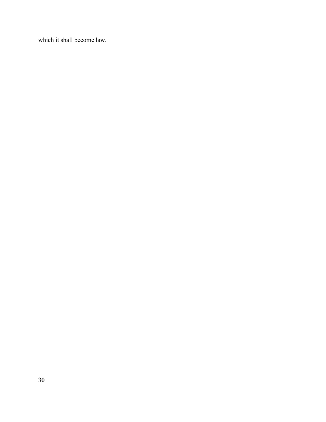which it shall become law.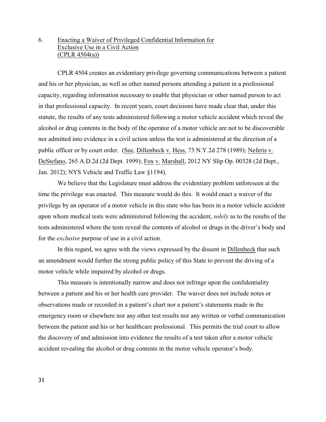## 6. Enacting a Waiver of Privileged Confidential Information for Exclusive Use in a Civil Action (CPLR 4504(a))

CPLR 4504 creates an evidentiary privilege governing communications between a patient and his or her physician, as well as other named persons attending a patient in a professional capacity, regarding information necessary to enable that physician or other named person to act in that professional capacity. In recent years, court decisions have made clear that, under this statute, the results of any tests administered following a motor vehicle accident which reveal the alcohol or drug contents in the body of the operator of a motor vehicle are not to be discoverable nor admitted into evidence in a civil action unless the test is administered at the direction of a public officer or by court order. (See, Dillenbeck v. Hess, 73 N.Y.2d 278 (1989); Neferis v. DeStefano, 265 A.D.2d (2d Dept. 1999); Fox v. Marshall, 2012 NY Slip Op. 00328 (2d Dept., Jan. 2012); NYS Vehicle and Traffic Law §1194).

We believe that the Legislature must address the evidentiary problem unforeseen at the time the privilege was enacted. This measure would do this. It would enact a waiver of the privilege by an operator of a motor vehicle in this state who has been in a motor vehicle accident upon whom medical tests were administered following the accident, *solely* as to the results of the tests administered where the tests reveal the contents of alcohol or drugs in the driver's body and for the *exclusive* purpose of use in a civil action.

In this regard, we agree with the views expressed by the dissent in Dillenbeck that such an amendment would further the strong public policy of this State to prevent the driving of a motor vehicle while impaired by alcohol or drugs.

This measure is intentionally narrow and does not infringe upon the confidentiality between a patient and his or her health care provider. The waiver does not include notes or observations made or recorded in a patient's chart nor a patient's statements made in the emergency room or elsewhere nor any other test results nor any written or verbal communication between the patient and his or her healthcare professional. This permits the trial court to allow the discovery of and admission into evidence the results of a test taken after a motor vehicle accident revealing the alcohol or drug contents in the motor vehicle operator's body.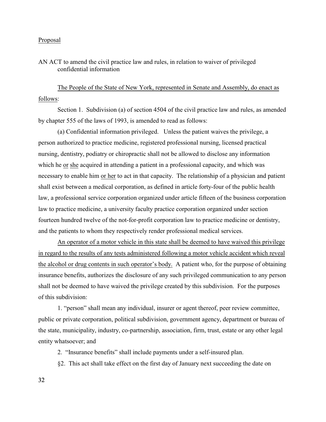### Proposal

## AN ACT to amend the civil practice law and rules, in relation to waiver of privileged confidential information

The People of the State of New York, represented in Senate and Assembly, do enact as follows:

Section 1. Subdivision (a) of section 4504 of the civil practice law and rules, as amended by chapter 555 of the laws of 1993, is amended to read as follows:

(a) Confidential information privileged. Unless the patient waives the privilege, a person authorized to practice medicine, registered professional nursing, licensed practical nursing, dentistry, podiatry or chiropractic shall not be allowed to disclose any information which he or she acquired in attending a patient in a professional capacity, and which was necessary to enable him or her to act in that capacity. The relationship of a physician and patient shall exist between a medical corporation, as defined in article forty-four of the public health law, a professional service corporation organized under article fifteen of the business corporation law to practice medicine, a university faculty practice corporation organized under section fourteen hundred twelve of the not-for-profit corporation law to practice medicine or dentistry, and the patients to whom they respectively render professional medical services.

An operator of a motor vehicle in this state shall be deemed to have waived this privilege in regard to the results of any tests administered following a motor vehicle accident which reveal the alcohol or drug contents in such operator's body. A patient who, for the purpose of obtaining insurance benefits, authorizes the disclosure of any such privileged communication to any person shall not be deemed to have waived the privilege created by this subdivision. For the purposes of this subdivision:

1. "person" shall mean any individual, insurer or agent thereof, peer review committee, public or private corporation, political subdivision, government agency, department or bureau of the state, municipality, industry, co-partnership, association, firm, trust, estate or any other legal entity whatsoever; and

2. "Insurance benefits" shall include payments under a self-insured plan.

§2. This act shall take effect on the first day of January next succeeding the date on

32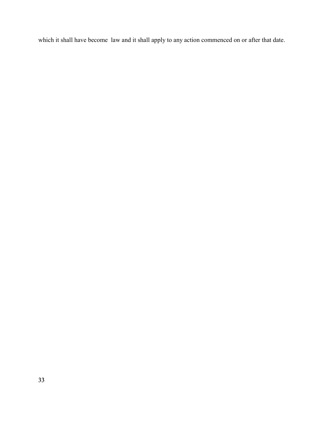which it shall have become law and it shall apply to any action commenced on or after that date.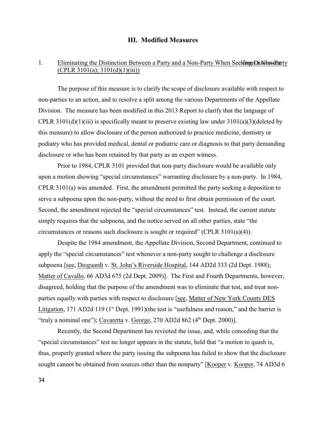## **III. Modified Measures**

## 1. Eliminating the Distinction Between a Party and a Non-Party When Seekfirogn DisNobel Party (CPLR 3101(a); 3101(d)(1)(iii))

The purpose of this measure is to clarify the scope of disclosure available with respect to non-parties to an action, and to resolve a split among the various Departments of the Appellate Division. The measure has been modified in this 2013 Report to clarify that the language of CPLR  $3101(d)(1)(iii)$  is specifically meant to preserve existing law under  $3101(a)(3)(\text{deleted by})$ this measure) to allow disclosure of the person authorized to practice medicine, dentistry or podiatry who has provided medical, dental or podiatric care or diagnosis to that party demanding disclosure or who has been retained by that party as an expert witness.

Prior to 1984, CPLR 3101 provided that non-party disclosure would be available only upon a motion showing "special circumstances" warranting disclosure by a non-party. In 1984, CPLR 3101(a) was amended. First, the amendment permitted the party seeking a deposition to serve a subpoena upon the non-party, without the need to first obtain permission of the court. Second, the amendment rejected the "special circumstances" test. Instead, the current statute simply requires that the subpoena, and the notice served on all other parties, state "the circumstances or reasons such disclosure is sought or required" (CPLR 3101(a)(4)).

Despite the 1984 amendment, the Appellate Division, Second Department, continued to apply the "special circumstances" test whenever a non-party sought to challenge a disclosure subpoena [see, Dioguardi v. St. John's Riverside Hospital, 144 AD2d 333 (2d Dept. 1988); Matter of Cavallo, 66 AD3d 675 (2d Dept. 2009)]. The First and Fourth Departments, however, disagreed, holding that the purpose of the amendment was to eliminate that test, and treat nonparties equally with parties with respect to disclosure [see, Matter of New York County DES Litigation, 171 AD2d 119 ( $1<sup>st</sup>$  Dept. 1991)(the test is "usefulness and reason," and the barrier is "truly a nominal one"); Cavaretta v. George,  $270$  AD2d  $862$  ( $4<sup>th</sup>$  Dept. 2000)].

Recently, the Second Department has revisited the issue, and, while conceding that the "special circumstances" test no longer appears in the statute, held that "a motion to quash is, thus, properly granted where the party issuing the subpoena has failed to show that the disclosure sought cannot be obtained from sources other than the nonparty" [Kooper v. Kooper, 74 AD3d 6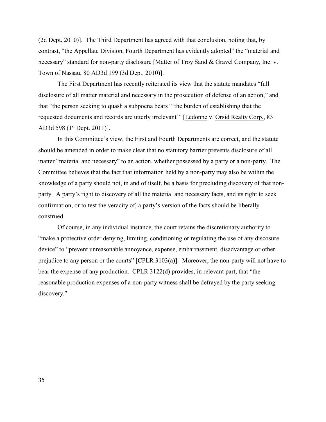(2d Dept. 2010)]. The Third Department has agreed with that conclusion, noting that, by contrast, "the Appellate Division, Fourth Department has evidently adopted" the "material and necessary" standard for non-party disclosure [Matter of Troy Sand & Gravel Company, Inc. v. Town of Nassau, 80 AD3d 199 (3d Dept. 2010)].

The First Department has recently reiterated its view that the statute mandates "full disclosure of all matter material and necessary in the prosecution of defense of an action," and that "the person seeking to quash a subpoena bears "'the burden of establishing that the requested documents and records are utterly irrelevant'" [Ledonne v. Orsid Realty Corp., 83 AD3d 598 ( $1<sup>st</sup>$  Dept. 2011)].

In this Committee's view, the First and Fourth Departments are correct, and the statute should be amended in order to make clear that no statutory barrier prevents disclosure of all matter "material and necessary" to an action, whether possessed by a party or a non-party. The Committee believes that the fact that information held by a non-party may also be within the knowledge of a party should not, in and of itself, be a basis for precluding discovery of that nonparty. A party's right to discovery of all the material and necessary facts, and its right to seek confirmation, or to test the veracity of, a party's version of the facts should be liberally construed.

Of course, in any individual instance, the court retains the discretionary authority to "make a protective order denying, limiting, conditioning or regulating the use of any discosure device" to "prevent unreasonable annoyance, expense, embarrassment, disadvantage or other prejudice to any person or the courts" [CPLR 3103(a)]. Moreover, the non-party will not have to bear the expense of any production. CPLR 3122(d) provides, in relevant part, that "the reasonable production expenses of a non-party witness shall be defrayed by the party seeking discovery."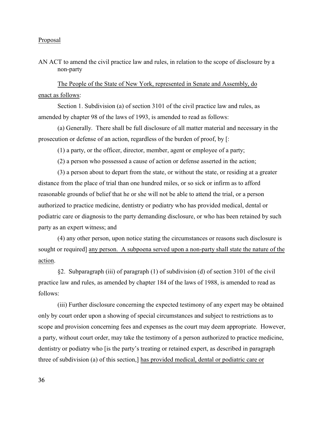AN ACT to amend the civil practice law and rules, in relation to the scope of disclosure by a non-party

The People of the State of New York, represented in Senate and Assembly, do enact as follows:

Section 1. Subdivision (a) of section 3101 of the civil practice law and rules, as amended by chapter 98 of the laws of 1993, is amended to read as follows:

(a) Generally. There shall be full disclosure of all matter material and necessary in the prosecution or defense of an action, regardless of the burden of proof, by [:

(1) a party, or the officer, director, member, agent or employee of a party;

(2) a person who possessed a cause of action or defense asserted in the action;

(3) a person about to depart from the state, or without the state, or residing at a greater distance from the place of trial than one hundred miles, or so sick or infirm as to afford reasonable grounds of belief that he or she will not be able to attend the trial, or a person authorized to practice medicine, dentistry or podiatry who has provided medical, dental or podiatric care or diagnosis to the party demanding disclosure, or who has been retained by such party as an expert witness; and

(4) any other person, upon notice stating the circumstances or reasons such disclosure is sought or required] any person. A subpoena served upon a non-party shall state the nature of the action.

§2. Subparagraph (iii) of paragraph (1) of subdivision (d) of section 3101 of the civil practice law and rules, as amended by chapter 184 of the laws of 1988, is amended to read as follows:

(iii) Further disclosure concerning the expected testimony of any expert may be obtained only by court order upon a showing of special circumstances and subject to restrictions as to scope and provision concerning fees and expenses as the court may deem appropriate. However, a party, without court order, may take the testimony of a person authorized to practice medicine, dentistry or podiatry who [is the party's treating or retained expert, as described in paragraph three of subdivision (a) of this section,] has provided medical, dental or podiatric care or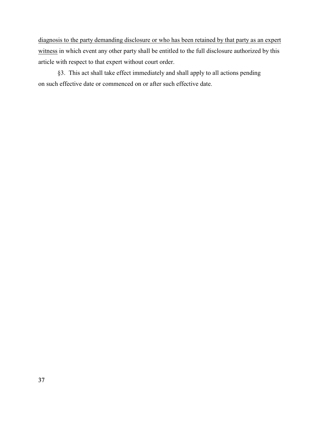diagnosis to the party demanding disclosure or who has been retained by that party as an expert witness in which event any other party shall be entitled to the full disclosure authorized by this article with respect to that expert without court order.

§3. This act shall take effect immediately and shall apply to all actions pending on such effective date or commenced on or after such effective date.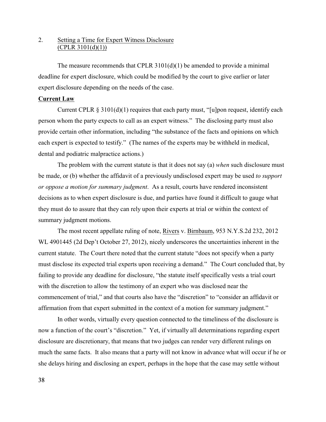## 2. Setting a Time for Expert Witness Disclosure  $(CPLR 3101(d)(1))$

The measure recommends that CPLR  $3101(d)(1)$  be amended to provide a minimal deadline for expert disclosure, which could be modified by the court to give earlier or later expert disclosure depending on the needs of the case.

### **Current Law**

Current CPLR  $\S 3101(d)(1)$  requires that each party must, "[u]pon request, identify each person whom the party expects to call as an expert witness." The disclosing party must also provide certain other information, including "the substance of the facts and opinions on which each expert is expected to testify." (The names of the experts may be withheld in medical, dental and podiatric malpractice actions.)

The problem with the current statute is that it does not say (a) *when* such disclosure must be made, or (b) whether the affidavit of a previously undisclosed expert may be used *to support or oppose a motion for summary judgment*. As a result, courts have rendered inconsistent decisions as to when expert disclosure is due, and parties have found it difficult to gauge what they must do to assure that they can rely upon their experts at trial or within the context of summary judgment motions.

The most recent appellate ruling of note, Rivers v. Birnbaum, 953 N.Y.S.2d 232, 2012 WL 4901445 (2d Dep't October 27, 2012), nicely underscores the uncertainties inherent in the current statute. The Court there noted that the current statute "does not specify when a party must disclose its expected trial experts upon receiving a demand." The Court concluded that, by failing to provide any deadline for disclosure, "the statute itself specifically vests a trial court with the discretion to allow the testimony of an expert who was disclosed near the commencement of trial," and that courts also have the "discretion" to "consider an affidavit or affirmation from that expert submitted in the context of a motion for summary judgment."

In other words, virtually every question connected to the timeliness of the disclosure is now a function of the court's "discretion." Yet, if virtually all determinations regarding expert disclosure are discretionary, that means that two judges can render very different rulings on much the same facts. It also means that a party will not know in advance what will occur if he or she delays hiring and disclosing an expert, perhaps in the hope that the case may settle without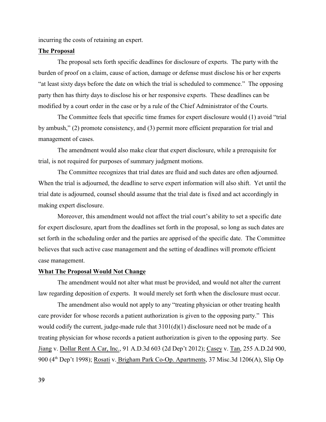incurring the costs of retaining an expert.

## **The Proposal**

The proposal sets forth specific deadlines for disclosure of experts. The party with the burden of proof on a claim, cause of action, damage or defense must disclose his or her experts "at least sixty days before the date on which the trial is scheduled to commence." The opposing party then has thirty days to disclose his or her responsive experts. These deadlines can be modified by a court order in the case or by a rule of the Chief Administrator of the Courts.

The Committee feels that specific time frames for expert disclosure would (1) avoid "trial by ambush," (2) promote consistency, and (3) permit more efficient preparation for trial and management of cases.

The amendment would also make clear that expert disclosure, while a prerequisite for trial, is not required for purposes of summary judgment motions.

The Committee recognizes that trial dates are fluid and such dates are often adjourned. When the trial is adjourned, the deadline to serve expert information will also shift. Yet until the trial date is adjourned, counsel should assume that the trial date is fixed and act accordingly in making expert disclosure.

Moreover, this amendment would not affect the trial court's ability to set a specific date for expert disclosure, apart from the deadlines set forth in the proposal, so long as such dates are set forth in the scheduling order and the parties are apprised of the specific date. The Committee believes that such active case management and the setting of deadlines will promote efficient case management.

#### **What The Proposal Would Not Change**

The amendment would not alter what must be provided, and would not alter the current law regarding deposition of experts. It would merely set forth when the disclosure must occur.

The amendment also would not apply to any "treating physician or other treating health care provider for whose records a patient authorization is given to the opposing party." This would codify the current, judge-made rule that  $3101(d)(1)$  disclosure need not be made of a treating physician for whose records a patient authorization is given to the opposing party. See Jiang v. Dollar Rent A Car, Inc., 91 A.D.3d 603 (2d Dep't 2012); Casey v. Tan, 255 A.D.2d 900, 900 (4<sup>th</sup> Dep't 1998); Rosati v. Brigham Park Co-Op. Apartments, 37 Misc.3d 1206(A), Slip Op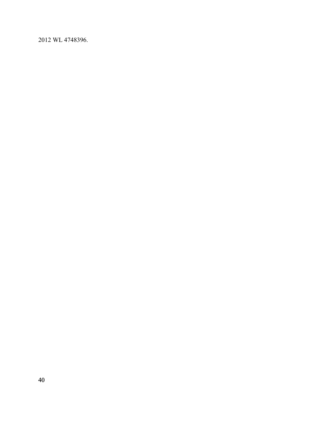2012 WL 4748396.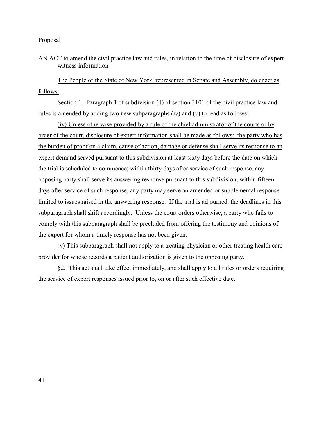AN ACT to amend the civil practice law and rules, in relation to the time of disclosure of expert witness information

The People of the State of New York, represented in Senate and Assembly, do enact as follows:

Section 1. Paragraph 1 of subdivision (d) of section 3101 of the civil practice law and rules is amended by adding two new subparagraphs (iv) and (v) to read as follows:

(iv) Unless otherwise provided by a rule of the chief administrator of the courts or by order of the court, disclosure of expert information shall be made as follows: the party who has the burden of proof on a claim, cause of action, damage or defense shall serve its response to an expert demand served pursuant to this subdivision at least sixty days before the date on which the trial is scheduled to commence; within thirty days after service of such response, any opposing party shall serve its answering response pursuant to this subdivision; within fifteen days after service of such response, any party may serve an amended or supplemental response limited to issues raised in the answering response. If the trial is adjourned, the deadlines in this subparagraph shall shift accordingly. Unless the court orders otherwise, a party who fails to comply with this subparagraph shall be precluded from offering the testimony and opinions of the expert for whom a timely response has not been given.

(v) This subparagraph shall not apply to a treating physician or other treating health care provider for whose records a patient authorization is given to the opposing party.

§2. This act shall take effect immediately, and shall apply to all rules or orders requiring the service of expert responses issued prior to, on or after such effective date.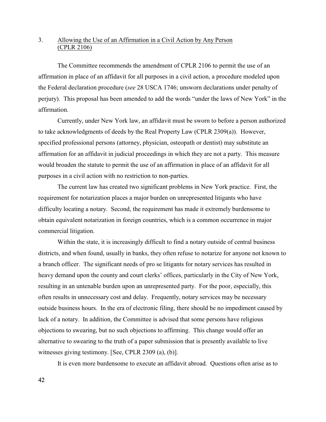# 3. Allowing the Use of an Affirmation in a Civil Action by Any Person (CPLR 2106)

The Committee recommends the amendment of CPLR 2106 to permit the use of an affirmation in place of an affidavit for all purposes in a civil action, a procedure modeled upon the Federal declaration procedure (*see* 28 USCA 1746; unsworn declarations under penalty of perjury). This proposal has been amended to add the words "under the laws of New York" in the affirmation.

Currently, under New York law, an affidavit must be sworn to before a person authorized to take acknowledgments of deeds by the Real Property Law (CPLR 2309(a)). However, specified professional persons (attorney, physician, osteopath or dentist) may substitute an affirmation for an affidavit in judicial proceedings in which they are not a party. This measure would broaden the statute to permit the use of an affirmation in place of an affidavit for all purposes in a civil action with no restriction to non-parties.

The current law has created two significant problems in New York practice. First, the requirement for notarization places a major burden on unrepresented litigants who have difficulty locating a notary. Second, the requirement has made it extremely burdensome to obtain equivalent notarization in foreign countries, which is a common occurrence in major commercial litigation.

Within the state, it is increasingly difficult to find a notary outside of central business districts, and when found, usually in banks, they often refuse to notarize for anyone not known to a branch officer. The significant needs of pro se litigants for notary services has resulted in heavy demand upon the county and court clerks' offices, particularly in the City of New York, resulting in an untenable burden upon an unrepresented party. For the poor, especially, this often results in unnecessary cost and delay. Frequently, notary services may be necessary outside business hours. In the era of electronic filing, there should be no impediment caused by lack of a notary. In addition, the Committee is advised that some persons have religious objections to swearing, but no such objections to affirming. This change would offer an alternative to swearing to the truth of a paper submission that is presently available to live witnesses giving testimony. [See, CPLR 2309 (a), (b)].

It is even more burdensome to execute an affidavit abroad. Questions often arise as to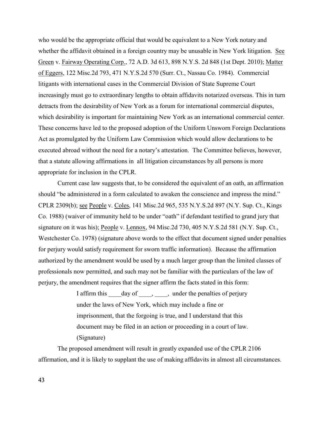who would be the appropriate official that would be equivalent to a New York notary and whether the affidavit obtained in a foreign country may be unusable in New York litigation. See Green v. Fairway Operating Corp., 72 A.D. 3d 613, 898 N.Y.S. 2d 848 (1st Dept. 2010); Matter of Eggers, 122 Misc.2d 793, 471 N.Y.S.2d 570 (Surr. Ct., Nassau Co. 1984). Commercial litigants with international cases in the Commercial Division of State Supreme Court increasingly must go to extraordinary lengths to obtain affidavits notarized overseas. This in turn detracts from the desirability of New York as a forum for international commercial disputes, which desirability is important for maintaining New York as an international commercial center. These concerns have led to the proposed adoption of the Uniform Unsworn Foreign Declarations Act as promulgated by the Uniform Law Commission which would allow declarations to be executed abroad without the need for a notary's attestation. The Committee believes, however, that a statute allowing affirmations in all litigation circumstances by all persons is more appropriate for inclusion in the CPLR.

Current case law suggests that, to be considered the equivalent of an oath, an affirmation should "be administered in a form calculated to awaken the conscience and impress the mind." CPLR 2309(b); see People v. Coles, 141 Misc.2d 965, 535 N.Y.S.2d 897 (N.Y. Sup. Ct., Kings Co. 1988) (waiver of immunity held to be under "oath" if defendant testified to grand jury that signature on it was his); People v. Lennox, 94 Misc.2d 730, 405 N.Y.S.2d 581 (N.Y. Sup. Ct., Westchester Co. 1978) (signature above words to the effect that document signed under penalties for perjury would satisfy requirement for sworn traffic information). Because the affirmation authorized by the amendment would be used by a much larger group than the limited classes of professionals now permitted, and such may not be familiar with the particulars of the law of perjury, the amendment requires that the signer affirm the facts stated in this form:

> I affirm this \_\_\_\_\_day of \_\_\_\_\_, \_\_\_\_, under the penalties of perjury under the laws of New York, which may include a fine or imprisonment, that the forgoing is true, and I understand that this document may be filed in an action or proceeding in a court of law. (Signature)

The proposed amendment will result in greatly expanded use of the CPLR 2106 affirmation, and it is likely to supplant the use of making affidavits in almost all circumstances.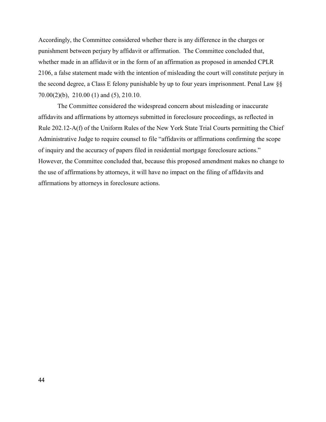Accordingly, the Committee considered whether there is any difference in the charges or punishment between perjury by affidavit or affirmation. The Committee concluded that, whether made in an affidavit or in the form of an affirmation as proposed in amended CPLR 2106, a false statement made with the intention of misleading the court will constitute perjury in the second degree, a Class E felony punishable by up to four years imprisonment. Penal Law §§ 70.00(2)(b), 210.00 (1) and (5), 210.10.

The Committee considered the widespread concern about misleading or inaccurate affidavits and affirmations by attorneys submitted in foreclosure proceedings, as reflected in Rule 202.12-A(f) of the Uniform Rules of the New York State Trial Courts permitting the Chief Administrative Judge to require counsel to file "affidavits or affirmations confirming the scope of inquiry and the accuracy of papers filed in residential mortgage foreclosure actions." However, the Committee concluded that, because this proposed amendment makes no change to the use of affirmations by attorneys, it will have no impact on the filing of affidavits and affirmations by attorneys in foreclosure actions.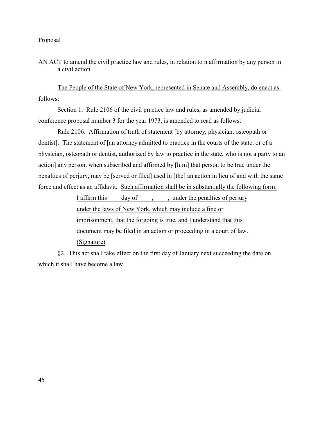AN ACT to amend the civil practice law and rules, in relation to n affirmation by any person in a civil action

The People of the State of New York, represented in Senate and Assembly, do enact as follows:

Section 1. Rule 2106 of the civil practice law and rules, as amended by judicial conference proposal number 3 for the year 1973, is amended to read as follows:

Rule 2106. Affirmation of truth of statement [by attorney, physician, osteopath or dentist]. The statement of [an attorney admitted to practice in the courts of the state, or of a physician, osteopath or dentist, authorized by law to practice in the state, who is not a party to an action] any person, when subscribed and affirmed by [him] that person to be true under the penalties of perjury, may be [served or filed] used in [the] an action in lieu of and with the same force and effect as an affidavit. Such affirmation shall be in substantially the following form:

> I affirm this day of , under the penalties of perjury under the laws of New York, which may include a fine or imprisonment, that the forgoing is true, and I understand that this document may be filed in an action or proceeding in a court of law. (Signature)

§2. This act shall take effect on the first day of January next succeeding the date on which it shall have become a law.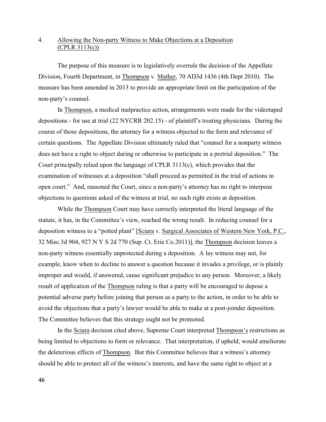# 4. Allowing the Non-party Witness to Make Objections at a Deposition (CPLR 3113(c))

The purpose of this measure is to legislatively overrule the decision of the Appellate Division, Fourth Department, in Thompson v. Mather, 70 AD3d 1436 (4th Dept 2010). The measure has been amended in 2013 to provide an appropriate limit on the participation of the non-party's counsel.

In Thompson, a medical malpractice action, arrangements were made for the videotaped depositions - for use at trial (22 NYCRR 202.15) - of plaintiff's treating physicians. During the course of those depositions, the attorney for a witness objected to the form and relevance of certain questions. The Appellate Division ultimately ruled that "counsel for a nonparty witness does not have a right to object during or otherwise to participate in a pretrial deposition." The Court principally relied upon the language of CPLR 3113(c), which provides that the examination of witnesses at a deposition "shall proceed as permitted in the trial of actions in open court." And, reasoned the Court, since a non-party's attorney has no right to interpose objections to questions asked of the witness at trial, no such right exists at deposition.

While the Thompson Court may have correctly interpreted the literal language of the statute, it has, in the Committee's view, reached the wrong result. In reducing counsel for a deposition witness to a "potted plant" [Sciara v. Surgical Associates of Western New York, P.C., 32 Misc.3d 904, 927 N Y S 2d 770 (Sup. Ct. Erie Co.2011)], the Thompson decision leaves a non-party witness essentially unprotected during a deposition. A lay witness may not, for example, know when to decline to answer a question because it invades a privilege, or is plainly improper and would, if answered, cause significant prejudice to any person. Moreover, a likely result of application of the Thompson ruling is that a party will be encouraged to depose a potential adverse party before joining that person as a party to the action, in order to be able to avoid the objections that a party's lawyer would be able to make at a post-joinder deposition. The Committee believes that this strategy ought not be promoted.

In the Sciara decision cited above, Supreme Court interpreted Thompson's restrictions as being limited to objections to form or relevance. That interpretation, if upheld, would ameliorate the deleterious effects of Thompson. But this Committee believes that a witness's attorney should be able to protect all of the witness's interests, and have the same right to object at a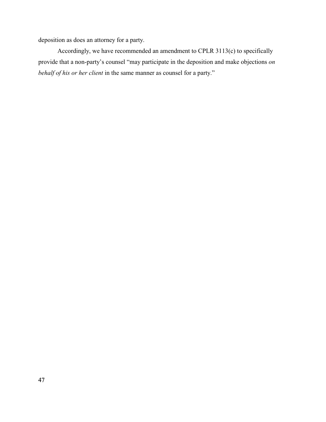deposition as does an attorney for a party.

Accordingly, we have recommended an amendment to CPLR 3113(c) to specifically provide that a non-party's counsel "may participate in the deposition and make objections *on behalf of his or her client* in the same manner as counsel for a party."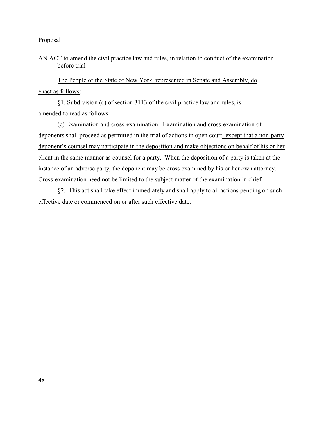AN ACT to amend the civil practice law and rules, in relation to conduct of the examination before trial

The People of the State of New York, represented in Senate and Assembly, do enact as follows:

§1. Subdivision (c) of section 3113 of the civil practice law and rules, is amended to read as follows:

(c) Examination and cross-examination. Examination and cross-examination of deponents shall proceed as permitted in the trial of actions in open court, except that a non-party deponent's counsel may participate in the deposition and make objections on behalf of his or her client in the same manner as counsel for a party. When the deposition of a party is taken at the instance of an adverse party, the deponent may be cross examined by his or her own attorney. Cross-examination need not be limited to the subject matter of the examination in chief.

§2. This act shall take effect immediately and shall apply to all actions pending on such effective date or commenced on or after such effective date.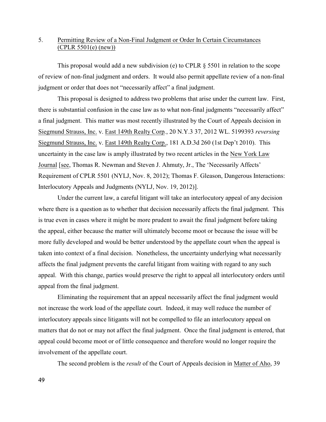## 5. Permitting Review of a Non-Final Judgment or Order In Certain Circumstances (CPLR 5501(e) (new))

This proposal would add a new subdivision (e) to CPLR § 5501 in relation to the scope of review of non-final judgment and orders. It would also permit appellate review of a non-final judgment or order that does not "necessarily affect" a final judgment.

This proposal is designed to address two problems that arise under the current law. First, there is substantial confusion in the case law as to what non-final judgments "necessarily affect" a final judgment. This matter was most recently illustrated by the Court of Appeals decision in Siegmund Strauss, Inc. v. East 149th Realty Corp*.*, 20 N.Y.3 37, 2012 WL. 5199393 *reversing* Siegmund Strauss, Inc. v. East 149th Realty Corp., 181 A.D.3d 260 (1st Dep't 2010). This uncertainty in the case law is amply illustrated by two recent articles in the New York Law Journal [see, Thomas R. Newman and Steven J. Ahmuty, Jr., The 'Necessarily Affects' Requirement of CPLR 5501 (NYLJ, Nov. 8, 2012); Thomas F. Gleason, Dangerous Interactions: Interlocutory Appeals and Judgments (NYLJ, Nov. 19, 2012)].

Under the current law, a careful litigant will take an interlocutory appeal of any decision where there is a question as to whether that decision necessarily affects the final judgment. This is true even in cases where it might be more prudent to await the final judgment before taking the appeal, either because the matter will ultimately become moot or because the issue will be more fully developed and would be better understood by the appellate court when the appeal is taken into context of a final decision. Nonetheless, the uncertainty underlying what necessarily affects the final judgment prevents the careful litigant from waiting with regard to any such appeal. With this change, parties would preserve the right to appeal all interlocutory orders until appeal from the final judgment.

Eliminating the requirement that an appeal necessarily affect the final judgment would not increase the work load of the appellate court. Indeed, it may well reduce the number of interlocutory appeals since litigants will not be compelled to file an interlocutory appeal on matters that do not or may not affect the final judgment. Once the final judgment is entered, that appeal could become moot or of little consequence and therefore would no longer require the involvement of the appellate court.

The second problem is the *result* of the Court of Appeals decision in Matter of Aho, 39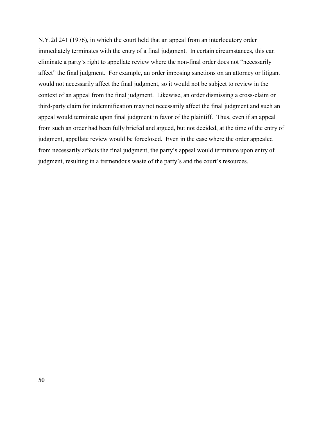N.Y.2d 241 (1976), in which the court held that an appeal from an interlocutory order immediately terminates with the entry of a final judgment. In certain circumstances, this can eliminate a party's right to appellate review where the non-final order does not "necessarily affect" the final judgment. For example, an order imposing sanctions on an attorney or litigant would not necessarily affect the final judgment, so it would not be subject to review in the context of an appeal from the final judgment. Likewise, an order dismissing a cross-claim or third-party claim for indemnification may not necessarily affect the final judgment and such an appeal would terminate upon final judgment in favor of the plaintiff. Thus, even if an appeal from such an order had been fully briefed and argued, but not decided, at the time of the entry of judgment, appellate review would be foreclosed. Even in the case where the order appealed from necessarily affects the final judgment, the party's appeal would terminate upon entry of judgment, resulting in a tremendous waste of the party's and the court's resources.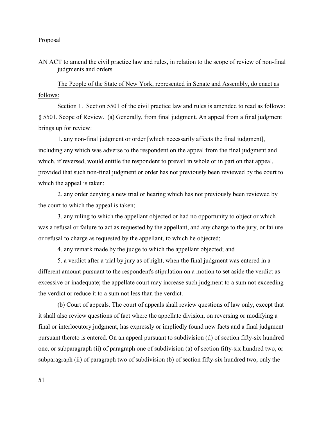AN ACT to amend the civil practice law and rules, in relation to the scope of review of non-final judgments and orders

The People of the State of New York, represented in Senate and Assembly, do enact as follows:

Section 1. Section 5501 of the civil practice law and rules is amended to read as follows: § 5501. Scope of Review. (a) Generally, from final judgment. An appeal from a final judgment brings up for review:

1. any non-final judgment or order [which necessarily affects the final judgment], including any which was adverse to the respondent on the appeal from the final judgment and which, if reversed, would entitle the respondent to prevail in whole or in part on that appeal, provided that such non-final judgment or order has not previously been reviewed by the court to which the appeal is taken;

2. any order denying a new trial or hearing which has not previously been reviewed by the court to which the appeal is taken;

3. any ruling to which the appellant objected or had no opportunity to object or which was a refusal or failure to act as requested by the appellant, and any charge to the jury, or failure or refusal to charge as requested by the appellant, to which he objected;

4. any remark made by the judge to which the appellant objected; and

5. a verdict after a trial by jury as of right, when the final judgment was entered in a different amount pursuant to the respondent's stipulation on a motion to set aside the verdict as excessive or inadequate; the appellate court may increase such judgment to a sum not exceeding the verdict or reduce it to a sum not less than the verdict.

(b) Court of appeals. The court of appeals shall review questions of law only, except that it shall also review questions of fact where the appellate division, on reversing or modifying a final or interlocutory judgment, has expressly or impliedly found new facts and a final judgment pursuant thereto is entered. On an appeal pursuant to subdivision (d) of section fifty-six hundred one, or subparagraph (ii) of paragraph one of subdivision (a) of section fifty-six hundred two, or subparagraph (ii) of paragraph two of subdivision (b) of section fifty-six hundred two, only the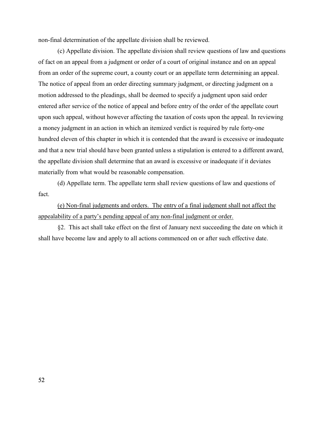non-final determination of the appellate division shall be reviewed.

(c) Appellate division. The appellate division shall review questions of law and questions of fact on an appeal from a judgment or order of a court of original instance and on an appeal from an order of the supreme court, a county court or an appellate term determining an appeal. The notice of appeal from an order directing summary judgment, or directing judgment on a motion addressed to the pleadings, shall be deemed to specify a judgment upon said order entered after service of the notice of appeal and before entry of the order of the appellate court upon such appeal, without however affecting the taxation of costs upon the appeal. In reviewing a money judgment in an action in which an itemized verdict is required by rule forty-one hundred eleven of this chapter in which it is contended that the award is excessive or inadequate and that a new trial should have been granted unless a stipulation is entered to a different award, the appellate division shall determine that an award is excessive or inadequate if it deviates materially from what would be reasonable compensation.

(d) Appellate term. The appellate term shall review questions of law and questions of fact.

(e) Non-final judgments and orders. The entry of a final judgment shall not affect the appealability of a party's pending appeal of any non-final judgment or order.

§2. This act shall take effect on the first of January next succeeding the date on which it shall have become law and apply to all actions commenced on or after such effective date.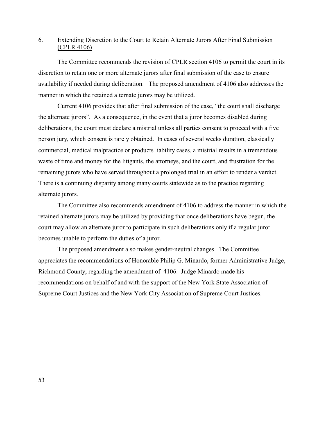## 6. Extending Discretion to the Court to Retain Alternate Jurors After Final Submission (CPLR 4106)

The Committee recommends the revision of CPLR section 4106 to permit the court in its discretion to retain one or more alternate jurors after final submission of the case to ensure availability if needed during deliberation. The proposed amendment of 4106 also addresses the manner in which the retained alternate jurors may be utilized.

Current 4106 provides that after final submission of the case, "the court shall discharge the alternate jurors". As a consequence, in the event that a juror becomes disabled during deliberations, the court must declare a mistrial unless all parties consent to proceed with a five person jury, which consent is rarely obtained. In cases of several weeks duration, classically commercial, medical malpractice or products liability cases, a mistrial results in a tremendous waste of time and money for the litigants, the attorneys, and the court, and frustration for the remaining jurors who have served throughout a prolonged trial in an effort to render a verdict. There is a continuing disparity among many courts statewide as to the practice regarding alternate jurors.

The Committee also recommends amendment of 4106 to address the manner in which the retained alternate jurors may be utilized by providing that once deliberations have begun, the court may allow an alternate juror to participate in such deliberations only if a regular juror becomes unable to perform the duties of a juror.

The proposed amendment also makes gender-neutral changes. The Committee appreciates the recommendations of Honorable Philip G. Minardo, former Administrative Judge, Richmond County, regarding the amendment of 4106. Judge Minardo made his recommendations on behalf of and with the support of the New York State Association of Supreme Court Justices and the New York City Association of Supreme Court Justices.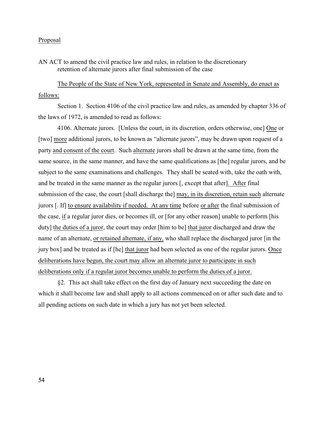AN ACT to amend the civil practice law and rules, in relation to the discretionary retention of alternate jurors after final submission of the case

The People of the State of New York, represented in Senate and Assembly, do enact as follows:

Section 1. Section 4106 of the civil practice law and rules, as amended by chapter 336 of the laws of 1972, is amended to read as follows:

4106. Alternate jurors. [Unless the court, in its discretion, orders otherwise, one] One or [two] more additional jurors, to be known as "alternate jurors", may be drawn upon request of a party and consent of the court. Such alternate jurors shall be drawn at the same time, from the same source, in the same manner, and have the same qualifications as [the] regular jurors, and be subject to the same examinations and challenges. They shall be seated with, take the oath with, and be treated in the same manner as the regular jurors [, except that after]. After final submission of the case, the court [shall discharge the] may, in its discretion, retain such alternate jurors [. If] to ensure availability if needed. At any time before or after the final submission of the case, if a regular juror dies, or becomes ill, or [for any other reason] unable to perform [his duty] the duties of a juror, the court may order [him to be] that juror discharged and draw the name of an alternate, or retained alternate, if any, who shall replace the discharged juror [in the jury box] and be treated as if [he] that juror had been selected as one of the regular jurors. Once deliberations have begun, the court may allow an alternate juror to participate in such deliberations only if a regular juror becomes unable to perform the duties of a juror.

§2. This act shall take effect on the first day of January next succeeding the date on which it shall become law and shall apply to all actions commenced on or after such date and to all pending actions on such date in which a jury has not yet been selected.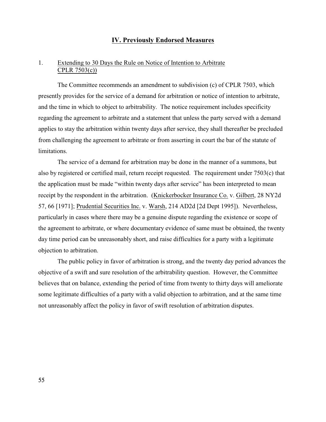## **IV. Previously Endorsed Measures**

## 1. Extending to 30 Days the Rule on Notice of Intention to Arbitrate CPLR 7503(c))

The Committee recommends an amendment to subdivision (c) of CPLR 7503, which presently provides for the service of a demand for arbitration or notice of intention to arbitrate, and the time in which to object to arbitrability. The notice requirement includes specificity regarding the agreement to arbitrate and a statement that unless the party served with a demand applies to stay the arbitration within twenty days after service, they shall thereafter be precluded from challenging the agreement to arbitrate or from asserting in court the bar of the statute of limitations.

The service of a demand for arbitration may be done in the manner of a summons, but also by registered or certified mail, return receipt requested. The requirement under 7503(c) that the application must be made "within twenty days after service" has been interpreted to mean receipt by the respondent in the arbitration. (Knickerbocker Insurance Co. v. Gilbert, 28 NY2d 57, 66 [1971]; Prudential Securities Inc. v. Warsh, 214 AD2d [2d Dept 1995]). Nevertheless, particularly in cases where there may be a genuine dispute regarding the existence or scope of the agreement to arbitrate, or where documentary evidence of same must be obtained, the twenty day time period can be unreasonably short, and raise difficulties for a party with a legitimate objection to arbitration.

The public policy in favor of arbitration is strong, and the twenty day period advances the objective of a swift and sure resolution of the arbitrability question. However, the Committee believes that on balance, extending the period of time from twenty to thirty days will ameliorate some legitimate difficulties of a party with a valid objection to arbitration, and at the same time not unreasonably affect the policy in favor of swift resolution of arbitration disputes.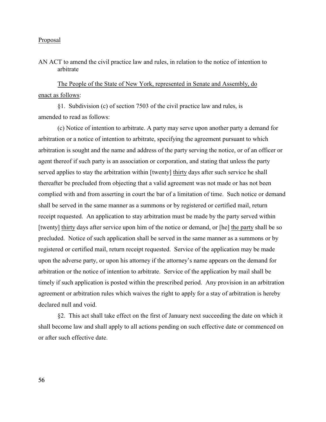AN ACT to amend the civil practice law and rules, in relation to the notice of intention to arbitrate

The People of the State of New York, represented in Senate and Assembly, do enact as follows:

§1. Subdivision (c) of section 7503 of the civil practice law and rules, is amended to read as follows:

(c) Notice of intention to arbitrate. A party may serve upon another party a demand for arbitration or a notice of intention to arbitrate, specifying the agreement pursuant to which arbitration is sought and the name and address of the party serving the notice, or of an officer or agent thereof if such party is an association or corporation, and stating that unless the party served applies to stay the arbitration within [twenty] thirty days after such service he shall thereafter be precluded from objecting that a valid agreement was not made or has not been complied with and from asserting in court the bar of a limitation of time. Such notice or demand shall be served in the same manner as a summons or by registered or certified mail, return receipt requested. An application to stay arbitration must be made by the party served within [twenty] thirty days after service upon him of the notice or demand, or [he] the party shall be so precluded. Notice of such application shall be served in the same manner as a summons or by registered or certified mail, return receipt requested. Service of the application may be made upon the adverse party, or upon his attorney if the attorney's name appears on the demand for arbitration or the notice of intention to arbitrate. Service of the application by mail shall be timely if such application is posted within the prescribed period. Any provision in an arbitration agreement or arbitration rules which waives the right to apply for a stay of arbitration is hereby declared null and void.

§2. This act shall take effect on the first of January next succeeding the date on which it shall become law and shall apply to all actions pending on such effective date or commenced on or after such effective date.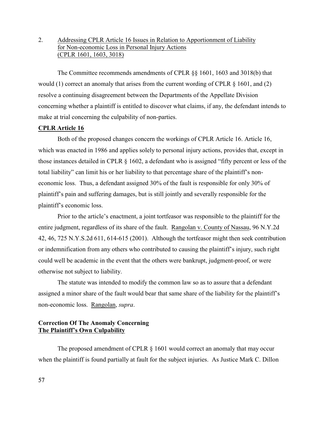## 2. Addressing CPLR Article 16 Issues in Relation to Apportionment of Liability for Non-economic Loss in Personal Injury Actions (CPLR 1601, 1603, 3018)

The Committee recommends amendments of CPLR §§ 1601, 1603 and 3018(b) that would (1) correct an anomaly that arises from the current wording of CPLR § 1601, and (2) resolve a continuing disagreement between the Departments of the Appellate Division concerning whether a plaintiff is entitled to discover what claims, if any, the defendant intends to make at trial concerning the culpability of non-parties.

#### **CPLR Article 16**

Both of the proposed changes concern the workings of CPLR Article 16. Article 16, which was enacted in 1986 and applies solely to personal injury actions, provides that, except in those instances detailed in CPLR § 1602, a defendant who is assigned "fifty percent or less of the total liability" can limit his or her liability to that percentage share of the plaintiff's noneconomic loss. Thus, a defendant assigned 30% of the fault is responsible for only 30% of plaintiff's pain and suffering damages, but is still jointly and severally responsible for the plaintiff's economic loss.

Prior to the article's enactment, a joint tortfeasor was responsible to the plaintiff for the entire judgment, regardless of its share of the fault. Rangolan v. County of Nassau, 96 N.Y.2d 42, 46, 725 N.Y.S.2d 611, 614-615 (2001). Although the tortfeasor might then seek contribution or indemnification from any others who contributed to causing the plaintiff's injury, such right could well be academic in the event that the others were bankrupt, judgment-proof, or were otherwise not subject to liability.

The statute was intended to modify the common law so as to assure that a defendant assigned a minor share of the fault would bear that same share of the liability for the plaintiff's non-economic loss. Rangolan, *supra*.

## **Correction Of The Anomaly Concerning The Plaintiff's Own Culpability**

The proposed amendment of CPLR § 1601 would correct an anomaly that may occur when the plaintiff is found partially at fault for the subject injuries. As Justice Mark C. Dillon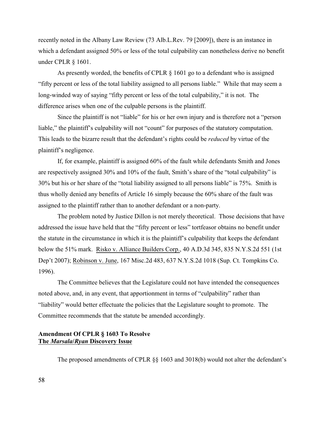recently noted in the Albany Law Review (73 Alb.L.Rev. 79 [2009]), there is an instance in which a defendant assigned 50% or less of the total culpability can nonetheless derive no benefit under CPLR § 1601.

As presently worded, the benefits of CPLR § 1601 go to a defendant who is assigned "fifty percent or less of the total liability assigned to all persons liable." While that may seem a long-winded way of saying "fifty percent or less of the total culpability," it is not. The difference arises when one of the culpable persons is the plaintiff.

Since the plaintiff is not "liable" for his or her own injury and is therefore not a "person liable," the plaintiff's culpability will not "count" for purposes of the statutory computation. This leads to the bizarre result that the defendant's rights could be *reduced* by virtue of the plaintiff's negligence.

If, for example, plaintiff is assigned 60% of the fault while defendants Smith and Jones are respectively assigned 30% and 10% of the fault, Smith's share of the "total culpability" is 30% but his or her share of the "total liability assigned to all persons liable" is 75%. Smith is thus wholly denied any benefits of Article 16 simply because the 60% share of the fault was assigned to the plaintiff rather than to another defendant or a non-party.

 The problem noted by Justice Dillon is not merely theoretical. Those decisions that have addressed the issue have held that the "fifty percent or less" tortfeasor obtains no benefit under the statute in the circumstance in which it is the plaintiff's culpability that keeps the defendant below the 51% mark. Risko v. Alliance Builders Corp., 40 A.D.3d 345, 835 N.Y.S.2d 551 (1st Dep't 2007); Robinson v. June, 167 Misc.2d 483, 637 N.Y.S.2d 1018 (Sup. Ct. Tompkins Co. 1996).

The Committee believes that the Legislature could not have intended the consequences noted above, and, in any event, that apportionment in terms of "culpability" rather than "liability" would better effectuate the policies that the Legislature sought to promote. The Committee recommends that the statute be amended accordingly.

## **Amendment Of CPLR § 1603 To Resolve The** *Marsala***/***Ryan* **Discovery Issue**

The proposed amendments of CPLR §§ 1603 and 3018(b) would not alter the defendant's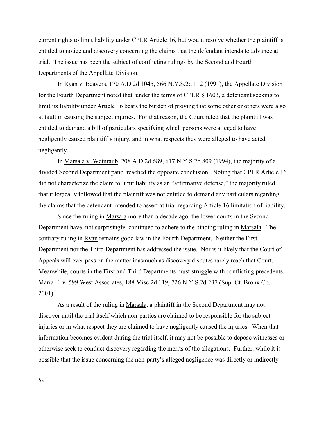current rights to limit liability under CPLR Article 16, but would resolve whether the plaintiff is entitled to notice and discovery concerning the claims that the defendant intends to advance at trial. The issue has been the subject of conflicting rulings by the Second and Fourth Departments of the Appellate Division.

In Ryan v. Beavers, 170 A.D.2d 1045, 566 N.Y.S.2d 112 (1991), the Appellate Division for the Fourth Department noted that, under the terms of CPLR § 1603, a defendant seeking to limit its liability under Article 16 bears the burden of proving that some other or others were also at fault in causing the subject injuries. For that reason, the Court ruled that the plaintiff was entitled to demand a bill of particulars specifying which persons were alleged to have negligently caused plaintiff's injury, and in what respects they were alleged to have acted negligently.

In Marsala v. Weinraub, 208 A.D.2d 689, 617 N.Y.S.2d 809 (1994), the majority of a divided Second Department panel reached the opposite conclusion. Noting that CPLR Article 16 did not characterize the claim to limit liability as an "affirmative defense," the majority ruled that it logically followed that the plaintiff was not entitled to demand any particulars regarding the claims that the defendant intended to assert at trial regarding Article 16 limitation of liability.

Since the ruling in Marsala more than a decade ago, the lower courts in the Second Department have, not surprisingly, continued to adhere to the binding ruling in Marsala. The contrary ruling in Ryan remains good law in the Fourth Department. Neither the First Department nor the Third Department has addressed the issue. Nor is it likely that the Court of Appeals will ever pass on the matter inasmuch as discovery disputes rarely reach that Court. Meanwhile, courts in the First and Third Departments must struggle with conflicting precedents. Maria E. v. 599 West Associates, 188 Misc.2d 119, 726 N.Y.S.2d 237 (Sup. Ct. Bronx Co. 2001).

As a result of the ruling in Marsala, a plaintiff in the Second Department may not discover until the trial itself which non-parties are claimed to be responsible for the subject injuries or in what respect they are claimed to have negligently caused the injuries. When that information becomes evident during the trial itself, it may not be possible to depose witnesses or otherwise seek to conduct discovery regarding the merits of the allegations. Further, while it is possible that the issue concerning the non-party's alleged negligence was directly or indirectly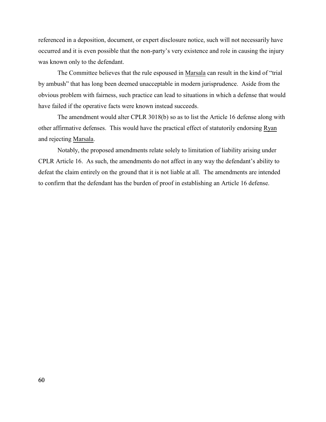referenced in a deposition, document, or expert disclosure notice, such will not necessarily have occurred and it is even possible that the non-party's very existence and role in causing the injury was known only to the defendant.

The Committee believes that the rule espoused in Marsala can result in the kind of "trial by ambush" that has long been deemed unacceptable in modern jurisprudence. Aside from the obvious problem with fairness, such practice can lead to situations in which a defense that would have failed if the operative facts were known instead succeeds.

The amendment would alter CPLR 3018(b) so as to list the Article 16 defense along with other affirmative defenses. This would have the practical effect of statutorily endorsing Ryan and rejecting Marsala.

Notably, the proposed amendments relate solely to limitation of liability arising under CPLR Article 16. As such, the amendments do not affect in any way the defendant's ability to defeat the claim entirely on the ground that it is not liable at all. The amendments are intended to confirm that the defendant has the burden of proof in establishing an Article 16 defense.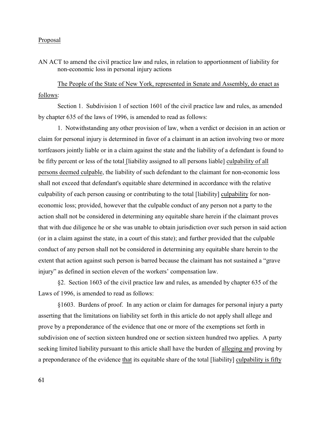AN ACT to amend the civil practice law and rules, in relation to apportionment of liability for non-economic loss in personal injury actions

The People of the State of New York, represented in Senate and Assembly, do enact as follows:

Section 1. Subdivision 1 of section 1601 of the civil practice law and rules, as amended by chapter 635 of the laws of 1996, is amended to read as follows:

1. Notwithstanding any other provision of law, when a verdict or decision in an action or claim for personal injury is determined in favor of a claimant in an action involving two or more tortfeasors jointly liable or in a claim against the state and the liability of a defendant is found to be fifty percent or less of the total [liability assigned to all persons liable] culpability of all persons deemed culpable, the liability of such defendant to the claimant for non-economic loss shall not exceed that defendant's equitable share determined in accordance with the relative culpability of each person causing or contributing to the total [liability] culpability for noneconomic loss; provided, however that the culpable conduct of any person not a party to the action shall not be considered in determining any equitable share herein if the claimant proves that with due diligence he or she was unable to obtain jurisdiction over such person in said action (or in a claim against the state, in a court of this state); and further provided that the culpable conduct of any person shall not be considered in determining any equitable share herein to the extent that action against such person is barred because the claimant has not sustained a "grave injury" as defined in section eleven of the workers' compensation law.

§2. Section 1603 of the civil practice law and rules, as amended by chapter 635 of the Laws of 1996, is amended to read as follows:

§1603. Burdens of proof. In any action or claim for damages for personal injury a party asserting that the limitations on liability set forth in this article do not apply shall allege and prove by a preponderance of the evidence that one or more of the exemptions set forth in subdivision one of section sixteen hundred one or section sixteen hundred two applies. A party seeking limited liability pursuant to this article shall have the burden of alleging and proving by a preponderance of the evidence that its equitable share of the total [liability] culpability is fifty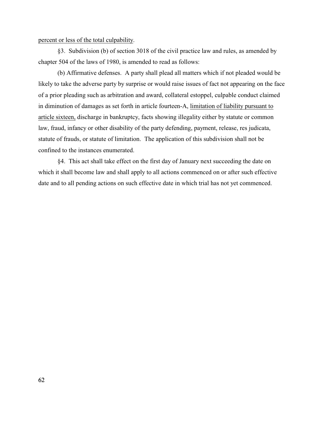#### percent or less of the total culpability.

§3. Subdivision (b) of section 3018 of the civil practice law and rules, as amended by chapter 504 of the laws of 1980, is amended to read as follows:

(b) Affirmative defenses. A party shall plead all matters which if not pleaded would be likely to take the adverse party by surprise or would raise issues of fact not appearing on the face of a prior pleading such as arbitration and award, collateral estoppel, culpable conduct claimed in diminution of damages as set forth in article fourteen-A, limitation of liability pursuant to article sixteen, discharge in bankruptcy, facts showing illegality either by statute or common law, fraud, infancy or other disability of the party defending, payment, release, res judicata, statute of frauds, or statute of limitation. The application of this subdivision shall not be confined to the instances enumerated.

§4. This act shall take effect on the first day of January next succeeding the date on which it shall become law and shall apply to all actions commenced on or after such effective date and to all pending actions on such effective date in which trial has not yet commenced.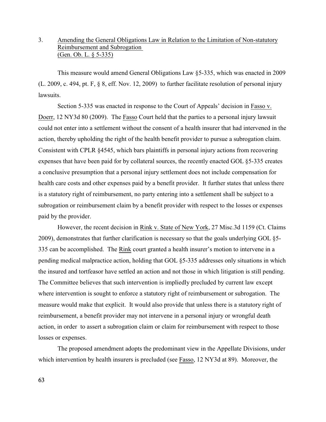3. Amending the General Obligations Law in Relation to the Limitation of Non-statutory Reimbursement and Subrogation (Gen. Ob. L. § 5-335)

This measure would amend General Obligations Law §5-335, which was enacted in 2009 (L. 2009, c. 494, pt. F, § 8, eff. Nov. 12, 2009) to further facilitate resolution of personal injury lawsuits.

Section 5-335 was enacted in response to the Court of Appeals' decision in Fasso v. Doerr, 12 NY3d 80 (2009). The Fasso Court held that the parties to a personal injury lawsuit could not enter into a settlement without the consent of a health insurer that had intervened in the action, thereby upholding the right of the health benefit provider to pursue a subrogation claim. Consistent with CPLR §4545, which bars plaintiffs in personal injury actions from recovering expenses that have been paid for by collateral sources, the recently enacted GOL §5-335 creates a conclusive presumption that a personal injury settlement does not include compensation for health care costs and other expenses paid by a benefit provider. It further states that unless there is a statutory right of reimbursement, no party entering into a settlement shall be subject to a subrogation or reimbursement claim by a benefit provider with respect to the losses or expenses paid by the provider.

However, the recent decision in Rink v. State of New York, 27 Misc.3d 1159 (Ct. Claims 2009), demonstrates that further clarification is necessary so that the goals underlying GOL §5- 335 can be accomplished. The Rink court granted a health insurer's motion to intervene in a pending medical malpractice action, holding that GOL §5-335 addresses only situations in which the insured and tortfeasor have settled an action and not those in which litigation is still pending. The Committee believes that such intervention is impliedly precluded by current law except where intervention is sought to enforce a statutory right of reimbursement or subrogation. The measure would make that explicit. It would also provide that unless there is a statutory right of reimbursement, a benefit provider may not intervene in a personal injury or wrongful death action, in order to assert a subrogation claim or claim for reimbursement with respect to those losses or expenses.

The proposed amendment adopts the predominant view in the Appellate Divisions, under which intervention by health insurers is precluded (see Fasso, 12 NY3d at 89). Moreover, the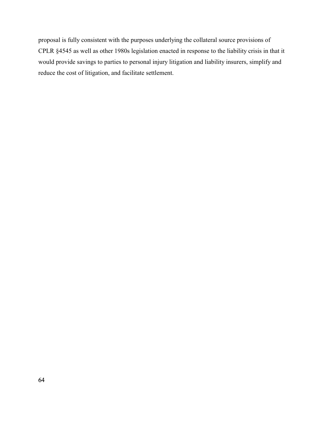proposal is fully consistent with the purposes underlying the collateral source provisions of CPLR §4545 as well as other 1980s legislation enacted in response to the liability crisis in that it would provide savings to parties to personal injury litigation and liability insurers, simplify and reduce the cost of litigation, and facilitate settlement.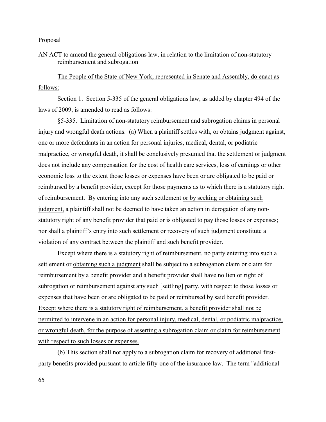AN ACT to amend the general obligations law, in relation to the limitation of non-statutory reimbursement and subrogation

The People of the State of New York, represented in Senate and Assembly, do enact as follows:

Section 1. Section 5-335 of the general obligations law, as added by chapter 494 of the laws of 2009, is amended to read as follows:

§5-335. Limitation of non-statutory reimbursement and subrogation claims in personal injury and wrongful death actions. (a) When a plaintiff settles with, or obtains judgment against, one or more defendants in an action for personal injuries, medical, dental, or podiatric malpractice, or wrongful death, it shall be conclusively presumed that the settlement or judgment does not include any compensation for the cost of health care services, loss of earnings or other economic loss to the extent those losses or expenses have been or are obligated to be paid or reimbursed by a benefit provider, except for those payments as to which there is a statutory right of reimbursement. By entering into any such settlement or by seeking or obtaining such judgment, a plaintiff shall not be deemed to have taken an action in derogation of any nonstatutory right of any benefit provider that paid or is obligated to pay those losses or expenses; nor shall a plaintiff's entry into such settlement or recovery of such judgment constitute a violation of any contract between the plaintiff and such benefit provider.

Except where there is a statutory right of reimbursement, no party entering into such a settlement or obtaining such a judgment shall be subject to a subrogation claim or claim for reimbursement by a benefit provider and a benefit provider shall have no lien or right of subrogation or reimbursement against any such [settling] party, with respect to those losses or expenses that have been or are obligated to be paid or reimbursed by said benefit provider. Except where there is a statutory right of reimbursement, a benefit provider shall not be permitted to intervene in an action for personal injury, medical, dental, or podiatric malpractice, or wrongful death, for the purpose of asserting a subrogation claim or claim for reimbursement with respect to such losses or expenses.

(b) This section shall not apply to a subrogation claim for recovery of additional firstparty benefits provided pursuant to article fifty-one of the insurance law. The term "additional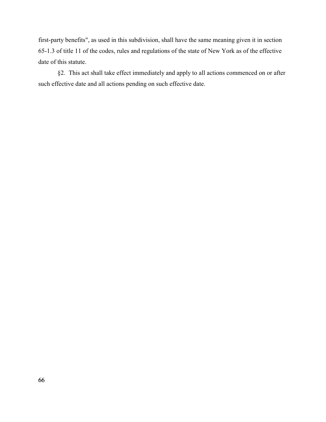first-party benefits", as used in this subdivision, shall have the same meaning given it in section 65-1.3 of title 11 of the codes, rules and regulations of the state of New York as of the effective date of this statute.

§2. This act shall take effect immediately and apply to all actions commenced on or after such effective date and all actions pending on such effective date.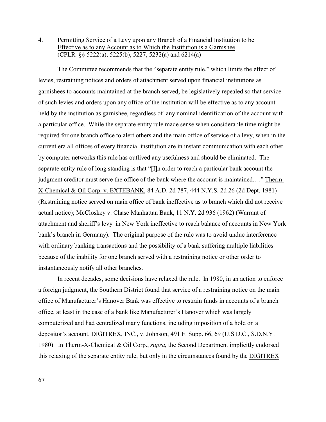# 4. Permitting Service of a Levy upon any Branch of a Financial Institution to be Effective as to any Account as to Which the Institution is a Garnishee (CPLR §§ 5222(a), 5225(b), 5227, 5232(a) and 6214(a)

The Committee recommends that the "separate entity rule," which limits the effect of levies, restraining notices and orders of attachment served upon financial institutions as garnishees to accounts maintained at the branch served, be legislatively repealed so that service of such levies and orders upon any office of the institution will be effective as to any account held by the institution as garnishee, regardless of any nominal identification of the account with a particular office. While the separate entity rule made sense when considerable time might be required for one branch office to alert others and the main office of service of a levy, when in the current era all offices of every financial institution are in instant communication with each other by computer networks this rule has outlived any usefulness and should be eliminated. The separate entity rule of long standing is that "[I]n order to reach a particular bank account the judgment creditor must serve the office of the bank where the account is maintained…." Therm-X-Chemical & Oil Corp. v. EXTEBANK, 84 A.D. 2d 787, 444 N.Y.S. 2d 26 (2d Dept. 1981) (Restraining notice served on main office of bank ineffective as to branch which did not receive actual notice); McCloskey v. Chase Manhattan Bank, 11 N.Y. 2d 936 (1962) (Warrant of attachment and sheriff's levy in New York ineffective to reach balance of accounts in New York bank's branch in Germany). The original purpose of the rule was to avoid undue interference with ordinary banking transactions and the possibility of a bank suffering multiple liabilities because of the inability for one branch served with a restraining notice or other order to instantaneously notify all other branches.

In recent decades, some decisions have relaxed the rule. In 1980, in an action to enforce a foreign judgment, the Southern District found that service of a restraining notice on the main office of Manufacturer's Hanover Bank was effective to restrain funds in accounts of a branch office, at least in the case of a bank like Manufacturer's Hanover which was largely computerized and had centralized many functions, including imposition of a hold on a depositor's account. DIGITREX, INC., v. Johnson, 491 F. Supp. 66, 69 (U.S.D.C., S.D.N.Y. 1980). In Therm-X-Chemical & Oil Corp., *supra,* the Second Department implicitly endorsed this relaxing of the separate entity rule, but only in the circumstances found by the DIGITREX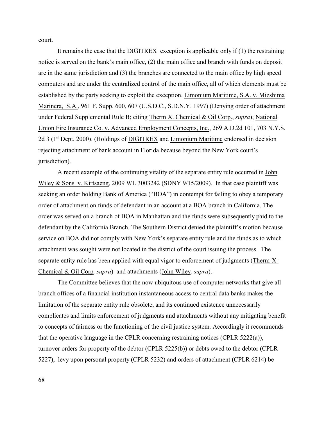court.

It remains the case that the DIGITREX exception is applicable only if (1) the restraining notice is served on the bank's main office, (2) the main office and branch with funds on deposit are in the same jurisdiction and (3) the branches are connected to the main office by high speed computers and are under the centralized control of the main office, all of which elements must be established by the party seeking to exploit the exception. Limonium Maritime, S.A. v. Mizshima Marinera, S.A., 961 F. Supp. 600, 607 (U.S.D.C., S.D.N.Y. 1997) (Denying order of attachment under Federal Supplemental Rule B; citing Therm X. Chemical & Oil Corp., *supra*); National Union Fire Insurance Co. v. Advanced Employment Concepts, Inc., 269 A.D.2d 101, 703 N.Y.S. 2d 3 ( $1<sup>st</sup>$  Dept. 2000). (Holdings of DIGITREX and Limonium Maritime endorsed in decision rejecting attachment of bank account in Florida because beyond the New York court's jurisdiction).

A recent example of the continuing vitality of the separate entity rule occurred in John Wiley & Sons v. Kirtsaeng, 2009 WL 3003242 (SDNY 9/15/2009). In that case plaintiff was seeking an order holding Bank of America ("BOA") in contempt for failing to obey a temporary order of attachment on funds of defendant in an account at a BOA branch in California. The order was served on a branch of BOA in Manhattan and the funds were subsequently paid to the defendant by the California Branch. The Southern District denied the plaintiff's motion because service on BOA did not comply with New York's separate entity rule and the funds as to which attachment was sought were not located in the district of the court issuing the process. The separate entity rule has been applied with equal vigor to enforcement of judgments (Therm-X-Chemical & Oil Corp*, supra*) and attachments (John Wiley*, supra*).

The Committee believes that the now ubiquitous use of computer networks that give all branch offices of a financial institution instantaneous access to central data banks makes the limitation of the separate entity rule obsolete, and its continued existence unnecessarily complicates and limits enforcement of judgments and attachments without any mitigating benefit to concepts of fairness or the functioning of the civil justice system. Accordingly it recommends that the operative language in the CPLR concerning restraining notices (CPLR 5222(a)), turnover orders for property of the debtor (CPLR 5225(b)) or debts owed to the debtor (CPLR 5227), levy upon personal property (CPLR 5232) and orders of attachment (CPLR 6214) be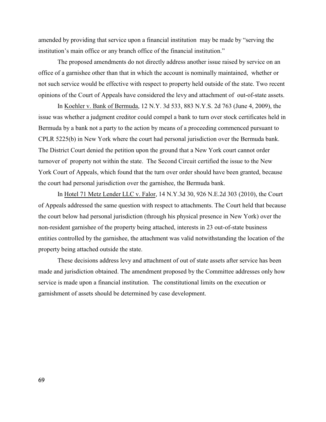amended by providing that service upon a financial institution may be made by "serving the institution's main office or any branch office of the financial institution."

The proposed amendments do not directly address another issue raised by service on an office of a garnishee other than that in which the account is nominally maintained, whether or not such service would be effective with respect to property held outside of the state. Two recent opinions of the Court of Appeals have considered the levy and attachment of out-of-state assets.

In Koehler v. Bank of Bermuda, 12 N.Y. 3d 533, 883 N.Y.S. 2d 763 (June 4, 2009), the issue was whether a judgment creditor could compel a bank to turn over stock certificates held in Bermuda by a bank not a party to the action by means of a proceeding commenced pursuant to CPLR 5225(b) in New York where the court had personal jurisdiction over the Bermuda bank. The District Court denied the petition upon the ground that a New York court cannot order turnover of property not within the state. The Second Circuit certified the issue to the New York Court of Appeals, which found that the turn over order should have been granted, because the court had personal jurisdiction over the garnishee, the Bermuda bank.

In Hotel 71 Metz Lender LLC v. Falor, 14 N.Y.3d 30, 926 N.E.2d 303 (2010), the Court of Appeals addressed the same question with respect to attachments. The Court held that because the court below had personal jurisdiction (through his physical presence in New York) over the non-resident garnishee of the property being attached, interests in 23 out-of-state business entities controlled by the garnishee, the attachment was valid notwithstanding the location of the property being attached outside the state.

These decisions address levy and attachment of out of state assets after service has been made and jurisdiction obtained. The amendment proposed by the Committee addresses only how service is made upon a financial institution. The constitutional limits on the execution or garnishment of assets should be determined by case development.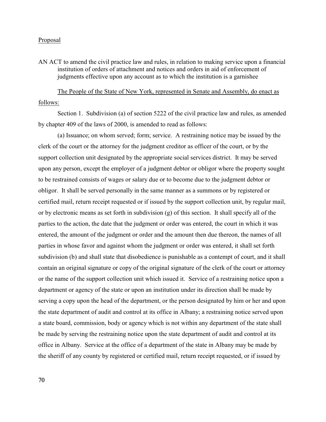AN ACT to amend the civil practice law and rules, in relation to making service upon a financial institution of orders of attachment and notices and orders in aid of enforcement of judgments effective upon any account as to which the institution is a garnishee

The People of the State of New York, represented in Senate and Assembly, do enact as follows:

Section 1. Subdivision (a) of section 5222 of the civil practice law and rules, as amended by chapter 409 of the laws of 2000, is amended to read as follows:

(a) Issuance; on whom served; form; service. A restraining notice may be issued by the clerk of the court or the attorney for the judgment creditor as officer of the court, or by the support collection unit designated by the appropriate social services district. It may be served upon any person, except the employer of a judgment debtor or obligor where the property sought to be restrained consists of wages or salary due or to become due to the judgment debtor or obligor. It shall be served personally in the same manner as a summons or by registered or certified mail, return receipt requested or if issued by the support collection unit, by regular mail, or by electronic means as set forth in subdivision (g) of this section. It shall specify all of the parties to the action, the date that the judgment or order was entered, the court in which it was entered, the amount of the judgment or order and the amount then due thereon, the names of all parties in whose favor and against whom the judgment or order was entered, it shall set forth subdivision (b) and shall state that disobedience is punishable as a contempt of court, and it shall contain an original signature or copy of the original signature of the clerk of the court or attorney or the name of the support collection unit which issued it. Service of a restraining notice upon a department or agency of the state or upon an institution under its direction shall be made by serving a copy upon the head of the department, or the person designated by him or her and upon the state department of audit and control at its office in Albany; a restraining notice served upon a state board, commission, body or agency which is not within any department of the state shall be made by serving the restraining notice upon the state department of audit and control at its office in Albany. Service at the office of a department of the state in Albany may be made by the sheriff of any county by registered or certified mail, return receipt requested, or if issued by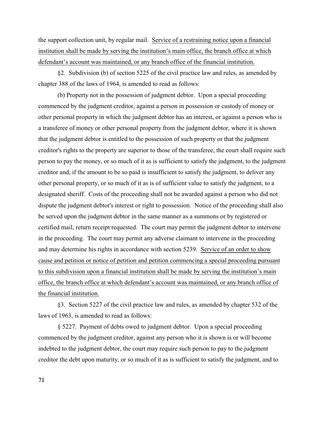the support collection unit, by regular mail. Service of a restraining notice upon a financial institution shall be made by serving the institution's main office, the branch office at which defendant's account was maintained, or any branch office of the financial institution.

§2. Subdivision (b) of section 5225 of the civil practice law and rules, as amended by chapter 388 of the laws of 1964, is amended to read as follows:

(b) Property not in the possession of judgment debtor. Upon a special proceeding commenced by the judgment creditor, against a person in possession or custody of money or other personal property in which the judgment debtor has an interest, or against a person who is a transferee of money or other personal property from the judgment debtor, where it is shown that the judgment debtor is entitled to the possession of such property or that the judgment creditor's rights to the property are superior to those of the transferee, the court shall require such person to pay the money, or so much of it as is sufficient to satisfy the judgment, to the judgment creditor and, if the amount to be so paid is insufficient to satisfy the judgment, to deliver any other personal property, or so much of it as is of sufficient value to satisfy the judgment, to a designated sheriff. Costs of the proceeding shall not be awarded against a person who did not dispute the judgment debtor's interest or right to possession. Notice of the proceeding shall also be served upon the judgment debtor in the same manner as a summons or by registered or certified mail, return receipt requested. The court may permit the judgment debtor to intervene in the proceeding. The court may permit any adverse claimant to intervene in the proceeding and may determine his rights in accordance with section 5239. Service of an order to show cause and petition or notice of petition and petition commencing a special proceeding pursuant to this subdivision upon a financial institution shall be made by serving the institution's main office, the branch office at which defendant's account was maintained, or any branch office of the financial institution.

§3. Section 5227 of the civil practice law and rules, as amended by chapter 532 of the laws of 1963, is amended to read as follows:

§ 5227. Payment of debts owed to judgment debtor. Upon a special proceeding commenced by the judgment creditor, against any person who it is shown is or will become indebted to the judgment debtor, the court may require such person to pay to the judgment creditor the debt upon maturity, or so much of it as is sufficient to satisfy the judgment, and to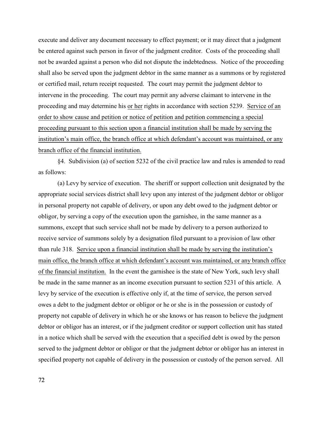execute and deliver any document necessary to effect payment; or it may direct that a judgment be entered against such person in favor of the judgment creditor. Costs of the proceeding shall not be awarded against a person who did not dispute the indebtedness. Notice of the proceeding shall also be served upon the judgment debtor in the same manner as a summons or by registered or certified mail, return receipt requested. The court may permit the judgment debtor to intervene in the proceeding. The court may permit any adverse claimant to intervene in the proceeding and may determine his or her rights in accordance with section 5239. Service of an order to show cause and petition or notice of petition and petition commencing a special proceeding pursuant to this section upon a financial institution shall be made by serving the institution's main office, the branch office at which defendant's account was maintained, or any branch office of the financial institution.

§4. Subdivision (a) of section 5232 of the civil practice law and rules is amended to read as follows:

(a) Levy by service of execution. The sheriff or support collection unit designated by the appropriate social services district shall levy upon any interest of the judgment debtor or obligor in personal property not capable of delivery, or upon any debt owed to the judgment debtor or obligor, by serving a copy of the execution upon the garnishee, in the same manner as a summons, except that such service shall not be made by delivery to a person authorized to receive service of summons solely by a designation filed pursuant to a provision of law other than rule 318. Service upon a financial institution shall be made by serving the institution's main office, the branch office at which defendant's account was maintained, or any branch office of the financial institution. In the event the garnishee is the state of New York, such levy shall be made in the same manner as an income execution pursuant to section 5231 of this article. A levy by service of the execution is effective only if, at the time of service, the person served owes a debt to the judgment debtor or obligor or he or she is in the possession or custody of property not capable of delivery in which he or she knows or has reason to believe the judgment debtor or obligor has an interest, or if the judgment creditor or support collection unit has stated in a notice which shall be served with the execution that a specified debt is owed by the person served to the judgment debtor or obligor or that the judgment debtor or obligor has an interest in specified property not capable of delivery in the possession or custody of the person served. All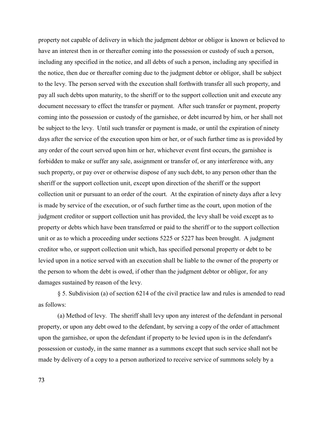property not capable of delivery in which the judgment debtor or obligor is known or believed to have an interest then in or thereafter coming into the possession or custody of such a person, including any specified in the notice, and all debts of such a person, including any specified in the notice, then due or thereafter coming due to the judgment debtor or obligor, shall be subject to the levy. The person served with the execution shall forthwith transfer all such property, and pay all such debts upon maturity, to the sheriff or to the support collection unit and execute any document necessary to effect the transfer or payment. After such transfer or payment, property coming into the possession or custody of the garnishee, or debt incurred by him, or her shall not be subject to the levy. Until such transfer or payment is made, or until the expiration of ninety days after the service of the execution upon him or her, or of such further time as is provided by any order of the court served upon him or her, whichever event first occurs, the garnishee is forbidden to make or suffer any sale, assignment or transfer of, or any interference with, any such property, or pay over or otherwise dispose of any such debt, to any person other than the sheriff or the support collection unit, except upon direction of the sheriff or the support collection unit or pursuant to an order of the court. At the expiration of ninety days after a levy is made by service of the execution, or of such further time as the court, upon motion of the judgment creditor or support collection unit has provided, the levy shall be void except as to property or debts which have been transferred or paid to the sheriff or to the support collection unit or as to which a proceeding under sections 5225 or 5227 has been brought. A judgment creditor who, or support collection unit which, has specified personal property or debt to be levied upon in a notice served with an execution shall be liable to the owner of the property or the person to whom the debt is owed, if other than the judgment debtor or obligor, for any damages sustained by reason of the levy.

§ 5. Subdivision (a) of section 6214 of the civil practice law and rules is amended to read as follows:

(a) Method of levy. The sheriff shall levy upon any interest of the defendant in personal property, or upon any debt owed to the defendant, by serving a copy of the order of attachment upon the garnishee, or upon the defendant if property to be levied upon is in the defendant's possession or custody, in the same manner as a summons except that such service shall not be made by delivery of a copy to a person authorized to receive service of summons solely by a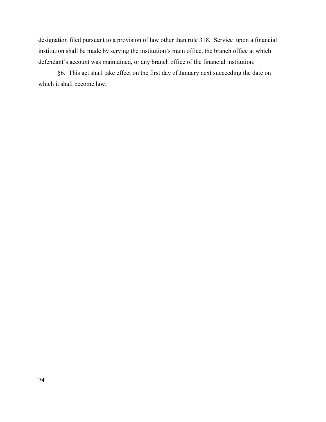designation filed pursuant to a provision of law other than rule 318. Service upon a financial institution shall be made by serving the institution's main office, the branch office at which defendant's account was maintained, or any branch office of the financial institution.

§6. This act shall take effect on the first day of January next succeeding the date on which it shall become law.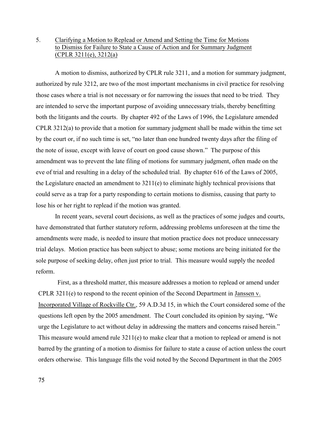# 5. Clarifying a Motion to Replead or Amend and Setting the Time for Motions to Dismiss for Failure to State a Cause of Action and for Summary Judgment (CPLR 3211(e), 3212(a)

A motion to dismiss, authorized by CPLR rule 3211, and a motion for summary judgment, authorized by rule 3212, are two of the most important mechanisms in civil practice for resolving those cases where a trial is not necessary or for narrowing the issues that need to be tried. They are intended to serve the important purpose of avoiding unnecessary trials, thereby benefitting both the litigants and the courts. By chapter 492 of the Laws of 1996, the Legislature amended CPLR 3212(a) to provide that a motion for summary judgment shall be made within the time set by the court or, if no such time is set, "no later than one hundred twenty days after the filing of the note of issue, except with leave of court on good cause shown." The purpose of this amendment was to prevent the late filing of motions for summary judgment, often made on the eve of trial and resulting in a delay of the scheduled trial. By chapter 616 of the Laws of 2005, the Legislature enacted an amendment to 3211(e) to eliminate highly technical provisions that could serve as a trap for a party responding to certain motions to dismiss, causing that party to lose his or her right to replead if the motion was granted.

In recent years, several court decisions, as well as the practices of some judges and courts, have demonstrated that further statutory reform, addressing problems unforeseen at the time the amendments were made, is needed to insure that motion practice does not produce unnecessary trial delays. Motion practice has been subject to abuse; some motions are being initiated for the sole purpose of seeking delay, often just prior to trial. This measure would supply the needed reform.

First, as a threshold matter, this measure addresses a motion to replead or amend under CPLR 3211(e) to respond to the recent opinion of the Second Department in Janssen v. Incorporated Village of Rockville Ctr., 59 A.D.3d 15, in which the Court considered some of the questions left open by the 2005 amendment. The Court concluded its opinion by saying, "We urge the Legislature to act without delay in addressing the matters and concerns raised herein." This measure would amend rule 3211(e) to make clear that a motion to replead or amend is not barred by the granting of a motion to dismiss for failure to state a cause of action unless the court orders otherwise. This language fills the void noted by the Second Department in that the 2005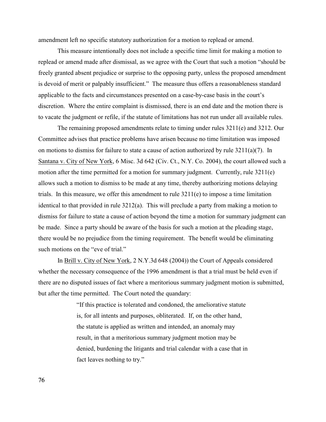amendment left no specific statutory authorization for a motion to replead or amend.

This measure intentionally does not include a specific time limit for making a motion to replead or amend made after dismissal, as we agree with the Court that such a motion "should be freely granted absent prejudice or surprise to the opposing party, unless the proposed amendment is devoid of merit or palpably insufficient." The measure thus offers a reasonableness standard applicable to the facts and circumstances presented on a case-by-case basis in the court's discretion. Where the entire complaint is dismissed, there is an end date and the motion there is to vacate the judgment or refile, if the statute of limitations has not run under all available rules.

The remaining proposed amendments relate to timing under rules 3211(e) and 3212. Our Committee advises that practice problems have arisen because no time limitation was imposed on motions to dismiss for failure to state a cause of action authorized by rule  $3211(a)(7)$ . In Santana v. City of New York, 6 Misc. 3d 642 (Civ. Ct., N.Y. Co. 2004), the court allowed such a motion after the time permitted for a motion for summary judgment. Currently, rule 3211(e) allows such a motion to dismiss to be made at any time, thereby authorizing motions delaying trials. In this measure, we offer this amendment to rule 3211(e) to impose a time limitation identical to that provided in rule 3212(a). This will preclude a party from making a motion to dismiss for failure to state a cause of action beyond the time a motion for summary judgment can be made. Since a party should be aware of the basis for such a motion at the pleading stage, there would be no prejudice from the timing requirement. The benefit would be eliminating such motions on the "eve of trial."

In Brill v. City of New York, 2 N.Y.3d 648 (2004)) the Court of Appeals considered whether the necessary consequence of the 1996 amendment is that a trial must be held even if there are no disputed issues of fact where a meritorious summary judgment motion is submitted, but after the time permitted. The Court noted the quandary:

> "If this practice is tolerated and condoned, the ameliorative statute is, for all intents and purposes, obliterated. If, on the other hand, the statute is applied as written and intended, an anomaly may result, in that a meritorious summary judgment motion may be denied, burdening the litigants and trial calendar with a case that in fact leaves nothing to try."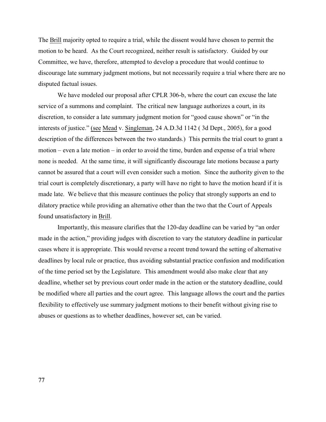The Brill majority opted to require a trial, while the dissent would have chosen to permit the motion to be heard. As the Court recognized, neither result is satisfactory. Guided by our Committee, we have, therefore, attempted to develop a procedure that would continue to discourage late summary judgment motions, but not necessarily require a trial where there are no disputed factual issues.

We have modeled our proposal after CPLR 306-b, where the court can excuse the late service of a summons and complaint. The critical new language authorizes a court, in its discretion, to consider a late summary judgment motion for "good cause shown" or "in the interests of justice." (see Mead v. Singleman, 24 A.D.3d 1142 ( 3d Dept., 2005), for a good description of the differences between the two standards.) This permits the trial court to grant a motion – even a late motion – in order to avoid the time, burden and expense of a trial where none is needed. At the same time, it will significantly discourage late motions because a party cannot be assured that a court will even consider such a motion. Since the authority given to the trial court is completely discretionary, a party will have no right to have the motion heard if it is made late. We believe that this measure continues the policy that strongly supports an end to dilatory practice while providing an alternative other than the two that the Court of Appeals found unsatisfactory in Brill.

Importantly, this measure clarifies that the 120-day deadline can be varied by "an order made in the action," providing judges with discretion to vary the statutory deadline in particular cases where it is appropriate. This would reverse a recent trend toward the setting of alternative deadlines by local rule or practice, thus avoiding substantial practice confusion and modification of the time period set by the Legislature. This amendment would also make clear that any deadline, whether set by previous court order made in the action or the statutory deadline, could be modified where all parties and the court agree. This language allows the court and the parties flexibility to effectively use summary judgment motions to their benefit without giving rise to abuses or questions as to whether deadlines, however set, can be varied.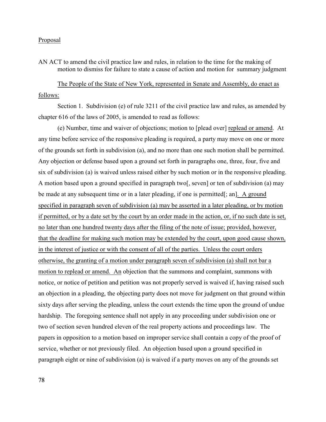#### Proposal

AN ACT to amend the civil practice law and rules, in relation to the time for the making of motion to dismiss for failure to state a cause of action and motion for summary judgment

The People of the State of New York, represented in Senate and Assembly, do enact as follows:

Section 1. Subdivision (e) of rule 3211 of the civil practice law and rules, as amended by chapter 616 of the laws of 2005, is amended to read as follows:

(e) Number, time and waiver of objections; motion to [plead over] replead or amend. At any time before service of the responsive pleading is required, a party may move on one or more of the grounds set forth in subdivision (a), and no more than one such motion shall be permitted. Any objection or defense based upon a ground set forth in paragraphs one, three, four, five and six of subdivision (a) is waived unless raised either by such motion or in the responsive pleading. A motion based upon a ground specified in paragraph two[, seven] or ten of subdivision (a) may be made at any subsequent time or in a later pleading, if one is permitted[; an]. A ground specified in paragraph seven of subdivision (a) may be asserted in a later pleading, or by motion if permitted, or by a date set by the court by an order made in the action, or, if no such date is set, no later than one hundred twenty days after the filing of the note of issue; provided, however, that the deadline for making such motion may be extended by the court, upon good cause shown, in the interest of justice or with the consent of all of the parties. Unless the court orders otherwise, the granting of a motion under paragraph seven of subdivision (a) shall not bar a motion to replead or amend. An objection that the summons and complaint, summons with notice, or notice of petition and petition was not properly served is waived if, having raised such an objection in a pleading, the objecting party does not move for judgment on that ground within sixty days after serving the pleading, unless the court extends the time upon the ground of undue hardship. The foregoing sentence shall not apply in any proceeding under subdivision one or two of section seven hundred eleven of the real property actions and proceedings law. The papers in opposition to a motion based on improper service shall contain a copy of the proof of service, whether or not previously filed. An objection based upon a ground specified in paragraph eight or nine of subdivision (a) is waived if a party moves on any of the grounds set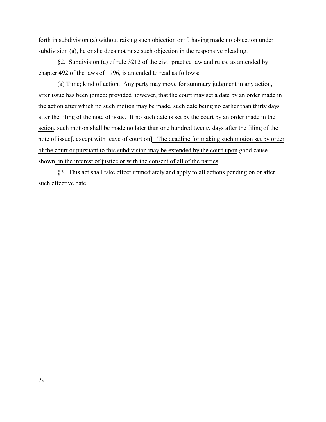forth in subdivision (a) without raising such objection or if, having made no objection under subdivision (a), he or she does not raise such objection in the responsive pleading.

§2. Subdivision (a) of rule 3212 of the civil practice law and rules, as amended by chapter 492 of the laws of 1996, is amended to read as follows:

(a) Time; kind of action. Any party may move for summary judgment in any action, after issue has been joined; provided however, that the court may set a date by an order made in the action after which no such motion may be made, such date being no earlier than thirty days after the filing of the note of issue. If no such date is set by the court by an order made in the action, such motion shall be made no later than one hundred twenty days after the filing of the note of issue[, except with leave of court on]. The deadline for making such motion set by order of the court or pursuant to this subdivision may be extended by the court upon good cause shown, in the interest of justice or with the consent of all of the parties.

§3. This act shall take effect immediately and apply to all actions pending on or after such effective date.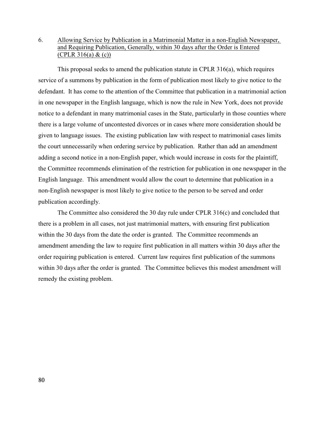# 6. Allowing Service by Publication in a Matrimonial Matter in a non-English Newspaper, and Requiring Publication, Generally, within 30 days after the Order is Entered  $(CPLR 316(a) & (c))$

This proposal seeks to amend the publication statute in CPLR 316(a), which requires service of a summons by publication in the form of publication most likely to give notice to the defendant. It has come to the attention of the Committee that publication in a matrimonial action in one newspaper in the English language, which is now the rule in New York, does not provide notice to a defendant in many matrimonial cases in the State, particularly in those counties where there is a large volume of uncontested divorces or in cases where more consideration should be given to language issues. The existing publication law with respect to matrimonial cases limits the court unnecessarily when ordering service by publication. Rather than add an amendment adding a second notice in a non-English paper, which would increase in costs for the plaintiff, the Committee recommends elimination of the restriction for publication in one newspaper in the English language. This amendment would allow the court to determine that publication in a non-English newspaper is most likely to give notice to the person to be served and order publication accordingly.

The Committee also considered the 30 day rule under CPLR 316(c) and concluded that there is a problem in all cases, not just matrimonial matters, with ensuring first publication within the 30 days from the date the order is granted. The Committee recommends an amendment amending the law to require first publication in all matters within 30 days after the order requiring publication is entered. Current law requires first publication of the summons within 30 days after the order is granted. The Committee believes this modest amendment will remedy the existing problem.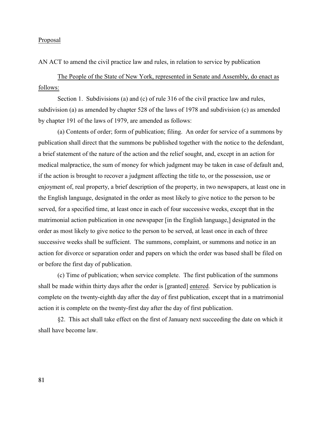#### Proposal

AN ACT to amend the civil practice law and rules, in relation to service by publication

The People of the State of New York, represented in Senate and Assembly, do enact as follows:

Section 1. Subdivisions (a) and (c) of rule 316 of the civil practice law and rules, subdivision (a) as amended by chapter 528 of the laws of 1978 and subdivision (c) as amended by chapter 191 of the laws of 1979, are amended as follows:

(a) Contents of order; form of publication; filing. An order for service of a summons by publication shall direct that the summons be published together with the notice to the defendant, a brief statement of the nature of the action and the relief sought, and, except in an action for medical malpractice, the sum of money for which judgment may be taken in case of default and, if the action is brought to recover a judgment affecting the title to, or the possession, use or enjoyment of, real property, a brief description of the property, in two newspapers, at least one in the English language, designated in the order as most likely to give notice to the person to be served, for a specified time, at least once in each of four successive weeks, except that in the matrimonial action publication in one newspaper [in the English language,] designated in the order as most likely to give notice to the person to be served, at least once in each of three successive weeks shall be sufficient. The summons, complaint, or summons and notice in an action for divorce or separation order and papers on which the order was based shall be filed on or before the first day of publication.

(c) Time of publication; when service complete. The first publication of the summons shall be made within thirty days after the order is [granted] entered. Service by publication is complete on the twenty-eighth day after the day of first publication, except that in a matrimonial action it is complete on the twenty-first day after the day of first publication.

§2. This act shall take effect on the first of January next succeeding the date on which it shall have become law.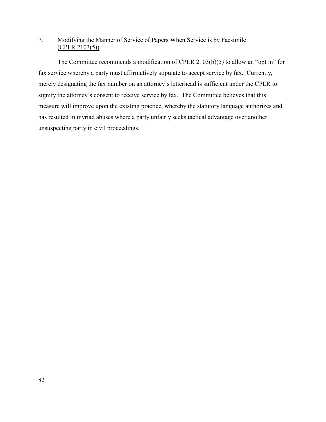# 7. Modifying the Manner of Service of Papers When Service is by Facsimile  $(CPLR 2103(5))$

The Committee recommends a modification of CPLR 2103(b)(5) to allow an "opt in" for fax service whereby a party must affirmatively stipulate to accept service by fax. Currently, merely designating the fax number on an attorney's letterhead is sufficient under the CPLR to signify the attorney's consent to receive service by fax. The Committee believes that this measure will improve upon the existing practice, whereby the statutory language authorizes and has resulted in myriad abuses where a party unfairly seeks tactical advantage over another unsuspecting party in civil proceedings.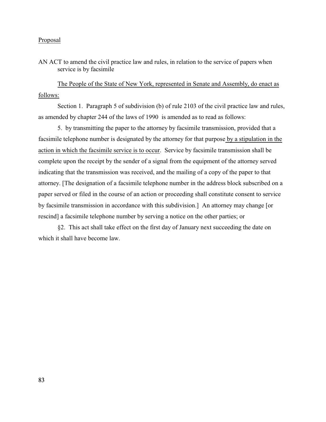#### Proposal

AN ACT to amend the civil practice law and rules, in relation to the service of papers when service is by facsimile

The People of the State of New York, represented in Senate and Assembly, do enact as follows:

Section 1. Paragraph 5 of subdivision (b) of rule 2103 of the civil practice law and rules, as amended by chapter 244 of the laws of 1990 is amended as to read as follows:

5. by transmitting the paper to the attorney by facsimile transmission, provided that a facsimile telephone number is designated by the attorney for that purpose by a stipulation in the action in which the facsimile service is to occur. Service by facsimile transmission shall be complete upon the receipt by the sender of a signal from the equipment of the attorney served indicating that the transmission was received, and the mailing of a copy of the paper to that attorney. [The designation of a facsimile telephone number in the address block subscribed on a paper served or filed in the course of an action or proceeding shall constitute consent to service by facsimile transmission in accordance with this subdivision.] An attorney may change [or rescind] a facsimile telephone number by serving a notice on the other parties; or

§2. This act shall take effect on the first day of January next succeeding the date on which it shall have become law.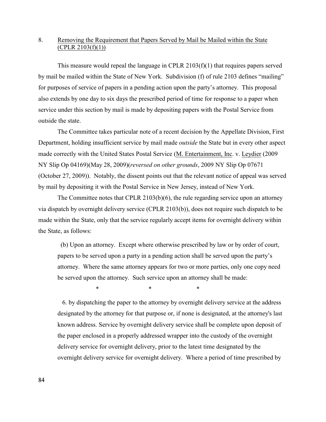# 8. Removing the Requirement that Papers Served by Mail be Mailed within the State (CPLR 2103(f)(1))

This measure would repeal the language in CPLR 2103(f)(1) that requires papers served by mail be mailed within the State of New York. Subdivision (f) of rule 2103 defines "mailing" for purposes of service of papers in a pending action upon the party's attorney. This proposal also extends by one day to six days the prescribed period of time for response to a paper when service under this section by mail is made by depositing papers with the Postal Service from outside the state.

The Committee takes particular note of a recent decision by the Appellate Division, First Department, holding insufficient service by mail made *outside* the State but in every other aspect made correctly with the United States Postal Service (M. Entertainment, Inc. v. Leydier (2009 NY Slip Op 04169)(May 28, 2009)(*reversed on other grounds*, 2009 NY Slip Op 07671 (October 27, 2009)). Notably, the dissent points out that the relevant notice of appeal was served by mail by depositing it with the Postal Service in New Jersey, instead of New York.

The Committee notes that CPLR 2103(b)(6), the rule regarding service upon an attorney via dispatch by overnight delivery service (CPLR 2103(b)), does not require such dispatch to be made within the State, only that the service regularly accept items for overnight delivery within the State, as follows:

 (b) Upon an attorney. Except where otherwise prescribed by law or by order of court, papers to be served upon a party in a pending action shall be served upon the party's attorney. Where the same attorney appears for two or more parties, only one copy need be served upon the attorney. Such service upon an attorney shall be made:

\* \* \*

 6. by dispatching the paper to the attorney by overnight delivery service at the address designated by the attorney for that purpose or, if none is designated, at the attorney's last known address. Service by overnight delivery service shall be complete upon deposit of the paper enclosed in a properly addressed wrapper into the custody of the overnight delivery service for overnight delivery, prior to the latest time designated by the overnight delivery service for overnight delivery. Where a period of time prescribed by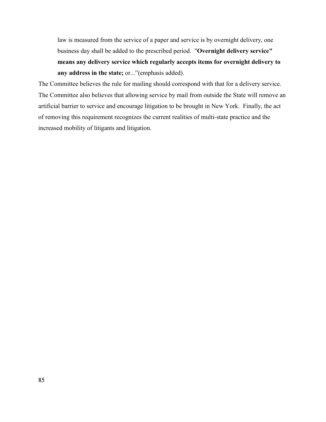law is measured from the service of a paper and service is by overnight delivery, one business day shall be added to the prescribed period. "**Overnight delivery service" means any delivery service which regularly accepts items for overnight delivery to any address in the state;** or..."(emphasis added).

The Committee believes the rule for mailing should correspond with that for a delivery service. The Committee also believes that allowing service by mail from outside the State will remove an artificial barrier to service and encourage litigation to be brought in New York. Finally, the act of removing this requirement recognizes the current realities of multi-state practice and the increased mobility of litigants and litigation.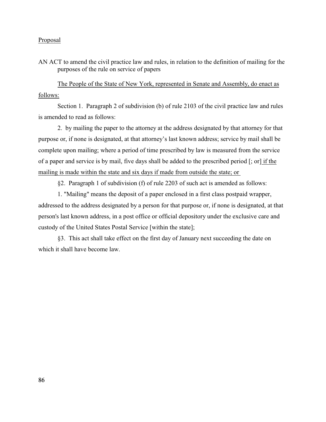#### Proposal

AN ACT to amend the civil practice law and rules, in relation to the definition of mailing for the purposes of the rule on service of papers

The People of the State of New York, represented in Senate and Assembly, do enact as follows:

Section 1. Paragraph 2 of subdivision (b) of rule 2103 of the civil practice law and rules is amended to read as follows:

2. by mailing the paper to the attorney at the address designated by that attorney for that purpose or, if none is designated, at that attorney's last known address; service by mail shall be complete upon mailing; where a period of time prescribed by law is measured from the service of a paper and service is by mail, five days shall be added to the prescribed period [; or] if the mailing is made within the state and six days if made from outside the state; or

§2. Paragraph 1 of subdivision (f) of rule 2203 of such act is amended as follows:

1. "Mailing" means the deposit of a paper enclosed in a first class postpaid wrapper, addressed to the address designated by a person for that purpose or, if none is designated, at that person's last known address, in a post office or official depository under the exclusive care and custody of the United States Postal Service [within the state];

§3. This act shall take effect on the first day of January next succeeding the date on which it shall have become law.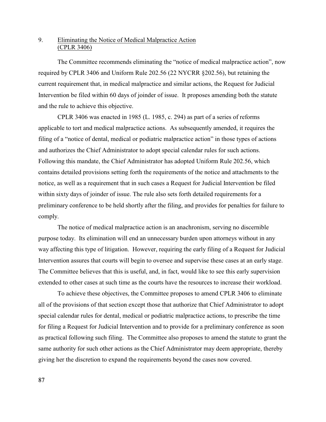### 9. Eliminating the Notice of Medical Malpractice Action (CPLR 3406)

The Committee recommends eliminating the "notice of medical malpractice action", now required by CPLR 3406 and Uniform Rule 202.56 (22 NYCRR §202.56), but retaining the current requirement that, in medical malpractice and similar actions, the Request for Judicial Intervention be filed within 60 days of joinder of issue. It proposes amending both the statute and the rule to achieve this objective.

CPLR 3406 was enacted in 1985 (L. 1985, c. 294) as part of a series of reforms applicable to tort and medical malpractice actions. As subsequently amended, it requires the filing of a "notice of dental, medical or podiatric malpractice action" in those types of actions and authorizes the Chief Administrator to adopt special calendar rules for such actions. Following this mandate, the Chief Administrator has adopted Uniform Rule 202.56, which contains detailed provisions setting forth the requirements of the notice and attachments to the notice, as well as a requirement that in such cases a Request for Judicial Intervention be filed within sixty days of joinder of issue. The rule also sets forth detailed requirements for a preliminary conference to be held shortly after the filing, and provides for penalties for failure to comply.

The notice of medical malpractice action is an anachronism, serving no discernible purpose today. Its elimination will end an unnecessary burden upon attorneys without in any way affecting this type of litigation. However, requiring the early filing of a Request for Judicial Intervention assures that courts will begin to oversee and supervise these cases at an early stage. The Committee believes that this is useful, and, in fact, would like to see this early supervision extended to other cases at such time as the courts have the resources to increase their workload.

To achieve these objectives, the Committee proposes to amend CPLR 3406 to eliminate all of the provisions of that section except those that authorize that Chief Administrator to adopt special calendar rules for dental, medical or podiatric malpractice actions, to prescribe the time for filing a Request for Judicial Intervention and to provide for a preliminary conference as soon as practical following such filing. The Committee also proposes to amend the statute to grant the same authority for such other actions as the Chief Administrator may deem appropriate, thereby giving her the discretion to expand the requirements beyond the cases now covered.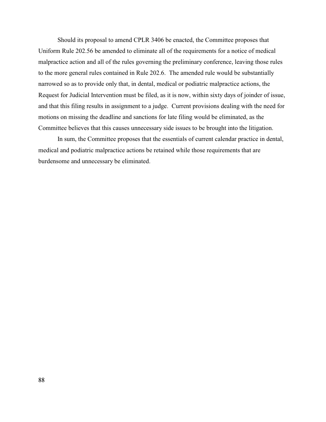Should its proposal to amend CPLR 3406 be enacted, the Committee proposes that Uniform Rule 202.56 be amended to eliminate all of the requirements for a notice of medical malpractice action and all of the rules governing the preliminary conference, leaving those rules to the more general rules contained in Rule 202.6. The amended rule would be substantially narrowed so as to provide only that, in dental, medical or podiatric malpractice actions, the Request for Judicial Intervention must be filed, as it is now, within sixty days of joinder of issue, and that this filing results in assignment to a judge. Current provisions dealing with the need for motions on missing the deadline and sanctions for late filing would be eliminated, as the Committee believes that this causes unnecessary side issues to be brought into the litigation.

In sum, the Committee proposes that the essentials of current calendar practice in dental, medical and podiatric malpractice actions be retained while those requirements that are burdensome and unnecessary be eliminated.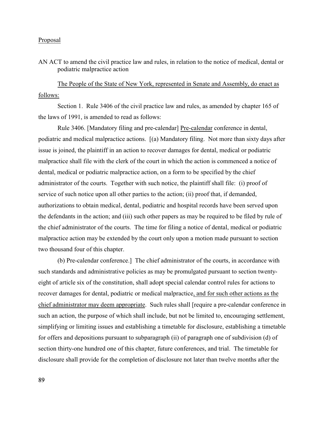#### Proposal

AN ACT to amend the civil practice law and rules, in relation to the notice of medical, dental or podiatric malpractice action

The People of the State of New York, represented in Senate and Assembly, do enact as follows:

Section 1. Rule 3406 of the civil practice law and rules, as amended by chapter 165 of the laws of 1991, is amended to read as follows:

Rule 3406. [Mandatory filing and pre-calendar] Pre-calendar conference in dental, podiatric and medical malpractice actions. [(a) Mandatory filing. Not more than sixty days after issue is joined, the plaintiff in an action to recover damages for dental, medical or podiatric malpractice shall file with the clerk of the court in which the action is commenced a notice of dental, medical or podiatric malpractice action, on a form to be specified by the chief administrator of the courts. Together with such notice, the plaintiff shall file: (i) proof of service of such notice upon all other parties to the action; (ii) proof that, if demanded, authorizations to obtain medical, dental, podiatric and hospital records have been served upon the defendants in the action; and (iii) such other papers as may be required to be filed by rule of the chief administrator of the courts. The time for filing a notice of dental, medical or podiatric malpractice action may be extended by the court only upon a motion made pursuant to section two thousand four of this chapter.

 (b) Pre-calendar conference.] The chief administrator of the courts, in accordance with such standards and administrative policies as may be promulgated pursuant to section twentyeight of article six of the constitution, shall adopt special calendar control rules for actions to recover damages for dental, podiatric or medical malpractice, and for such other actions as the chief administrator may deem appropriate. Such rules shall [require a pre-calendar conference in such an action, the purpose of which shall include, but not be limited to, encouraging settlement, simplifying or limiting issues and establishing a timetable for disclosure, establishing a timetable for offers and depositions pursuant to subparagraph (ii) of paragraph one of subdivision (d) of section thirty-one hundred one of this chapter, future conferences, and trial. The timetable for disclosure shall provide for the completion of disclosure not later than twelve months after the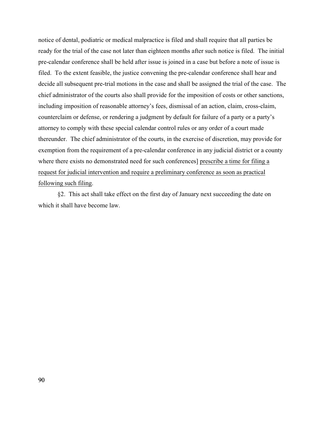notice of dental, podiatric or medical malpractice is filed and shall require that all parties be ready for the trial of the case not later than eighteen months after such notice is filed. The initial pre-calendar conference shall be held after issue is joined in a case but before a note of issue is filed. To the extent feasible, the justice convening the pre-calendar conference shall hear and decide all subsequent pre-trial motions in the case and shall be assigned the trial of the case. The chief administrator of the courts also shall provide for the imposition of costs or other sanctions, including imposition of reasonable attorney's fees, dismissal of an action, claim, cross-claim, counterclaim or defense, or rendering a judgment by default for failure of a party or a party's attorney to comply with these special calendar control rules or any order of a court made thereunder. The chief administrator of the courts, in the exercise of discretion, may provide for exemption from the requirement of a pre-calendar conference in any judicial district or a county where there exists no demonstrated need for such conferences] prescribe a time for filing a request for judicial intervention and require a preliminary conference as soon as practical following such filing.

§2. This act shall take effect on the first day of January next succeeding the date on which it shall have become law.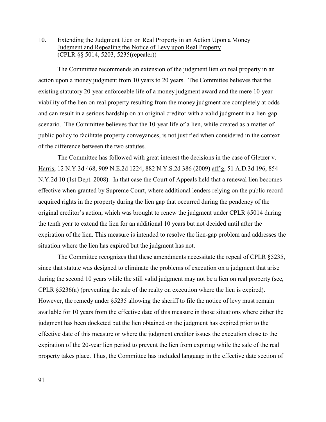# 10. Extending the Judgment Lien on Real Property in an Action Upon a Money Judgment and Repealing the Notice of Levy upon Real Property (CPLR §§ 5014, 5203, 5235(repealer))

The Committee recommends an extension of the judgment lien on real property in an action upon a money judgment from 10 years to 20 years. The Committee believes that the existing statutory 20-year enforceable life of a money judgment award and the mere 10-year viability of the lien on real property resulting from the money judgment are completely at odds and can result in a serious hardship on an original creditor with a valid judgment in a lien-gap scenario. The Committee believes that the 10-year life of a lien, while created as a matter of public policy to facilitate property conveyances, is not justified when considered in the context of the difference between the two statutes.

The Committee has followed with great interest the decisions in the case of Gletzer v. Harris, 12 N.Y.3d 468, 909 N.E.2d 1224, 882 N.Y.S.2d 386 (2009) aff'g, 51 A.D.3d 196, 854 N.Y.2d 10 (1st Dept. 2008). In that case the Court of Appeals held that a renewal lien becomes effective when granted by Supreme Court, where additional lenders relying on the public record acquired rights in the property during the lien gap that occurred during the pendency of the original creditor's action, which was brought to renew the judgment under CPLR §5014 during the tenth year to extend the lien for an additional 10 years but not decided until after the expiration of the lien. This measure is intended to resolve the lien-gap problem and addresses the situation where the lien has expired but the judgment has not.

The Committee recognizes that these amendments necessitate the repeal of CPLR §5235, since that statute was designed to eliminate the problems of execution on a judgment that arise during the second 10 years while the still valid judgment may not be a lien on real property (see, CPLR §5236(a) (preventing the sale of the realty on execution where the lien is expired). However, the remedy under §5235 allowing the sheriff to file the notice of levy must remain available for 10 years from the effective date of this measure in those situations where either the judgment has been docketed but the lien obtained on the judgment has expired prior to the effective date of this measure or where the judgment creditor issues the execution close to the expiration of the 20-year lien period to prevent the lien from expiring while the sale of the real property takes place. Thus, the Committee has included language in the effective date section of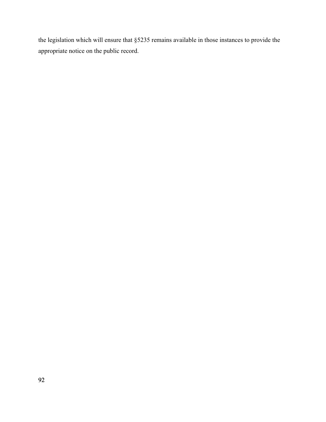the legislation which will ensure that §5235 remains available in those instances to provide the appropriate notice on the public record.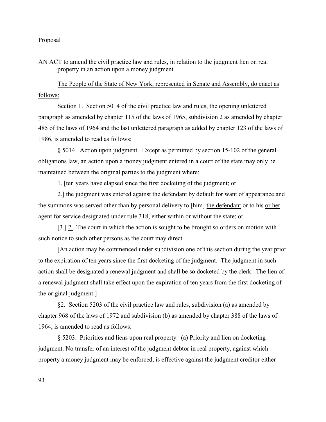#### Proposal

AN ACT to amend the civil practice law and rules, in relation to the judgment lien on real property in an action upon a money judgment

The People of the State of New York, represented in Senate and Assembly, do enact as follows:

Section 1. Section 5014 of the civil practice law and rules, the opening unlettered paragraph as amended by chapter 115 of the laws of 1965, subdivision 2 as amended by chapter 485 of the laws of 1964 and the last unlettered paragraph as added by chapter 123 of the laws of 1986, is amended to read as follows:

§ 5014. Action upon judgment. Except as permitted by section 15-102 of the general obligations law, an action upon a money judgment entered in a court of the state may only be maintained between the original parties to the judgment where:

1. [ten years have elapsed since the first docketing of the judgment; or

2.] the judgment was entered against the defendant by default for want of appearance and the summons was served other than by personal delivery to [him] the defendant or to his or her agent for service designated under rule 318, either within or without the state; or

[3.] 2. The court in which the action is sought to be brought so orders on motion with such notice to such other persons as the court may direct.

[An action may be commenced under subdivision one of this section during the year prior to the expiration of ten years since the first docketing of the judgment. The judgment in such action shall be designated a renewal judgment and shall be so docketed by the clerk. The lien of a renewal judgment shall take effect upon the expiration of ten years from the first docketing of the original judgment.]

§2. Section 5203 of the civil practice law and rules, subdivision (a) as amended by chapter 968 of the laws of 1972 and subdivision (b) as amended by chapter 388 of the laws of 1964, is amended to read as follows:

§ 5203. Priorities and liens upon real property. (a) Priority and lien on docketing judgment. No transfer of an interest of the judgment debtor in real property, against which property a money judgment may be enforced, is effective against the judgment creditor either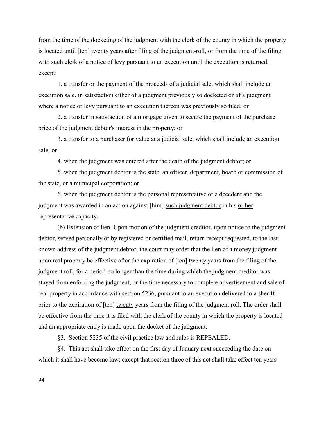from the time of the docketing of the judgment with the clerk of the county in which the property is located until [ten] twenty years after filing of the judgment-roll, or from the time of the filing with such clerk of a notice of levy pursuant to an execution until the execution is returned, except:

1. a transfer or the payment of the proceeds of a judicial sale, which shall include an execution sale, in satisfaction either of a judgment previously so docketed or of a judgment where a notice of levy pursuant to an execution thereon was previously so filed; or

2. a transfer in satisfaction of a mortgage given to secure the payment of the purchase price of the judgment debtor's interest in the property; or

3. a transfer to a purchaser for value at a judicial sale, which shall include an execution sale; or

4. when the judgment was entered after the death of the judgment debtor; or

5. when the judgment debtor is the state, an officer, department, board or commission of the state, or a municipal corporation; or

6. when the judgment debtor is the personal representative of a decedent and the judgment was awarded in an action against [him] such judgment debtor in his or her representative capacity.

(b) Extension of lien. Upon motion of the judgment creditor, upon notice to the judgment debtor, served personally or by registered or certified mail, return receipt requested, to the last known address of the judgment debtor, the court may order that the lien of a money judgment upon real property be effective after the expiration of [ten] twenty years from the filing of the judgment roll, for a period no longer than the time during which the judgment creditor was stayed from enforcing the judgment, or the time necessary to complete advertisement and sale of real property in accordance with section 5236, pursuant to an execution delivered to a sheriff prior to the expiration of [ten] twenty years from the filing of the judgment roll. The order shall be effective from the time it is filed with the clerk of the county in which the property is located and an appropriate entry is made upon the docket of the judgment.

§3. Section 5235 of the civil practice law and rules is REPEALED.

§4. This act shall take effect on the first day of January next succeeding the date on which it shall have become law; except that section three of this act shall take effect ten years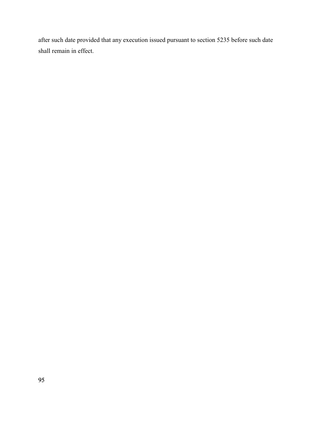after such date provided that any execution issued pursuant to section 5235 before such date shall remain in effect.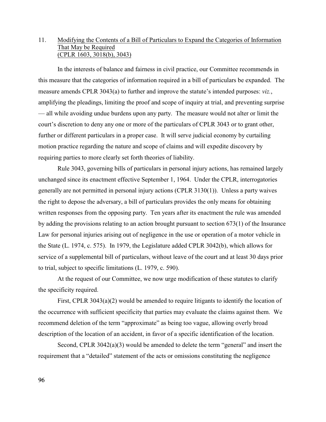# 11. Modifying the Contents of a Bill of Particulars to Expand the Categories of Information That May be Required (CPLR 1603, 3018(b), 3043)

In the interests of balance and fairness in civil practice, our Committee recommends in this measure that the categories of information required in a bill of particulars be expanded. The measure amends CPLR 3043(a) to further and improve the statute's intended purposes: *viz.*, amplifying the pleadings, limiting the proof and scope of inquiry at trial, and preventing surprise — all while avoiding undue burdens upon any party. The measure would not alter or limit the court's discretion to deny any one or more of the particulars of CPLR 3043 or to grant other, further or different particulars in a proper case. It will serve judicial economy by curtailing motion practice regarding the nature and scope of claims and will expedite discovery by requiring parties to more clearly set forth theories of liability.

Rule 3043, governing bills of particulars in personal injury actions, has remained largely unchanged since its enactment effective September 1, 1964. Under the CPLR, interrogatories generally are not permitted in personal injury actions (CPLR 3130(1)). Unless a party waives the right to depose the adversary, a bill of particulars provides the only means for obtaining written responses from the opposing party. Ten years after its enactment the rule was amended by adding the provisions relating to an action brought pursuant to section 673(1) of the Insurance Law for personal injuries arising out of negligence in the use or operation of a motor vehicle in the State (L. 1974, c. 575). In 1979, the Legislature added CPLR 3042(b), which allows for service of a supplemental bill of particulars, without leave of the court and at least 30 days prior to trial, subject to specific limitations (L. 1979, c. 590).

At the request of our Committee, we now urge modification of these statutes to clarify the specificity required.

First, CPLR 3043(a)(2) would be amended to require litigants to identify the location of the occurrence with sufficient specificity that parties may evaluate the claims against them. We recommend deletion of the term "approximate" as being too vague, allowing overly broad description of the location of an accident, in favor of a specific identification of the location.

Second, CPLR 3042(a)(3) would be amended to delete the term "general" and insert the requirement that a "detailed" statement of the acts or omissions constituting the negligence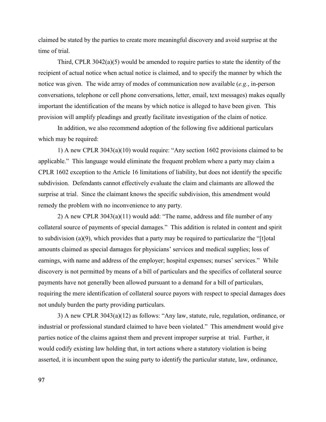claimed be stated by the parties to create more meaningful discovery and avoid surprise at the time of trial.

Third, CPLR 3042(a)(5) would be amended to require parties to state the identity of the recipient of actual notice when actual notice is claimed, and to specify the manner by which the notice was given. The wide array of modes of communication now available (*e.g.*, in-person conversations, telephone or cell phone conversations, letter, email, text messages) makes equally important the identification of the means by which notice is alleged to have been given. This provision will amplify pleadings and greatly facilitate investigation of the claim of notice.

In addition, we also recommend adoption of the following five additional particulars which may be required:

1) A new CPLR 3043(a)(10) would require: "Any section 1602 provisions claimed to be applicable." This language would eliminate the frequent problem where a party may claim a CPLR 1602 exception to the Article 16 limitations of liability, but does not identify the specific subdivision. Defendants cannot effectively evaluate the claim and claimants are allowed the surprise at trial. Since the claimant knows the specific subdivision, this amendment would remedy the problem with no inconvenience to any party.

2) A new CPLR 3043(a)(11) would add: "The name, address and file number of any collateral source of payments of special damages." This addition is related in content and spirit to subdivision (a)(9), which provides that a party may be required to particularize the " $[t]$ otal amounts claimed as special damages for physicians' services and medical supplies; loss of earnings, with name and address of the employer; hospital expenses; nurses' services." While discovery is not permitted by means of a bill of particulars and the specifics of collateral source payments have not generally been allowed pursuant to a demand for a bill of particulars, requiring the mere identification of collateral source payors with respect to special damages does not unduly burden the party providing particulars.

3) A new CPLR 3043(a)(12) as follows: "Any law, statute, rule, regulation, ordinance, or industrial or professional standard claimed to have been violated." This amendment would give parties notice of the claims against them and prevent improper surprise at trial. Further, it would codify existing law holding that, in tort actions where a statutory violation is being asserted, it is incumbent upon the suing party to identify the particular statute, law, ordinance,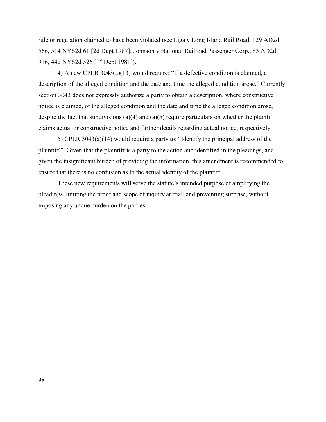rule or regulation claimed to have been violated (see Liga v Long Island Rail Road, 129 AD2d 566, 514 NYS2d 61 [2d Dept 1987]; Johnson v National Railroad Passenger Corp., 83 AD2d 916, 442 NYS2d 526 [1<sup>st</sup> Dept 1981]).

4) A new CPLR 3043(a)(13) would require: "If a defective condition is claimed, a description of the alleged condition and the date and time the alleged condition arose." Currently section 3043 does not expressly authorize a party to obtain a description, where constructive notice is claimed, of the alleged condition and the date and time the alleged condition arose, despite the fact that subdivisions (a)(4) and (a)(5) require particulars on whether the plaintiff claims actual or constructive notice and further details regarding actual notice, respectively.

5) CPLR 3043(a)(14) would require a party to: "Identify the principal address of the plaintiff." Given that the plaintiff is a party to the action and identified in the pleadings, and given the insignificant burden of providing the information, this amendment is recommended to ensure that there is no confusion as to the actual identity of the plaintiff.

These new requirements will serve the statute's intended purpose of amplifying the pleadings, limiting the proof and scope of inquiry at trial, and preventing surprise, without imposing any undue burden on the parties.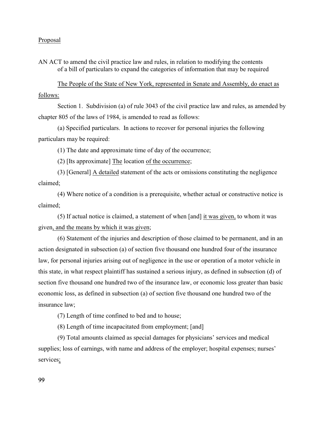#### Proposal

AN ACT to amend the civil practice law and rules, in relation to modifying the contents of a bill of particulars to expand the categories of information that may be required

The People of the State of New York, represented in Senate and Assembly, do enact as follows:

Section 1. Subdivision (a) of rule 3043 of the civil practice law and rules, as amended by chapter 805 of the laws of 1984, is amended to read as follows:

(a) Specified particulars. In actions to recover for personal injuries the following particulars may be required:

(1) The date and approximate time of day of the occurrence;

(2) [Its approximate] The location of the occurrence;

(3) [General] A detailed statement of the acts or omissions constituting the negligence claimed;

(4) Where notice of a condition is a prerequisite, whether actual or constructive notice is claimed;

(5) If actual notice is claimed, a statement of when [and] it was given, to whom it was given, and the means by which it was given;

(6) Statement of the injuries and description of those claimed to be permanent, and in an action designated in subsection (a) of section five thousand one hundred four of the insurance law, for personal injuries arising out of negligence in the use or operation of a motor vehicle in this state, in what respect plaintiff has sustained a serious injury, as defined in subsection (d) of section five thousand one hundred two of the insurance law, or economic loss greater than basic economic loss, as defined in subsection (a) of section five thousand one hundred two of the insurance law;

(7) Length of time confined to bed and to house;

(8) Length of time incapacitated from employment; [and]

(9) Total amounts claimed as special damages for physicians' services and medical supplies; loss of earnings, with name and address of the employer; hospital expenses; nurses' services;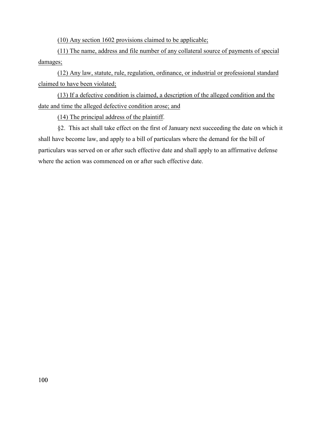(10) Any section 1602 provisions claimed to be applicable;

(11) The name, address and file number of any collateral source of payments of special damages;

(12) Any law, statute, rule, regulation, ordinance, or industrial or professional standard claimed to have been violated;

(13) If a defective condition is claimed, a description of the alleged condition and the date and time the alleged defective condition arose; and

(14) The principal address of the plaintiff.

§2. This act shall take effect on the first of January next succeeding the date on which it shall have become law, and apply to a bill of particulars where the demand for the bill of particulars was served on or after such effective date and shall apply to an affirmative defense where the action was commenced on or after such effective date.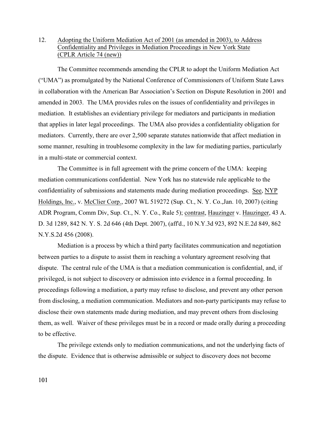## 12. Adopting the Uniform Mediation Act of 2001 (as amended in 2003), to Address Confidentiality and Privileges in Mediation Proceedings in New York State (CPLR Article 74 (new))

The Committee recommends amending the CPLR to adopt the Uniform Mediation Act ("UMA") as promulgated by the National Conference of Commissioners of Uniform State Laws in collaboration with the American Bar Association's Section on Dispute Resolution in 2001 and amended in 2003. The UMA provides rules on the issues of confidentiality and privileges in mediation. It establishes an evidentiary privilege for mediators and participants in mediation that applies in later legal proceedings. The UMA also provides a confidentiality obligation for mediators. Currently, there are over 2,500 separate statutes nationwide that affect mediation in some manner, resulting in troublesome complexity in the law for mediating parties, particularly in a multi-state or commercial context.

The Committee is in full agreement with the prime concern of the UMA: keeping mediation communications confidential. New York has no statewide rule applicable to the confidentiality of submissions and statements made during mediation proceedings. See, NYP Holdings, Inc., v. McClier Corp., 2007 WL 519272 (Sup. Ct., N. Y. Co.,Jan. 10, 2007) (citing ADR Program, Comm Div, Sup. Ct., N. Y. Co., Rule 5); contrast, Hauzinger v. Hauzinger, 43 A. D. 3d 1289, 842 N. Y. S. 2d 646 (4th Dept. 2007), (aff'd., 10 N.Y.3d 923, 892 N.E.2d 849, 862 N.Y.S.2d 456 (2008).

Mediation is a process by which a third party facilitates communication and negotiation between parties to a dispute to assist them in reaching a voluntary agreement resolving that dispute. The central rule of the UMA is that a mediation communication is confidential, and, if privileged, is not subject to discovery or admission into evidence in a formal proceeding. In proceedings following a mediation, a party may refuse to disclose, and prevent any other person from disclosing, a mediation communication. Mediators and non-party participants may refuse to disclose their own statements made during mediation, and may prevent others from disclosing them, as well. Waiver of these privileges must be in a record or made orally during a proceeding to be effective.

The privilege extends only to mediation communications, and not the underlying facts of the dispute. Evidence that is otherwise admissible or subject to discovery does not become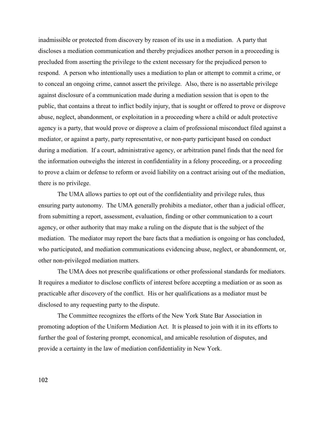inadmissible or protected from discovery by reason of its use in a mediation. A party that discloses a mediation communication and thereby prejudices another person in a proceeding is precluded from asserting the privilege to the extent necessary for the prejudiced person to respond. A person who intentionally uses a mediation to plan or attempt to commit a crime, or to conceal an ongoing crime, cannot assert the privilege. Also, there is no assertable privilege against disclosure of a communication made during a mediation session that is open to the public, that contains a threat to inflict bodily injury, that is sought or offered to prove or disprove abuse, neglect, abandonment, or exploitation in a proceeding where a child or adult protective agency is a party, that would prove or disprove a claim of professional misconduct filed against a mediator, or against a party, party representative, or non-party participant based on conduct during a mediation. If a court, administrative agency, or arbitration panel finds that the need for the information outweighs the interest in confidentiality in a felony proceeding, or a proceeding to prove a claim or defense to reform or avoid liability on a contract arising out of the mediation, there is no privilege.

The UMA allows parties to opt out of the confidentiality and privilege rules, thus ensuring party autonomy. The UMA generally prohibits a mediator, other than a judicial officer, from submitting a report, assessment, evaluation, finding or other communication to a court agency, or other authority that may make a ruling on the dispute that is the subject of the mediation. The mediator may report the bare facts that a mediation is ongoing or has concluded, who participated, and mediation communications evidencing abuse, neglect, or abandonment, or, other non-privileged mediation matters.

The UMA does not prescribe qualifications or other professional standards for mediators. It requires a mediator to disclose conflicts of interest before accepting a mediation or as soon as practicable after discovery of the conflict. His or her qualifications as a mediator must be disclosed to any requesting party to the dispute.

The Committee recognizes the efforts of the New York State Bar Association in promoting adoption of the Uniform Mediation Act. It is pleased to join with it in its efforts to further the goal of fostering prompt, economical, and amicable resolution of disputes, and provide a certainty in the law of mediation confidentiality in New York.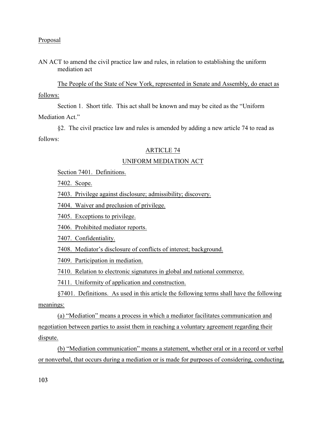AN ACT to amend the civil practice law and rules, in relation to establishing the uniform mediation act

The People of the State of New York, represented in Senate and Assembly, do enact as follows:

Section 1. Short title. This act shall be known and may be cited as the "Uniform Mediation Act."

§2. The civil practice law and rules is amended by adding a new article 74 to read as follows:

### ARTICLE 74

### UNIFORM MEDIATION ACT

Section 7401. Definitions.

7402. Scope.

7403. Privilege against disclosure; admissibility; discovery.

7404. Waiver and preclusion of privilege.

7405. Exceptions to privilege.

7406. Prohibited mediator reports.

7407. Confidentiality.

7408. Mediator's disclosure of conflicts of interest; background.

7409. Participation in mediation.

7410. Relation to electronic signatures in global and national commerce.

7411. Uniformity of application and construction.

§7401. Definitions. As used in this article the following terms shall have the following meanings:

(a) "Mediation" means a process in which a mediator facilitates communication and negotiation between parties to assist them in reaching a voluntary agreement regarding their dispute.

(b) "Mediation communication" means a statement, whether oral or in a record or verbal or nonverbal, that occurs during a mediation or is made for purposes of considering, conducting,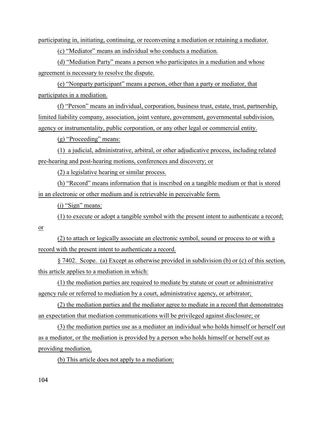participating in, initiating, continuing, or reconvening a mediation or retaining a mediator.

(c) "Mediator" means an individual who conducts a mediation.

(d) "Mediation Party" means a person who participates in a mediation and whose agreement is necessary to resolve the dispute.

(e) "Nonparty participant" means a person, other than a party or mediator, that participates in a mediation.

(f) "Person" means an individual, corporation, business trust, estate, trust, partnership, limited liability company, association, joint venture, government, governmental subdivision, agency or instrumentality, public corporation, or any other legal or commercial entity.

(g) "Proceeding" means:

(1) a judicial, administrative, arbitral, or other adjudicative process, including related pre-hearing and post-hearing motions, conferences and discovery; or

(2) a legislative hearing or similar process.

(h) "Record" means information that is inscribed on a tangible medium or that is stored in an electronic or other medium and is retrievable in perceivable form.

(i) "Sign" means:

(1) to execute or adopt a tangible symbol with the present intent to authenticate a record;

or

(2) to attach or logically associate an electronic symbol, sound or process to or with a record with the present intent to authenticate a record.

§ 7402. Scope. (a) Except as otherwise provided in subdivision (b) or (c) of this section, this article applies to a mediation in which:

(1) the mediation parties are required to mediate by statute or court or administrative agency rule or referred to mediation by a court, administrative agency, or arbitrator;

(2) the mediation parties and the mediator agree to mediate in a record that demonstrates an expectation that mediation communications will be privileged against disclosure; or

(3) the mediation parties use as a mediator an individual who holds himself or herself out as a mediator, or the mediation is provided by a person who holds himself or herself out as providing mediation.

(b) This article does not apply to a mediation: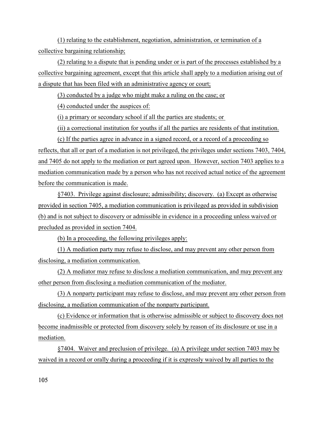(1) relating to the establishment, negotiation, administration, or termination of a collective bargaining relationship;

(2) relating to a dispute that is pending under or is part of the processes established by a collective bargaining agreement, except that this article shall apply to a mediation arising out of a dispute that has been filed with an administrative agency or court;

(3) conducted by a judge who might make a ruling on the case; or

(4) conducted under the auspices of:

(i) a primary or secondary school if all the parties are students; or

(ii) a correctional institution for youths if all the parties are residents of that institution.

(c) If the parties agree in advance in a signed record, or a record of a proceeding so reflects, that all or part of a mediation is not privileged, the privileges under sections 7403, 7404, and 7405 do not apply to the mediation or part agreed upon. However, section 7403 applies to a mediation communication made by a person who has not received actual notice of the agreement before the communication is made.

§7403. Privilege against disclosure; admissibility; discovery. (a) Except as otherwise provided in section 7405, a mediation communication is privileged as provided in subdivision (b) and is not subject to discovery or admissible in evidence in a proceeding unless waived or precluded as provided in section 7404.

(b) In a proceeding, the following privileges apply:

(1) A mediation party may refuse to disclose, and may prevent any other person from disclosing, a mediation communication.

(2) A mediator may refuse to disclose a mediation communication, and may prevent any other person from disclosing a mediation communication of the mediator.

(3) A nonparty participant may refuse to disclose, and may prevent any other person from disclosing, a mediation communication of the nonparty participant.

(c) Evidence or information that is otherwise admissible or subject to discovery does not become inadmissible or protected from discovery solely by reason of its disclosure or use in a mediation.

§7404. Waiver and preclusion of privilege. (a) A privilege under section 7403 may be waived in a record or orally during a proceeding if it is expressly waived by all parties to the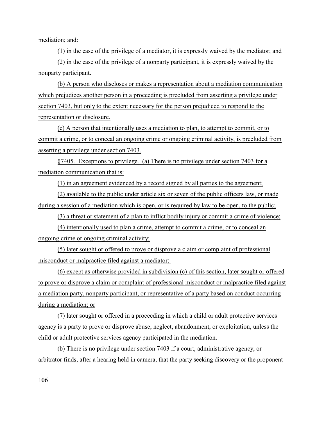mediation; and:

(1) in the case of the privilege of a mediator, it is expressly waived by the mediator; and

(2) in the case of the privilege of a nonparty participant, it is expressly waived by the nonparty participant.

(b) A person who discloses or makes a representation about a mediation communication which prejudices another person in a proceeding is precluded from asserting a privilege under section 7403, but only to the extent necessary for the person prejudiced to respond to the representation or disclosure.

(c) A person that intentionally uses a mediation to plan, to attempt to commit, or to commit a crime, or to conceal an ongoing crime or ongoing criminal activity, is precluded from asserting a privilege under section 7403.

§7405. Exceptions to privilege. (a) There is no privilege under section 7403 for a mediation communication that is:

(1) in an agreement evidenced by a record signed by all parties to the agreement;

(2) available to the public under article six or seven of the public officers law, or made during a session of a mediation which is open, or is required by law to be open, to the public;

(3) a threat or statement of a plan to inflict bodily injury or commit a crime of violence;

(4) intentionally used to plan a crime, attempt to commit a crime, or to conceal an ongoing crime or ongoing criminal activity;

(5) later sought or offered to prove or disprove a claim or complaint of professional misconduct or malpractice filed against a mediator;

(6) except as otherwise provided in subdivision (c) of this section, later sought or offered to prove or disprove a claim or complaint of professional misconduct or malpractice filed against a mediation party, nonparty participant, or representative of a party based on conduct occurring during a mediation; or

(7) later sought or offered in a proceeding in which a child or adult protective services agency is a party to prove or disprove abuse, neglect, abandonment, or exploitation, unless the child or adult protective services agency participated in the mediation.

(b) There is no privilege under section 7403 if a court, administrative agency, or arbitrator finds, after a hearing held in camera, that the party seeking discovery or the proponent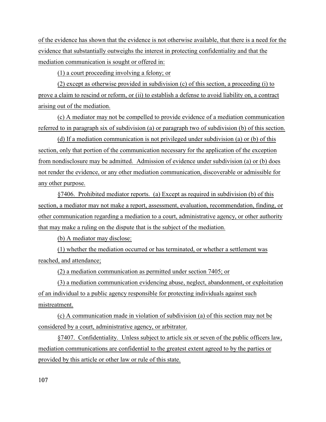of the evidence has shown that the evidence is not otherwise available, that there is a need for the evidence that substantially outweighs the interest in protecting confidentiality and that the mediation communication is sought or offered in:

(1) a court proceeding involving a felony; or

(2) except as otherwise provided in subdivision (c) of this section, a proceeding (i) to prove a claim to rescind or reform, or (ii) to establish a defense to avoid liability on, a contract arising out of the mediation.

(c) A mediator may not be compelled to provide evidence of a mediation communication referred to in paragraph six of subdivision (a) or paragraph two of subdivision (b) of this section.

(d) If a mediation communication is not privileged under subdivision (a) or (b) of this section, only that portion of the communication necessary for the application of the exception from nondisclosure may be admitted. Admission of evidence under subdivision (a) or (b) does not render the evidence, or any other mediation communication, discoverable or admissible for any other purpose.

§7406. Prohibited mediator reports. (a) Except as required in subdivision (b) of this section, a mediator may not make a report, assessment, evaluation, recommendation, finding, or other communication regarding a mediation to a court, administrative agency, or other authority that may make a ruling on the dispute that is the subject of the mediation.

(b) A mediator may disclose:

(1) whether the mediation occurred or has terminated, or whether a settlement was reached, and attendance;

(2) a mediation communication as permitted under section 7405; or

(3) a mediation communication evidencing abuse, neglect, abandonment, or exploitation of an individual to a public agency responsible for protecting individuals against such mistreatment.

(c) A communication made in violation of subdivision (a) of this section may not be considered by a court, administrative agency, or arbitrator.

§7407. Confidentiality. Unless subject to article six or seven of the public officers law, mediation communications are confidential to the greatest extent agreed to by the parties or provided by this article or other law or rule of this state.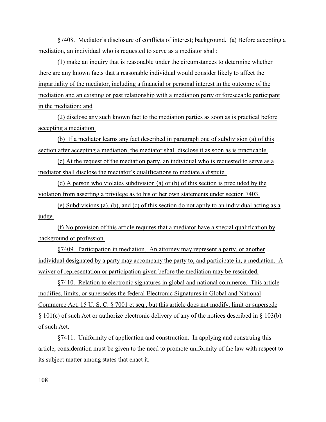§7408. Mediator's disclosure of conflicts of interest; background. (a) Before accepting a mediation, an individual who is requested to serve as a mediator shall:

(1) make an inquiry that is reasonable under the circumstances to determine whether there are any known facts that a reasonable individual would consider likely to affect the impartiality of the mediator, including a financial or personal interest in the outcome of the mediation and an existing or past relationship with a mediation party or foreseeable participant in the mediation; and

(2) disclose any such known fact to the mediation parties as soon as is practical before accepting a mediation.

(b) If a mediator learns any fact described in paragraph one of subdivision (a) of this section after accepting a mediation, the mediator shall disclose it as soon as is practicable.

(c) At the request of the mediation party, an individual who is requested to serve as a mediator shall disclose the mediator's qualifications to mediate a dispute.

(d) A person who violates subdivision (a) or (b) of this section is precluded by the violation from asserting a privilege as to his or her own statements under section 7403.

(e) Subdivisions (a), (b), and (c) of this section do not apply to an individual acting as a judge.

(f) No provision of this article requires that a mediator have a special qualification by background or profession.

§7409. Participation in mediation. An attorney may represent a party, or another individual designated by a party may accompany the party to, and participate in, a mediation. A waiver of representation or participation given before the mediation may be rescinded.

§7410. Relation to electronic signatures in global and national commerce. This article modifies, limits, or supersedes the federal Electronic Signatures in Global and National Commerce Act, 15 U. S. C. § 7001 et seq., but this article does not modify, limit or supersede § 101(c) of such Act or authorize electronic delivery of any of the notices described in § 103(b) of such Act.

§7411. Uniformity of application and construction. In applying and construing this article, consideration must be given to the need to promote uniformity of the law with respect to its subject matter among states that enact it.

108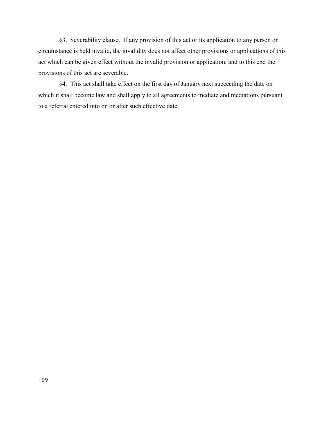§3. Severability clause. If any provision of this act or its application to any person or circumstance is held invalid, the invalidity does not affect other provisions or applications of this act which can be given effect without the invalid provision or application, and to this end the provisions of this act are severable.

 §4. This act shall take effect on the first day of January next succeeding the date on which it shall become law and shall apply to all agreements to mediate and mediations pursuant to a referral entered into on or after such effective date.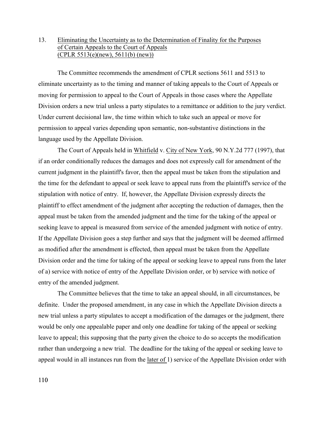# 13. Eliminating the Uncertainty as to the Determination of Finality for the Purposes of Certain Appeals to the Court of Appeals (CPLR 5513(e)(new), 5611(b) (new))

The Committee recommends the amendment of CPLR sections 5611 and 5513 to eliminate uncertainty as to the timing and manner of taking appeals to the Court of Appeals or moving for permission to appeal to the Court of Appeals in those cases where the Appellate Division orders a new trial unless a party stipulates to a remittance or addition to the jury verdict. Under current decisional law, the time within which to take such an appeal or move for permission to appeal varies depending upon semantic, non-substantive distinctions in the language used by the Appellate Division.

The Court of Appeals held in Whitfield v. City of New York, 90 N.Y.2d 777 (1997), that if an order conditionally reduces the damages and does not expressly call for amendment of the current judgment in the plaintiff's favor, then the appeal must be taken from the stipulation and the time for the defendant to appeal or seek leave to appeal runs from the plaintiff's service of the stipulation with notice of entry. If, however, the Appellate Division expressly directs the plaintiff to effect amendment of the judgment after accepting the reduction of damages, then the appeal must be taken from the amended judgment and the time for the taking of the appeal or seeking leave to appeal is measured from service of the amended judgment with notice of entry. If the Appellate Division goes a step further and says that the judgment will be deemed affirmed as modified after the amendment is effected, then appeal must be taken from the Appellate Division order and the time for taking of the appeal or seeking leave to appeal runs from the later of a) service with notice of entry of the Appellate Division order, or b) service with notice of entry of the amended judgment.

The Committee believes that the time to take an appeal should, in all circumstances, be definite. Under the proposed amendment, in any case in which the Appellate Division directs a new trial unless a party stipulates to accept a modification of the damages or the judgment, there would be only one appealable paper and only one deadline for taking of the appeal or seeking leave to appeal; this supposing that the party given the choice to do so accepts the modification rather than undergoing a new trial. The deadline for the taking of the appeal or seeking leave to appeal would in all instances run from the later of 1) service of the Appellate Division order with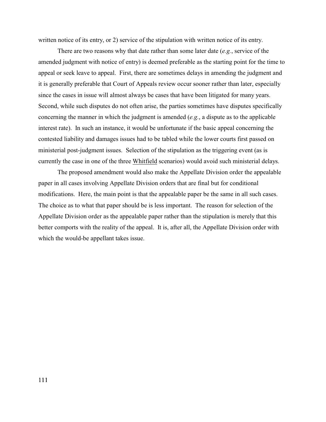written notice of its entry, or 2) service of the stipulation with written notice of its entry.

There are two reasons why that date rather than some later date (*e.g.*, service of the amended judgment with notice of entry) is deemed preferable as the starting point for the time to appeal or seek leave to appeal. First, there are sometimes delays in amending the judgment and it is generally preferable that Court of Appeals review occur sooner rather than later, especially since the cases in issue will almost always be cases that have been litigated for many years. Second, while such disputes do not often arise, the parties sometimes have disputes specifically concerning the manner in which the judgment is amended (*e.g.*, a dispute as to the applicable interest rate). In such an instance, it would be unfortunate if the basic appeal concerning the contested liability and damages issues had to be tabled while the lower courts first passed on ministerial post-judgment issues. Selection of the stipulation as the triggering event (as is currently the case in one of the three Whitfield scenarios) would avoid such ministerial delays.

The proposed amendment would also make the Appellate Division order the appealable paper in all cases involving Appellate Division orders that are final but for conditional modifications. Here, the main point is that the appealable paper be the same in all such cases. The choice as to what that paper should be is less important. The reason for selection of the Appellate Division order as the appealable paper rather than the stipulation is merely that this better comports with the reality of the appeal. It is, after all, the Appellate Division order with which the would-be appellant takes issue.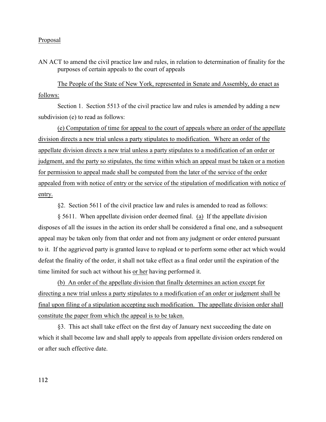AN ACT to amend the civil practice law and rules, in relation to determination of finality for the purposes of certain appeals to the court of appeals

The People of the State of New York, represented in Senate and Assembly, do enact as follows:

Section 1. Section 5513 of the civil practice law and rules is amended by adding a new subdivision (e) to read as follows:

(e) Computation of time for appeal to the court of appeals where an order of the appellate division directs a new trial unless a party stipulates to modification. Where an order of the appellate division directs a new trial unless a party stipulates to a modification of an order or judgment, and the party so stipulates, the time within which an appeal must be taken or a motion for permission to appeal made shall be computed from the later of the service of the order appealed from with notice of entry or the service of the stipulation of modification with notice of entry.

§2. Section 5611 of the civil practice law and rules is amended to read as follows:

§ 5611. When appellate division order deemed final. (a) If the appellate division disposes of all the issues in the action its order shall be considered a final one, and a subsequent appeal may be taken only from that order and not from any judgment or order entered pursuant to it. If the aggrieved party is granted leave to replead or to perform some other act which would defeat the finality of the order, it shall not take effect as a final order until the expiration of the time limited for such act without his or her having performed it.

(b) An order of the appellate division that finally determines an action except for directing a new trial unless a party stipulates to a modification of an order or judgment shall be final upon filing of a stipulation accepting such modification. The appellate division order shall constitute the paper from which the appeal is to be taken.

§3. This act shall take effect on the first day of January next succeeding the date on which it shall become law and shall apply to appeals from appellate division orders rendered on or after such effective date.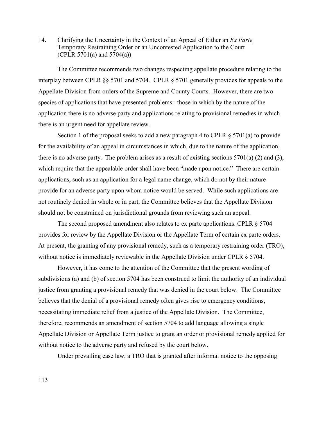### 14. Clarifying the Uncertainty in the Context of an Appeal of Either an *Ex Parte* Temporary Restraining Order or an Uncontested Application to the Court (CPLR 5701(a) and 5704(a))

The Committee recommends two changes respecting appellate procedure relating to the interplay between CPLR §§ 5701 and 5704. CPLR § 5701 generally provides for appeals to the Appellate Division from orders of the Supreme and County Courts. However, there are two species of applications that have presented problems: those in which by the nature of the application there is no adverse party and applications relating to provisional remedies in which there is an urgent need for appellate review.

Section 1 of the proposal seeks to add a new paragraph 4 to CPLR  $\S$  5701(a) to provide for the availability of an appeal in circumstances in which, due to the nature of the application, there is no adverse party. The problem arises as a result of existing sections 5701(a) (2) and (3), which require that the appealable order shall have been "made upon notice." There are certain applications, such as an application for a legal name change, which do not by their nature provide for an adverse party upon whom notice would be served. While such applications are not routinely denied in whole or in part, the Committee believes that the Appellate Division should not be constrained on jurisdictional grounds from reviewing such an appeal.

The second proposed amendment also relates to ex parte applications. CPLR § 5704 provides for review by the Appellate Division or the Appellate Term of certain ex parte orders. At present, the granting of any provisional remedy, such as a temporary restraining order (TRO), without notice is immediately reviewable in the Appellate Division under CPLR § 5704.

However, it has come to the attention of the Committee that the present wording of subdivisions (a) and (b) of section 5704 has been construed to limit the authority of an individual justice from granting a provisional remedy that was denied in the court below. The Committee believes that the denial of a provisional remedy often gives rise to emergency conditions, necessitating immediate relief from a justice of the Appellate Division. The Committee, therefore, recommends an amendment of section 5704 to add language allowing a single Appellate Division or Appellate Term justice to grant an order or provisional remedy applied for without notice to the adverse party and refused by the court below.

Under prevailing case law, a TRO that is granted after informal notice to the opposing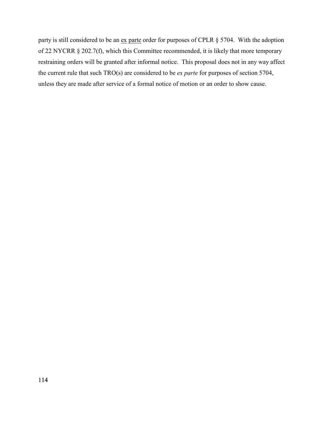party is still considered to be an ex parte order for purposes of CPLR § 5704. With the adoption of 22 NYCRR § 202.7(f), which this Committee recommended, it is likely that more temporary restraining orders will be granted after informal notice. This proposal does not in any way affect the current rule that such TRO(s) are considered to be *ex parte* for purposes of section 5704, unless they are made after service of a formal notice of motion or an order to show cause.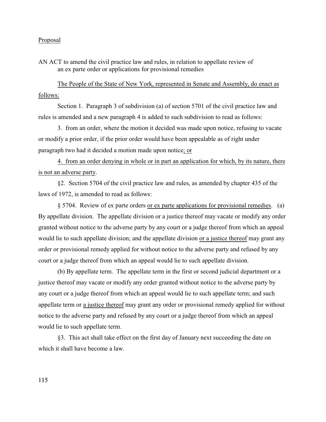AN ACT to amend the civil practice law and rules, in relation to appellate review of an ex parte order or applications for provisional remedies

The People of the State of New York, represented in Senate and Assembly, do enact as follows:

Section 1. Paragraph 3 of subdivision (a) of section 5701 of the civil practice law and rules is amended and a new paragraph 4 is added to such subdivision to read as follows:

3. from an order, where the motion it decided was made upon notice, refusing to vacate or modify a prior order, if the prior order would have been appealable as of right under paragraph two had it decided a motion made upon notice; or

4. from an order denying in whole or in part an application for which, by its nature, there is not an adverse party.

§2. Section 5704 of the civil practice law and rules, as amended by chapter 435 of the laws of 1972, is amended to read as follows:

§ 5704. Review of ex parte orders or ex parte applications for provisional remedies. (a) By appellate division. The appellate division or a justice thereof may vacate or modify any order granted without notice to the adverse party by any court or a judge thereof from which an appeal would lie to such appellate division; and the appellate division or a justice thereof may grant any order or provisional remedy applied for without notice to the adverse party and refused by any court or a judge thereof from which an appeal would lie to such appellate division.

(b) By appellate term. The appellate term in the first or second judicial department or a justice thereof may vacate or modify any order granted without notice to the adverse party by any court or a judge thereof from which an appeal would lie to such appellate term; and such appellate term or a justice thereof may grant any order or provisional remedy applied for without notice to the adverse party and refused by any court or a judge thereof from which an appeal would lie to such appellate term.

§3. This act shall take effect on the first day of January next succeeding the date on which it shall have become a law.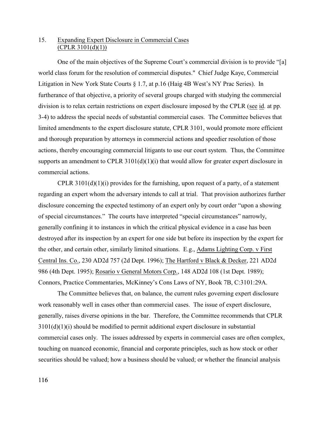### 15. Expanding Expert Disclosure in Commercial Cases  $(CPLR 3101(d)(1))$

One of the main objectives of the Supreme Court's commercial division is to provide "[a] world class forum for the resolution of commercial disputes." Chief Judge Kaye, Commercial Litigation in New York State Courts § 1.7, at p.16 (Haig 4B West's NY Prac Series). In furtherance of that objective, a priority of several groups charged with studying the commercial division is to relax certain restrictions on expert disclosure imposed by the CPLR (see id. at pp. 3-4) to address the special needs of substantial commercial cases. The Committee believes that limited amendments to the expert disclosure statute, CPLR 3101, would promote more efficient and thorough preparation by attorneys in commercial actions and speedier resolution of those actions, thereby encouraging commercial litigants to use our court system. Thus, the Committee supports an amendment to CPLR 3101(d)(1)(i) that would allow for greater expert disclosure in commercial actions.

CPLR  $3101(d)(1)(i)$  provides for the furnishing, upon request of a party, of a statement regarding an expert whom the adversary intends to call at trial. That provision authorizes further disclosure concerning the expected testimony of an expert only by court order "upon a showing of special circumstances." The courts have interpreted "special circumstances" narrowly, generally confining it to instances in which the critical physical evidence in a case has been destroyed after its inspection by an expert for one side but before its inspection by the expert for the other, and certain other, similarly limited situations. E.g., Adams Lighting Corp. v First Central Ins. Co., 230 AD2d 757 (2d Dept. 1996); The Hartford v Black & Decker, 221 AD2d 986 (4th Dept. 1995); Rosario v General Motors Corp., 148 AD2d 108 (1st Dept. 1989); Connors, Practice Commentaries, McKinney's Cons Laws of NY, Book 7B, C:3101:29A.

The Committee believes that, on balance, the current rules governing expert disclosure work reasonably well in cases other than commercial cases. The issue of expert disclosure, generally, raises diverse opinions in the bar. Therefore, the Committee recommends that CPLR  $3101(d)(1)(i)$  should be modified to permit additional expert disclosure in substantial commercial cases only. The issues addressed by experts in commercial cases are often complex, touching on nuanced economic, financial and corporate principles, such as how stock or other securities should be valued; how a business should be valued; or whether the financial analysis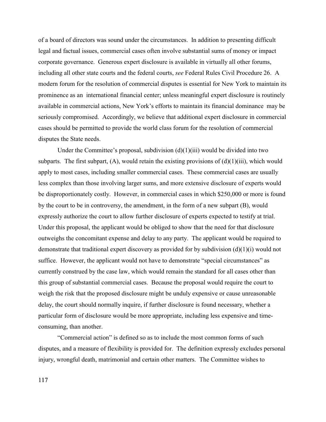of a board of directors was sound under the circumstances. In addition to presenting difficult legal and factual issues, commercial cases often involve substantial sums of money or impact corporate governance. Generous expert disclosure is available in virtually all other forums, including all other state courts and the federal courts, *see* Federal Rules Civil Procedure 26. A modern forum for the resolution of commercial disputes is essential for New York to maintain its prominence as an international financial center; unless meaningful expert disclosure is routinely available in commercial actions, New York's efforts to maintain its financial dominance may be seriously compromised. Accordingly, we believe that additional expert disclosure in commercial cases should be permitted to provide the world class forum for the resolution of commercial disputes the State needs.

Under the Committee's proposal, subdivision  $(d)(1)(iii)$  would be divided into two subparts. The first subpart,  $(A)$ , would retain the existing provisions of  $(d)(1)(iii)$ , which would apply to most cases, including smaller commercial cases. These commercial cases are usually less complex than those involving larger sums, and more extensive disclosure of experts would be disproportionately costly. However, in commercial cases in which \$250,000 or more is found by the court to be in controversy, the amendment, in the form of a new subpart (B), would expressly authorize the court to allow further disclosure of experts expected to testify at trial. Under this proposal, the applicant would be obliged to show that the need for that disclosure outweighs the concomitant expense and delay to any party. The applicant would be required to demonstrate that traditional expert discovery as provided for by subdivision (d)(1)(i) would not suffice. However, the applicant would not have to demonstrate "special circumstances" as currently construed by the case law, which would remain the standard for all cases other than this group of substantial commercial cases. Because the proposal would require the court to weigh the risk that the proposed disclosure might be unduly expensive or cause unreasonable delay, the court should normally inquire, if further disclosure is found necessary, whether a particular form of disclosure would be more appropriate, including less expensive and timeconsuming, than another.

"Commercial action" is defined so as to include the most common forms of such disputes, and a measure of flexibility is provided for. The definition expressly excludes personal injury, wrongful death, matrimonial and certain other matters. The Committee wishes to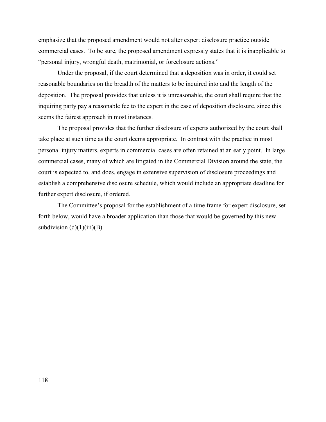emphasize that the proposed amendment would not alter expert disclosure practice outside commercial cases. To be sure, the proposed amendment expressly states that it is inapplicable to "personal injury, wrongful death, matrimonial, or foreclosure actions."

Under the proposal, if the court determined that a deposition was in order, it could set reasonable boundaries on the breadth of the matters to be inquired into and the length of the deposition. The proposal provides that unless it is unreasonable, the court shall require that the inquiring party pay a reasonable fee to the expert in the case of deposition disclosure, since this seems the fairest approach in most instances.

The proposal provides that the further disclosure of experts authorized by the court shall take place at such time as the court deems appropriate. In contrast with the practice in most personal injury matters, experts in commercial cases are often retained at an early point. In large commercial cases, many of which are litigated in the Commercial Division around the state, the court is expected to, and does, engage in extensive supervision of disclosure proceedings and establish a comprehensive disclosure schedule, which would include an appropriate deadline for further expert disclosure, if ordered.

The Committee's proposal for the establishment of a time frame for expert disclosure, set forth below, would have a broader application than those that would be governed by this new subdivision  $(d)(1)(iii)(B)$ .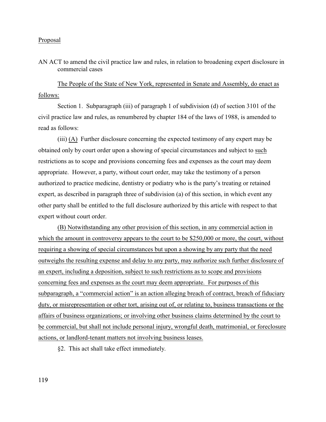AN ACT to amend the civil practice law and rules, in relation to broadening expert disclosure in commercial cases

The People of the State of New York, represented in Senate and Assembly, do enact as follows:

Section 1. Subparagraph (iii) of paragraph 1 of subdivision (d) of section 3101 of the civil practice law and rules, as renumbered by chapter 184 of the laws of 1988, is amended to read as follows:

(iii) (A) Further disclosure concerning the expected testimony of any expert may be obtained only by court order upon a showing of special circumstances and subject to such restrictions as to scope and provisions concerning fees and expenses as the court may deem appropriate. However, a party, without court order, may take the testimony of a person authorized to practice medicine, dentistry or podiatry who is the party's treating or retained expert, as described in paragraph three of subdivision (a) of this section, in which event any other party shall be entitled to the full disclosure authorized by this article with respect to that expert without court order.

(B) Notwithstanding any other provision of this section, in any commercial action in which the amount in controversy appears to the court to be \$250,000 or more, the court, without requiring a showing of special circumstances but upon a showing by any party that the need outweighs the resulting expense and delay to any party, may authorize such further disclosure of an expert, including a deposition, subject to such restrictions as to scope and provisions concerning fees and expenses as the court may deem appropriate. For purposes of this subparagraph, a "commercial action" is an action alleging breach of contract, breach of fiduciary duty, or misrepresentation or other tort, arising out of, or relating to, business transactions or the affairs of business organizations; or involving other business claims determined by the court to be commercial, but shall not include personal injury, wrongful death, matrimonial, or foreclosure actions, or landlord-tenant matters not involving business leases.

§2. This act shall take effect immediately.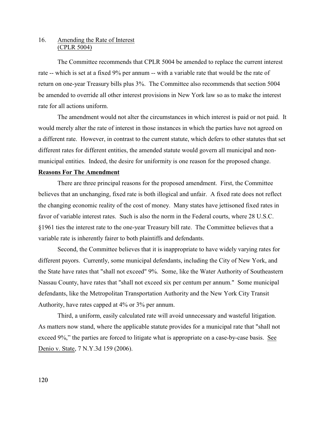### 16. Amending the Rate of Interest (CPLR 5004)

The Committee recommends that CPLR 5004 be amended to replace the current interest rate -- which is set at a fixed 9% per annum -- with a variable rate that would be the rate of return on one-year Treasury bills plus 3%. The Committee also recommends that section 5004 be amended to override all other interest provisions in New York law so as to make the interest rate for all actions uniform.

The amendment would not alter the circumstances in which interest is paid or not paid. It would merely alter the rate of interest in those instances in which the parties have not agreed on a different rate. However, in contrast to the current statute, which defers to other statutes that set different rates for different entities, the amended statute would govern all municipal and nonmunicipal entities. Indeed, the desire for uniformity is one reason for the proposed change.

### **Reasons For The Amendment**

There are three principal reasons for the proposed amendment. First, the Committee believes that an unchanging, fixed rate is both illogical and unfair. A fixed rate does not reflect the changing economic reality of the cost of money. Many states have jettisoned fixed rates in favor of variable interest rates. Such is also the norm in the Federal courts, where 28 U.S.C. §1961 ties the interest rate to the one-year Treasury bill rate. The Committee believes that a variable rate is inherently fairer to both plaintiffs and defendants.

Second, the Committee believes that it is inappropriate to have widely varying rates for different payors. Currently, some municipal defendants, including the City of New York, and the State have rates that "shall not exceed" 9%. Some, like the Water Authority of Southeastern Nassau County, have rates that "shall not exceed six per centum per annum." Some municipal defendants, like the Metropolitan Transportation Authority and the New York City Transit Authority, have rates capped at 4% or 3% per annum.

Third, a uniform, easily calculated rate will avoid unnecessary and wasteful litigation. As matters now stand, where the applicable statute provides for a municipal rate that "shall not exceed 9%," the parties are forced to litigate what is appropriate on a case-by-case basis. See Denio v. State, 7 N.Y.3d 159 (2006).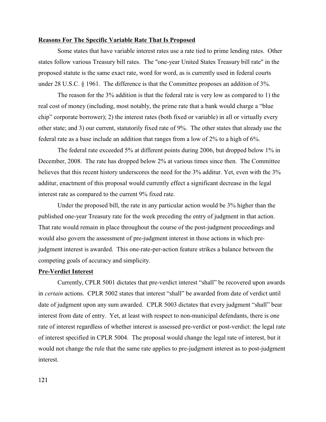#### **Reasons For The Specific Variable Rate That Is Proposed**

Some states that have variable interest rates use a rate tied to prime lending rates. Other states follow various Treasury bill rates. The "one-year United States Treasury bill rate" in the proposed statute is the same exact rate, word for word, as is currently used in federal courts under 28 U.S.C. § 1961. The difference is that the Committee proposes an addition of 3%.

The reason for the 3% addition is that the federal rate is very low as compared to 1) the real cost of money (including, most notably, the prime rate that a bank would charge a "blue chip" corporate borrower); 2) the interest rates (both fixed or variable) in all or virtually every other state; and 3) our current, statutorily fixed rate of 9%. The other states that already use the federal rate as a base include an addition that ranges from a low of 2% to a high of 6%.

The federal rate exceeded 5% at different points during 2006, but dropped below 1% in December, 2008. The rate has dropped below 2% at various times since then. The Committee believes that this recent history underscores the need for the 3% additur. Yet, even with the 3% additur, enactment of this proposal would currently effect a significant decrease in the legal interest rate as compared to the current 9% fixed rate.

Under the proposed bill, the rate in any particular action would be 3% higher than the published one-year Treasury rate for the week preceding the entry of judgment in that action. That rate would remain in place throughout the course of the post-judgment proceedings and would also govern the assessment of pre-judgment interest in those actions in which prejudgment interest is awarded. This one-rate-per-action feature strikes a balance between the competing goals of accuracy and simplicity.

#### **Pre-Verdict Interest**

Currently, CPLR 5001 dictates that pre-verdict interest "shall" be recovered upon awards in *certain* actions. CPLR 5002 states that interest "shall" be awarded from date of verdict until date of judgment upon any sum awarded. CPLR 5003 dictates that every judgment "shall" bear interest from date of entry. Yet, at least with respect to non-municipal defendants, there is one rate of interest regardless of whether interest is assessed pre-verdict or post-verdict: the legal rate of interest specified in CPLR 5004. The proposal would change the legal rate of interest, but it would not change the rule that the same rate applies to pre-judgment interest as to post-judgment interest.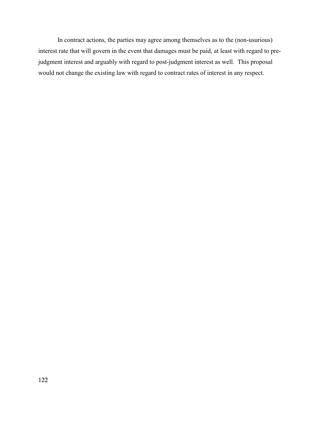In contract actions, the parties may agree among themselves as to the (non-usurious) interest rate that will govern in the event that damages must be paid, at least with regard to prejudgment interest and arguably with regard to post-judgment interest as well. This proposal would not change the existing law with regard to contract rates of interest in any respect.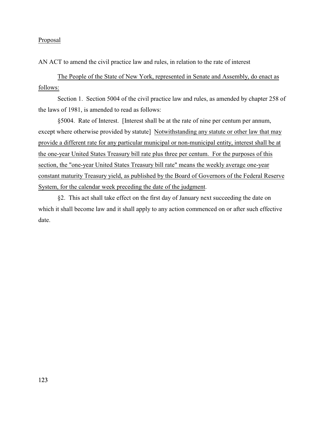AN ACT to amend the civil practice law and rules, in relation to the rate of interest

The People of the State of New York, represented in Senate and Assembly, do enact as follows:

Section 1. Section 5004 of the civil practice law and rules, as amended by chapter 258 of the laws of 1981, is amended to read as follows:

§5004. Rate of Interest. [Interest shall be at the rate of nine per centum per annum, except where otherwise provided by statute] Notwithstanding any statute or other law that may provide a different rate for any particular municipal or non-municipal entity, interest shall be at the one-year United States Treasury bill rate plus three per centum. For the purposes of this section, the "one-year United States Treasury bill rate" means the weekly average one-year constant maturity Treasury yield, as published by the Board of Governors of the Federal Reserve System, for the calendar week preceding the date of the judgment.

§2. This act shall take effect on the first day of January next succeeding the date on which it shall become law and it shall apply to any action commenced on or after such effective date.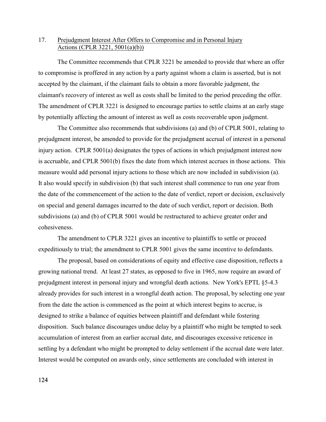# 17. Prejudgment Interest After Offers to Compromise and in Personal Injury Actions (CPLR 3221, 5001(a)(b))

The Committee recommends that CPLR 3221 be amended to provide that where an offer to compromise is proffered in any action by a party against whom a claim is asserted, but is not accepted by the claimant, if the claimant fails to obtain a more favorable judgment, the claimant's recovery of interest as well as costs shall be limited to the period preceding the offer. The amendment of CPLR 3221 is designed to encourage parties to settle claims at an early stage by potentially affecting the amount of interest as well as costs recoverable upon judgment.

The Committee also recommends that subdivisions (a) and (b) of CPLR 5001, relating to prejudgment interest, be amended to provide for the prejudgment accrual of interest in a personal injury action. CPLR 5001(a) designates the types of actions in which prejudgment interest now is accruable, and CPLR 5001(b) fixes the date from which interest accrues in those actions. This measure would add personal injury actions to those which are now included in subdivision (a). It also would specify in subdivision (b) that such interest shall commence to run one year from the date of the commencement of the action to the date of verdict, report or decision, exclusively on special and general damages incurred to the date of such verdict, report or decision. Both subdivisions (a) and (b) of CPLR 5001 would be restructured to achieve greater order and cohesiveness.

The amendment to CPLR 3221 gives an incentive to plaintiffs to settle or proceed expeditiously to trial; the amendment to CPLR 5001 gives the same incentive to defendants.

The proposal, based on considerations of equity and effective case disposition, reflects a growing national trend. At least 27 states, as opposed to five in 1965, now require an award of prejudgment interest in personal injury and wrongful death actions. New York's EPTL §5-4.3 already provides for such interest in a wrongful death action. The proposal, by selecting one year from the date the action is commenced as the point at which interest begins to accrue, is designed to strike a balance of equities between plaintiff and defendant while fostering disposition. Such balance discourages undue delay by a plaintiff who might be tempted to seek accumulation of interest from an earlier accrual date, and discourages excessive reticence in settling by a defendant who might be prompted to delay settlement if the accrual date were later. Interest would be computed on awards only, since settlements are concluded with interest in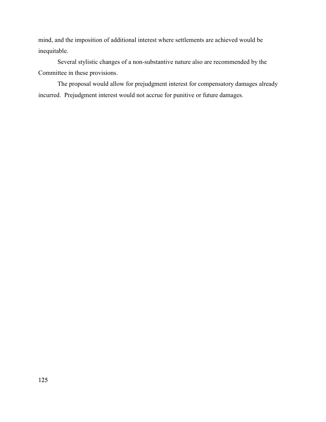mind, and the imposition of additional interest where settlements are achieved would be inequitable.

Several stylistic changes of a non-substantive nature also are recommended by the Committee in these provisions.

The proposal would allow for prejudgment interest for compensatory damages already incurred. Prejudgment interest would not accrue for punitive or future damages.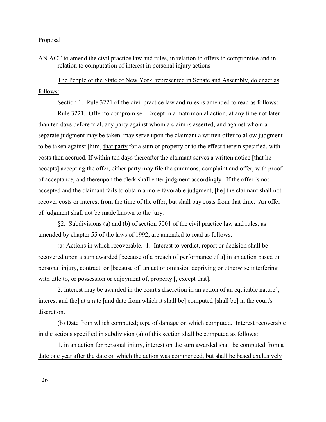AN ACT to amend the civil practice law and rules, in relation to offers to compromise and in relation to computation of interest in personal injury actions

The People of the State of New York, represented in Senate and Assembly, do enact as follows:

Section 1. Rule 3221 of the civil practice law and rules is amended to read as follows:

Rule 3221. Offer to compromise. Except in a matrimonial action, at any time not later than ten days before trial, any party against whom a claim is asserted, and against whom a separate judgment may be taken, may serve upon the claimant a written offer to allow judgment to be taken against [him] that party for a sum or property or to the effect therein specified, with costs then accrued. If within ten days thereafter the claimant serves a written notice [that he accepts] accepting the offer, either party may file the summons, complaint and offer, with proof of acceptance, and thereupon the clerk shall enter judgment accordingly. If the offer is not accepted and the claimant fails to obtain a more favorable judgment, [he] the claimant shall not recover costs or interest from the time of the offer, but shall pay costs from that time. An offer of judgment shall not be made known to the jury.

§2. Subdivisions (a) and (b) of section 5001 of the civil practice law and rules, as amended by chapter 55 of the laws of 1992, are amended to read as follows:

(a) Actions in which recoverable.  $1$ . Interest to verdict, report or decision shall be recovered upon a sum awarded [because of a breach of performance of a] in an action based on personal injury, contract, or [because of] an act or omission depriving or otherwise interfering with title to, or possession or enjoyment of, property [, except that].

2. Interest may be awarded in the court's discretion in an action of an equitable nature[, interest and the] at a rate [and date from which it shall be] computed [shall be] in the court's discretion.

(b) Date from which computed; type of damage on which computed. Interest recoverable in the actions specified in subdivision (a) of this section shall be computed as follows:

1. in an action for personal injury, interest on the sum awarded shall be computed from a date one year after the date on which the action was commenced, but shall be based exclusively

126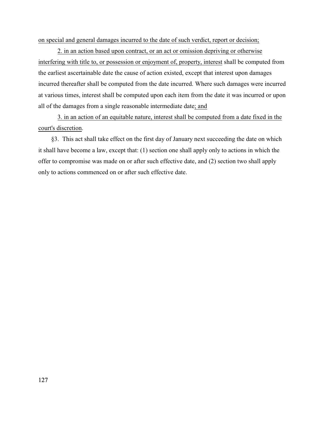on special and general damages incurred to the date of such verdict, report or decision;

2. in an action based upon contract, or an act or omission depriving or otherwise interfering with title to, or possession or enjoyment of, property, interest shall be computed from the earliest ascertainable date the cause of action existed, except that interest upon damages incurred thereafter shall be computed from the date incurred. Where such damages were incurred at various times, interest shall be computed upon each item from the date it was incurred or upon all of the damages from a single reasonable intermediate date; and

3. in an action of an equitable nature, interest shall be computed from a date fixed in the court's discretion.

 §3. This act shall take effect on the first day of January next succeeding the date on which it shall have become a law, except that: (1) section one shall apply only to actions in which the offer to compromise was made on or after such effective date, and (2) section two shall apply only to actions commenced on or after such effective date.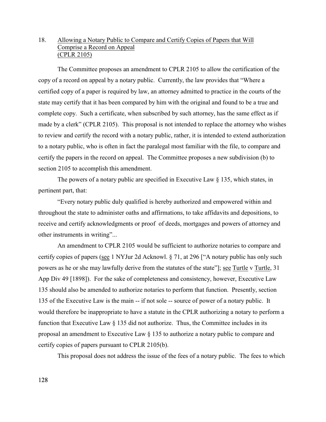# 18. Allowing a Notary Public to Compare and Certify Copies of Papers that Will Comprise a Record on Appeal (CPLR 2105)

The Committee proposes an amendment to CPLR 2105 to allow the certification of the copy of a record on appeal by a notary public. Currently, the law provides that "Where a certified copy of a paper is required by law, an attorney admitted to practice in the courts of the state may certify that it has been compared by him with the original and found to be a true and complete copy. Such a certificate, when subscribed by such attorney, has the same effect as if made by a clerk" (CPLR 2105). This proposal is not intended to replace the attorney who wishes to review and certify the record with a notary public, rather, it is intended to extend authorization to a notary public, who is often in fact the paralegal most familiar with the file, to compare and certify the papers in the record on appeal. The Committee proposes a new subdivision (b) to section 2105 to accomplish this amendment.

The powers of a notary public are specified in Executive Law  $\S$  135, which states, in pertinent part, that:

"Every notary public duly qualified is hereby authorized and empowered within and throughout the state to administer oaths and affirmations, to take affidavits and depositions, to receive and certify acknowledgments or proof of deeds, mortgages and powers of attorney and other instruments in writing"...

An amendment to CPLR 2105 would be sufficient to authorize notaries to compare and certify copies of papers (see 1 NYJur 2d Acknowl. § 71, at 296 ["A notary public has only such powers as he or she may lawfully derive from the statutes of the state"]; see Turtle v Turtle, 31 App Div 49 [1898]). For the sake of completeness and consistency, however, Executive Law 135 should also be amended to authorize notaries to perform that function. Presently, section 135 of the Executive Law is the main -- if not sole -- source of power of a notary public. It would therefore be inappropriate to have a statute in the CPLR authorizing a notary to perform a function that Executive Law  $\S$  135 did not authorize. Thus, the Committee includes in its proposal an amendment to Executive Law § 135 to authorize a notary public to compare and certify copies of papers pursuant to CPLR 2105(b).

This proposal does not address the issue of the fees of a notary public. The fees to which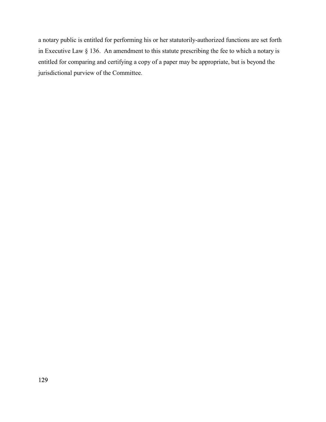a notary public is entitled for performing his or her statutorily-authorized functions are set forth in Executive Law § 136. An amendment to this statute prescribing the fee to which a notary is entitled for comparing and certifying a copy of a paper may be appropriate, but is beyond the jurisdictional purview of the Committee.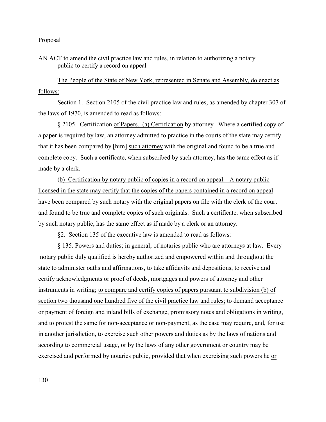AN ACT to amend the civil practice law and rules, in relation to authorizing a notary public to certify a record on appeal

The People of the State of New York, represented in Senate and Assembly, do enact as follows:

Section 1. Section 2105 of the civil practice law and rules, as amended by chapter 307 of the laws of 1970, is amended to read as follows:

§ 2105. Certification of Papers. (a) Certification by attorney. Where a certified copy of a paper is required by law, an attorney admitted to practice in the courts of the state may certify that it has been compared by [him] such attorney with the original and found to be a true and complete copy. Such a certificate, when subscribed by such attorney, has the same effect as if made by a clerk.

(b) Certification by notary public of copies in a record on appeal. A notary public licensed in the state may certify that the copies of the papers contained in a record on appeal have been compared by such notary with the original papers on file with the clerk of the court and found to be true and complete copies of such originals. Such a certificate, when subscribed by such notary public, has the same effect as if made by a clerk or an attorney.

§2. Section 135 of the executive law is amended to read as follows:

§ 135. Powers and duties; in general; of notaries public who are attorneys at law. Every notary public duly qualified is hereby authorized and empowered within and throughout the state to administer oaths and affirmations, to take affidavits and depositions, to receive and certify acknowledgments or proof of deeds, mortgages and powers of attorney and other instruments in writing; to compare and certify copies of papers pursuant to subdivision (b) of section two thousand one hundred five of the civil practice law and rules; to demand acceptance or payment of foreign and inland bills of exchange, promissory notes and obligations in writing, and to protest the same for non-acceptance or non-payment, as the case may require, and, for use in another jurisdiction, to exercise such other powers and duties as by the laws of nations and according to commercial usage, or by the laws of any other government or country may be exercised and performed by notaries public, provided that when exercising such powers he or

130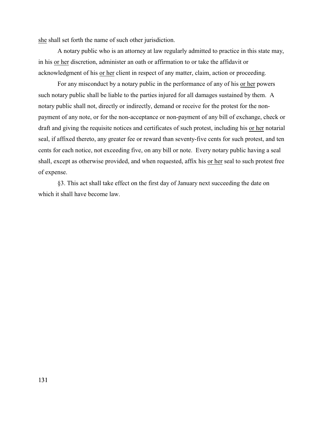she shall set forth the name of such other jurisdiction.

A notary public who is an attorney at law regularly admitted to practice in this state may, in his or her discretion, administer an oath or affirmation to or take the affidavit or acknowledgment of his or her client in respect of any matter, claim, action or proceeding.

For any misconduct by a notary public in the performance of any of his or her powers such notary public shall be liable to the parties injured for all damages sustained by them. A notary public shall not, directly or indirectly, demand or receive for the protest for the nonpayment of any note, or for the non-acceptance or non-payment of any bill of exchange, check or draft and giving the requisite notices and certificates of such protest, including his or her notarial seal, if affixed thereto, any greater fee or reward than seventy-five cents for such protest, and ten cents for each notice, not exceeding five, on any bill or note. Every notary public having a seal shall, except as otherwise provided, and when requested, affix his or her seal to such protest free of expense.

§3. This act shall take effect on the first day of January next succeeding the date on which it shall have become law.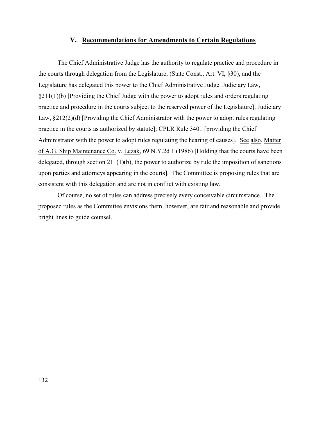### **V. Recommendations for Amendments to Certain Regulations**

The Chief Administrative Judge has the authority to regulate practice and procedure in the courts through delegation from the Legislature, (State Const., Art. VI, §30), and the Legislature has delegated this power to the Chief Administrative Judge. Judiciary Law, §211(1)(b) [Providing the Chief Judge with the power to adopt rules and orders regulating practice and procedure in the courts subject to the reserved power of the Legislature]; Judiciary Law, §212(2)(d) [Providing the Chief Administrator with the power to adopt rules regulating practice in the courts as authorized by statute]; CPLR Rule 3401 [providing the Chief Administrator with the power to adopt rules regulating the hearing of causes]. See also, Matter of A.G. Ship Maintenance Co. v. Lezak, 69 N.Y.2d 1 (1986) [Holding that the courts have been delegated, through section  $211(1)(b)$ , the power to authorize by rule the imposition of sanctions upon parties and attorneys appearing in the courts]. The Committee is proposing rules that are consistent with this delegation and are not in conflict with existing law.

Of course, no set of rules can address precisely every conceivable circumstance. The proposed rules as the Committee envisions them, however, are fair and reasonable and provide bright lines to guide counsel.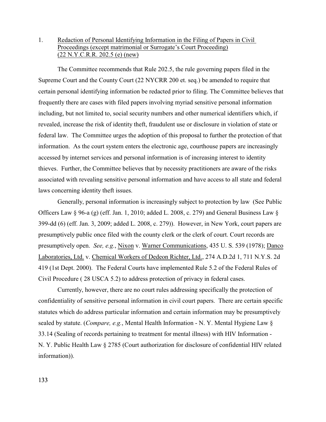# 1. Redaction of Personal Identifying Information in the Filing of Papers in Civil Proceedings (except matrimonial or Surrogate's Court Proceeding) (22 N.Y.C.R.R. 202.5 (e) (new)

The Committee recommends that Rule 202.5, the rule governing papers filed in the Supreme Court and the County Court (22 NYCRR 200 et. seq.) be amended to require that certain personal identifying information be redacted prior to filing. The Committee believes that frequently there are cases with filed papers involving myriad sensitive personal information including, but not limited to, social security numbers and other numerical identifiers which, if revealed, increase the risk of identity theft, fraudulent use or disclosure in violation of state or federal law. The Committee urges the adoption of this proposal to further the protection of that information. As the court system enters the electronic age, courthouse papers are increasingly accessed by internet services and personal information is of increasing interest to identity thieves. Further, the Committee believes that by necessity practitioners are aware of the risks associated with revealing sensitive personal information and have access to all state and federal laws concerning identity theft issues.

Generally, personal information is increasingly subject to protection by law (See Public Officers Law § 96-a (g) (eff. Jan. 1, 2010; added L. 2008, c. 279) and General Business Law § 399-dd (6) (eff. Jan. 3, 2009; added L. 2008, c. 279)). However, in New York, court papers are presumptively public once filed with the county clerk or the clerk of court. Court records are presumptively open. *See, e.g.*, Nixon v. Warner Communications, 435 U. S. 539 (1978); Danco Laboratories, Ltd. v. Chemical Workers of Dedeon Richter, Ltd., 274 A.D.2d 1, 711 N.Y.S. 2d 419 (1st Dept. 2000). The Federal Courts have implemented Rule 5.2 of the Federal Rules of Civil Procedure ( 28 USCA 5.2) to address protection of privacy in federal cases.

Currently, however, there are no court rules addressing specifically the protection of confidentiality of sensitive personal information in civil court papers. There are certain specific statutes which do address particular information and certain information may be presumptively sealed by statute. (*Compare, e.g.*, Mental Health Information - N. Y. Mental Hygiene Law § 33.14 (Sealing of records pertaining to treatment for mental illness) with HIV Information - N. Y. Public Health Law § 2785 (Court authorization for disclosure of confidential HIV related information)).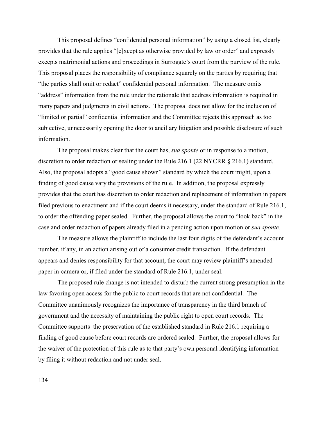This proposal defines "confidential personal information" by using a closed list, clearly provides that the rule applies "[e]xcept as otherwise provided by law or order" and expressly excepts matrimonial actions and proceedings in Surrogate's court from the purview of the rule. This proposal places the responsibility of compliance squarely on the parties by requiring that "the parties shall omit or redact" confidential personal information. The measure omits "address" information from the rule under the rationale that address information is required in many papers and judgments in civil actions. The proposal does not allow for the inclusion of "limited or partial" confidential information and the Committee rejects this approach as too subjective, unnecessarily opening the door to ancillary litigation and possible disclosure of such information.

The proposal makes clear that the court has, *sua sponte* or in response to a motion, discretion to order redaction or sealing under the Rule 216.1 (22 NYCRR § 216.1) standard. Also, the proposal adopts a "good cause shown" standard by which the court might, upon a finding of good cause vary the provisions of the rule. In addition, the proposal expressly provides that the court has discretion to order redaction and replacement of information in papers filed previous to enactment and if the court deems it necessary, under the standard of Rule 216.1, to order the offending paper sealed. Further, the proposal allows the court to "look back" in the case and order redaction of papers already filed in a pending action upon motion or *sua sponte.*

The measure allows the plaintiff to include the last four digits of the defendant's account number, if any, in an action arising out of a consumer credit transaction. If the defendant appears and denies responsibility for that account, the court may review plaintiff's amended paper in-camera or, if filed under the standard of Rule 216.1, under seal.

The proposed rule change is not intended to disturb the current strong presumption in the law favoring open access for the public to court records that are not confidential. The Committee unanimously recognizes the importance of transparency in the third branch of government and the necessity of maintaining the public right to open court records. The Committee supports the preservation of the established standard in Rule 216.1 requiring a finding of good cause before court records are ordered sealed. Further, the proposal allows for the waiver of the protection of this rule as to that party's own personal identifying information by filing it without redaction and not under seal.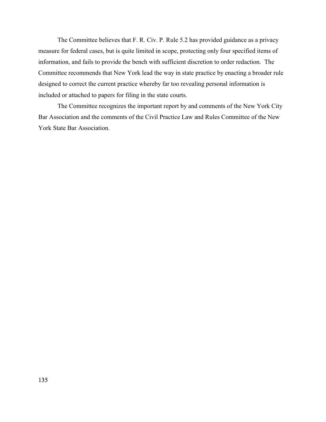The Committee believes that F. R. Civ. P. Rule 5.2 has provided guidance as a privacy measure for federal cases, but is quite limited in scope, protecting only four specified items of information, and fails to provide the bench with sufficient discretion to order redaction. The Committee recommends that New York lead the way in state practice by enacting a broader rule designed to correct the current practice whereby far too revealing personal information is included or attached to papers for filing in the state courts.

The Committee recognizes the important report by and comments of the New York City Bar Association and the comments of the Civil Practice Law and Rules Committee of the New York State Bar Association.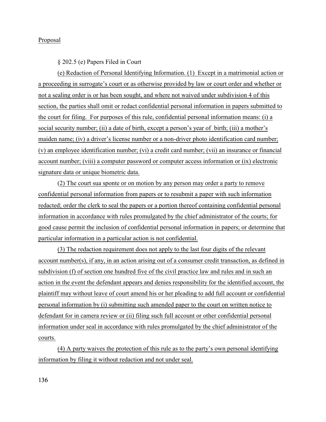#### § 202.5 (e) Papers Filed in Court

(e) Redaction of Personal Identifying Information. (1) Except in a matrimonial action or a proceeding in surrogate's court or as otherwise provided by law or court order and whether or not a sealing order is or has been sought, and where not waived under subdivision 4 of this section, the parties shall omit or redact confidential personal information in papers submitted to the court for filing. For purposes of this rule, confidential personal information means: (i) a social security number; (ii) a date of birth, except a person's year of birth; (iii) a mother's maiden name; (iv) a driver's license number or a non-driver photo identification card number; (v) an employee identification number; (vi) a credit card number; (vii) an insurance or financial account number; (viii) a computer password or computer access information or (ix) electronic signature data or unique biometric data.

(2) The court sua sponte or on motion by any person may order a party to remove confidential personal information from papers or to resubmit a paper with such information redacted; order the clerk to seal the papers or a portion thereof containing confidential personal information in accordance with rules promulgated by the chief administrator of the courts; for good cause permit the inclusion of confidential personal information in papers; or determine that particular information in a particular action is not confidential.

(3) The redaction requirement does not apply to the last four digits of the relevant account number(s), if any, in an action arising out of a consumer credit transaction, as defined in subdivision (f) of section one hundred five of the civil practice law and rules and in such an action in the event the defendant appears and denies responsibility for the identified account, the plaintiff may without leave of court amend his or her pleading to add full account or confidential personal information by (i) submitting such amended paper to the court on written notice to defendant for in camera review or (ii) filing such full account or other confidential personal information under seal in accordance with rules promulgated by the chief administrator of the courts.

(4) A party waives the protection of this rule as to the party's own personal identifying information by filing it without redaction and not under seal.

136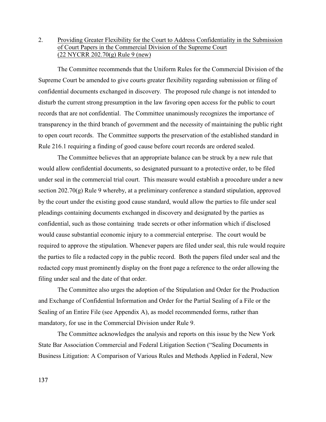# 2. Providing Greater Flexibility for the Court to Address Confidentiality in the Submission of Court Papers in the Commercial Division of the Supreme Court (22 NYCRR 202.70(g) Rule 9 (new)

The Committee recommends that the Uniform Rules for the Commercial Division of the Supreme Court be amended to give courts greater flexibility regarding submission or filing of confidential documents exchanged in discovery. The proposed rule change is not intended to disturb the current strong presumption in the law favoring open access for the public to court records that are not confidential. The Committee unanimously recognizes the importance of transparency in the third branch of government and the necessity of maintaining the public right to open court records. The Committee supports the preservation of the established standard in Rule 216.1 requiring a finding of good cause before court records are ordered sealed.

The Committee believes that an appropriate balance can be struck by a new rule that would allow confidential documents, so designated pursuant to a protective order, to be filed under seal in the commercial trial court. This measure would establish a procedure under a new section 202.70(g) Rule 9 whereby, at a preliminary conference a standard stipulation, approved by the court under the existing good cause standard, would allow the parties to file under seal pleadings containing documents exchanged in discovery and designated by the parties as confidential, such as those containing trade secrets or other information which if disclosed would cause substantial economic injury to a commercial enterprise. The court would be required to approve the stipulation. Whenever papers are filed under seal, this rule would require the parties to file a redacted copy in the public record. Both the papers filed under seal and the redacted copy must prominently display on the front page a reference to the order allowing the filing under seal and the date of that order.

The Committee also urges the adoption of the Stipulation and Order for the Production and Exchange of Confidential Information and Order for the Partial Sealing of a File or the Sealing of an Entire File (see Appendix A), as model recommended forms, rather than mandatory, for use in the Commercial Division under Rule 9.

The Committee acknowledges the analysis and reports on this issue by the New York State Bar Association Commercial and Federal Litigation Section ("Sealing Documents in Business Litigation: A Comparison of Various Rules and Methods Applied in Federal, New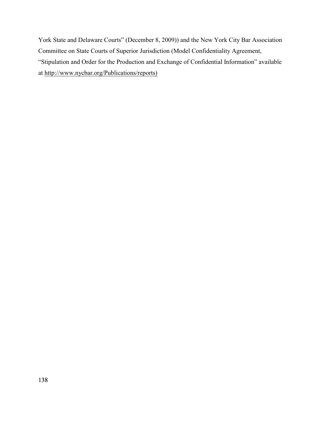York State and Delaware Courts" (December 8, 2009)) and the New York City Bar Association Committee on State Courts of Superior Jurisdiction (Model Confidentiality Agreement, "Stipulation and Order for the Production and Exchange of Confidential Information" available at [http://www.nycbar.org/Publications/reports\)](http://www.nycbar.org/Publications/reports))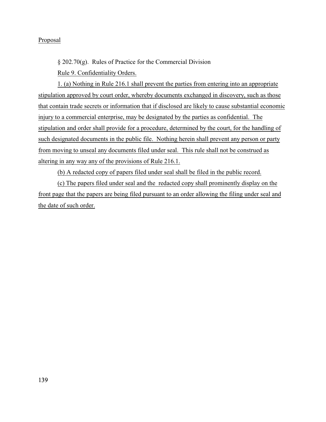§ 202.70(g). Rules of Practice for the Commercial Division

Rule 9. Confidentiality Orders.

1. (a) Nothing in Rule 216.1 shall prevent the parties from entering into an appropriate stipulation approved by court order, whereby documents exchanged in discovery, such as those that contain trade secrets or information that if disclosed are likely to cause substantial economic injury to a commercial enterprise, may be designated by the parties as confidential. The stipulation and order shall provide for a procedure, determined by the court, for the handling of such designated documents in the public file. Nothing herein shall prevent any person or party from moving to unseal any documents filed under seal. This rule shall not be construed as altering in any way any of the provisions of Rule 216.1.

(b) A redacted copy of papers filed under seal shall be filed in the public record.

(c) The papers filed under seal and the redacted copy shall prominently display on the front page that the papers are being filed pursuant to an order allowing the filing under seal and the date of such order.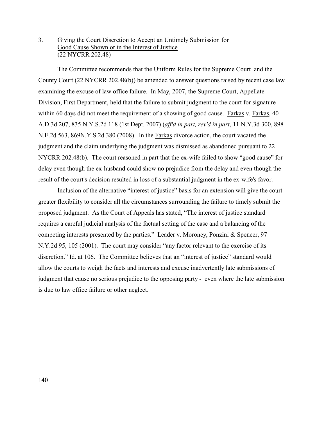### 3. Giving the Court Discretion to Accept an Untimely Submission for Good Cause Shown or in the Interest of Justice (22 NYCRR 202.48)

The Committee recommends that the Uniform Rules for the Supreme Court and the County Court (22 NYCRR 202.48(b)) be amended to answer questions raised by recent case law examining the excuse of law office failure. In May, 2007, the Supreme Court, Appellate Division, First Department, held that the failure to submit judgment to the court for signature within 60 days did not meet the requirement of a showing of good cause. Farkas v. Farkas, 40 A.D.3d 207, 835 N.Y.S.2d 118 (1st Dept. 2007) (*aff'd in part, rev'd in part*, 11 N.Y.3d 300, 898 N.E.2d 563, 869N.Y.S.2d 380 (2008). In the Farkas divorce action, the court vacated the judgment and the claim underlying the judgment was dismissed as abandoned pursuant to 22 NYCRR 202.48(b). The court reasoned in part that the ex-wife failed to show "good cause" for delay even though the ex-husband could show no prejudice from the delay and even though the result of the court's decision resulted in loss of a substantial judgment in the ex-wife's favor.

Inclusion of the alternative "interest of justice" basis for an extension will give the court greater flexibility to consider all the circumstances surrounding the failure to timely submit the proposed judgment. As the Court of Appeals has stated, "The interest of justice standard requires a careful judicial analysis of the factual setting of the case and a balancing of the competing interests presented by the parties." Leader v. Moroney, Ponzini & Spencer, 97 N.Y.2d 95, 105 (2001). The court may consider "any factor relevant to the exercise of its discretion." Id. at 106. The Committee believes that an "interest of justice" standard would allow the courts to weigh the facts and interests and excuse inadvertently late submissions of judgment that cause no serious prejudice to the opposing party - even where the late submission is due to law office failure or other neglect.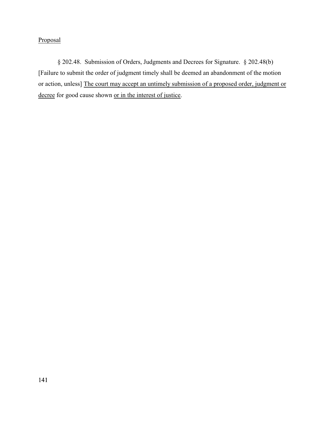§ 202.48. Submission of Orders, Judgments and Decrees for Signature. § 202.48(b) [Failure to submit the order of judgment timely shall be deemed an abandonment of the motion or action, unless] The court may accept an untimely submission of a proposed order, judgment or decree for good cause shown or in the interest of justice.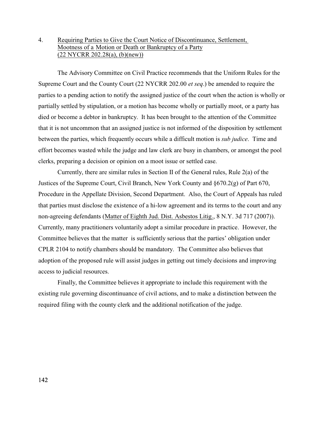# 4. Requiring Parties to Give the Court Notice of Discontinuance, Settlement, Mootness of a Motion or Death or Bankruptcy of a Party (22 NYCRR 202.28(a), (b)(new))

The Advisory Committee on Civil Practice recommends that the Uniform Rules for the Supreme Court and the County Court (22 NYCRR 202.00 *et seq*.) be amended to require the parties to a pending action to notify the assigned justice of the court when the action is wholly or partially settled by stipulation, or a motion has become wholly or partially moot, or a party has died or become a debtor in bankruptcy. It has been brought to the attention of the Committee that it is not uncommon that an assigned justice is not informed of the disposition by settlement between the parties, which frequently occurs while a difficult motion is *sub judice*. Time and effort becomes wasted while the judge and law clerk are busy in chambers, or amongst the pool clerks, preparing a decision or opinion on a moot issue or settled case.

Currently, there are similar rules in Section II of the General rules, Rule 2(a) of the Justices of the Supreme Court, Civil Branch, New York County and §670.2(g) of Part 670, Procedure in the Appellate Division, Second Department. Also, the Court of Appeals has ruled that parties must disclose the existence of a hi-low agreement and its terms to the court and any non-agreeing defendants (Matter of Eighth Jud. Dist. Asbestos Litig., 8 N.Y. 3d 717 (2007)). Currently, many practitioners voluntarily adopt a similar procedure in practice. However, the Committee believes that the matter is sufficiently serious that the parties' obligation under CPLR 2104 to notify chambers should be mandatory. The Committee also believes that adoption of the proposed rule will assist judges in getting out timely decisions and improving access to judicial resources.

Finally, the Committee believes it appropriate to include this requirement with the existing rule governing discontinuance of civil actions, and to make a distinction between the required filing with the county clerk and the additional notification of the judge.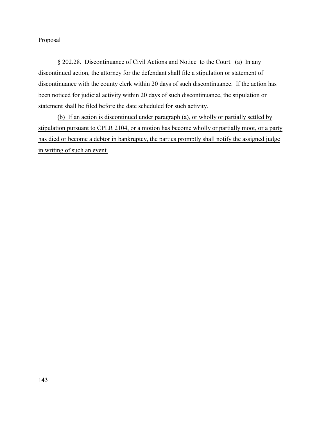§ 202.28. Discontinuance of Civil Actions and Notice to the Court. (a) In any discontinued action, the attorney for the defendant shall file a stipulation or statement of discontinuance with the county clerk within 20 days of such discontinuance. If the action has been noticed for judicial activity within 20 days of such discontinuance, the stipulation or statement shall be filed before the date scheduled for such activity.

(b) If an action is discontinued under paragraph (a), or wholly or partially settled by stipulation pursuant to CPLR 2104, or a motion has become wholly or partially moot, or a party has died or become a debtor in bankruptcy, the parties promptly shall notify the assigned judge in writing of such an event.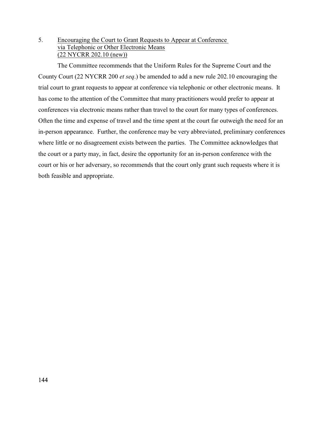# 5. Encouraging the Court to Grant Requests to Appear at Conference via Telephonic or Other Electronic Means (22 NYCRR 202.10 (new))

The Committee recommends that the Uniform Rules for the Supreme Court and the County Court (22 NYCRR 200 *et seq*.) be amended to add a new rule 202.10 encouraging the trial court to grant requests to appear at conference via telephonic or other electronic means. It has come to the attention of the Committee that many practitioners would prefer to appear at conferences via electronic means rather than travel to the court for many types of conferences. Often the time and expense of travel and the time spent at the court far outweigh the need for an in-person appearance. Further, the conference may be very abbreviated, preliminary conferences where little or no disagreement exists between the parties. The Committee acknowledges that the court or a party may, in fact, desire the opportunity for an in-person conference with the court or his or her adversary, so recommends that the court only grant such requests where it is both feasible and appropriate.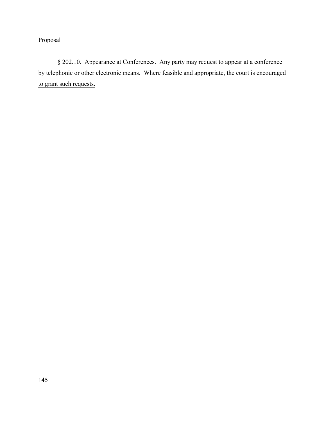# Proposal

§ 202.10. Appearance at Conferences. Any party may request to appear at a conference by telephonic or other electronic means. Where feasible and appropriate, the court is encouraged to grant such requests.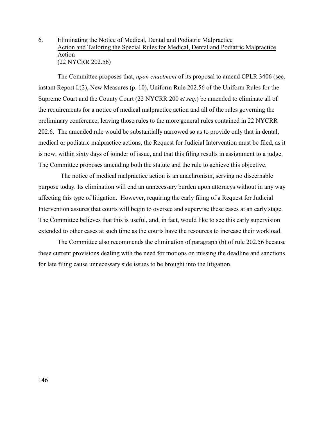# 6. Eliminating the Notice of Medical, Dental and Podiatric Malpractice Action and Tailoring the Special Rules for Medical, Dental and Podiatric Malpractice Action (22 NYCRR 202.56)

The Committee proposes that, *upon enactment* of its proposal to amend CPLR 3406 (see, instant Report I.(2), New Measures (p. 10), Uniform Rule 202.56 of the Uniform Rules for the Supreme Court and the County Court (22 NYCRR 200 *et seq*.) be amended to eliminate all of the requirements for a notice of medical malpractice action and all of the rules governing the preliminary conference, leaving those rules to the more general rules contained in 22 NYCRR 202.6. The amended rule would be substantially narrowed so as to provide only that in dental, medical or podiatric malpractice actions, the Request for Judicial Intervention must be filed, as it is now, within sixty days of joinder of issue, and that this filing results in assignment to a judge. The Committee proposes amending both the statute and the rule to achieve this objective.

 The notice of medical malpractice action is an anachronism, serving no discernable purpose today. Its elimination will end an unnecessary burden upon attorneys without in any way affecting this type of litigation. However, requiring the early filing of a Request for Judicial Intervention assures that courts will begin to oversee and supervise these cases at an early stage. The Committee believes that this is useful, and, in fact, would like to see this early supervision extended to other cases at such time as the courts have the resources to increase their workload.

The Committee also recommends the elimination of paragraph (b) of rule 202.56 because these current provisions dealing with the need for motions on missing the deadline and sanctions for late filing cause unnecessary side issues to be brought into the litigation.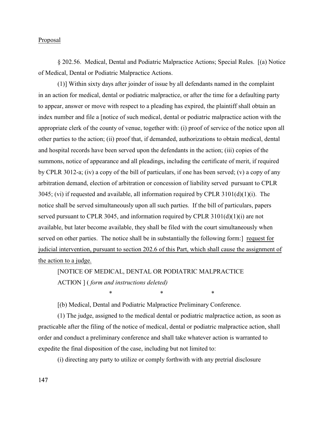#### Proposal

§ 202.56. Medical, Dental and Podiatric Malpractice Actions; Special Rules. [(a) Notice of Medical, Dental or Podiatric Malpractice Actions.

 (1)] Within sixty days after joinder of issue by all defendants named in the complaint in an action for medical, dental or podiatric malpractice, or after the time for a defaulting party to appear, answer or move with respect to a pleading has expired, the plaintiff shall obtain an index number and file a [notice of such medical, dental or podiatric malpractice action with the appropriate clerk of the county of venue, together with: (i) proof of service of the notice upon all other parties to the action; (ii) proof that, if demanded, authorizations to obtain medical, dental and hospital records have been served upon the defendants in the action; (iii) copies of the summons, notice of appearance and all pleadings, including the certificate of merit, if required by CPLR 3012-a; (iv) a copy of the bill of particulars, if one has been served; (v) a copy of any arbitration demand, election of arbitration or concession of liability served pursuant to CPLR 3045; (vi) if requested and available, all information required by CPLR 3101(d)(1)(i). The notice shall be served simultaneously upon all such parties. If the bill of particulars, papers served pursuant to CPLR 3045, and information required by CPLR  $3101(d)(1)(i)$  are not available, but later become available, they shall be filed with the court simultaneously when served on other parties. The notice shall be in substantially the following form:] request for judicial intervention, pursuant to section 202.6 of this Part, which shall cause the assignment of the action to a judge.

[NOTICE OF MEDICAL, DENTAL OR PODIATRIC MALPRACTICE ACTION ] ( *form and instructions deleted)*

[(b) Medical, Dental and Podiatric Malpractice Preliminary Conference.

(1) The judge, assigned to the medical dental or podiatric malpractice action, as soon as practicable after the filing of the notice of medical, dental or podiatric malpractice action, shall order and conduct a preliminary conference and shall take whatever action is warranted to expedite the final disposition of the case, including but not limited to:

*\* \* \**

(i) directing any party to utilize or comply forthwith with any pretrial disclosure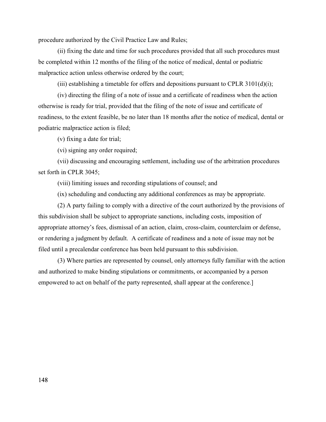procedure authorized by the Civil Practice Law and Rules;

(ii) fixing the date and time for such procedures provided that all such procedures must be completed within 12 months of the filing of the notice of medical, dental or podiatric malpractice action unless otherwise ordered by the court;

(iii) establishing a timetable for offers and depositions pursuant to CPLR  $3101(d)(i)$ ;

(iv) directing the filing of a note of issue and a certificate of readiness when the action otherwise is ready for trial, provided that the filing of the note of issue and certificate of readiness, to the extent feasible, be no later than 18 months after the notice of medical, dental or podiatric malpractice action is filed;

(v) fixing a date for trial;

(vi) signing any order required;

(vii) discussing and encouraging settlement, including use of the arbitration procedures set forth in CPLR 3045;

(viii) limiting issues and recording stipulations of counsel; and

(ix) scheduling and conducting any additional conferences as may be appropriate.

(2) A party failing to comply with a directive of the court authorized by the provisions of this subdivision shall be subject to appropriate sanctions, including costs, imposition of appropriate attorney's fees, dismissal of an action, claim, cross-claim, counterclaim or defense, or rendering a judgment by default. A certificate of readiness and a note of issue may not be filed until a precalendar conference has been held pursuant to this subdivision.

(3) Where parties are represented by counsel, only attorneys fully familiar with the action and authorized to make binding stipulations or commitments, or accompanied by a person empowered to act on behalf of the party represented, shall appear at the conference.]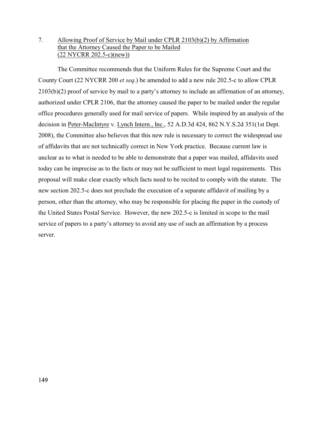# 7. Allowing Proof of Service by Mail under CPLR 2103(b)(2) by Affirmation that the Attorney Caused the Paper to be Mailed (22 NYCRR 202.5-c)(new))

The Committee recommends that the Uniform Rules for the Supreme Court and the County Court (22 NYCRR 200 *et seq*.) be amended to add a new rule 202.5-c to allow CPLR 2103(b)(2) proof of service by mail to a party's attorney to include an affirmation of an attorney, authorized under CPLR 2106, that the attorney caused the paper to be mailed under the regular office procedures generally used for mail service of papers. While inspired by an analysis of the decision in Peter-MacIntyre v. Lynch Intern., Inc., 52 A.D.3d 424, 862 N.Y.S.2d 351(1st Dept. 2008), the Committee also believes that this new rule is necessary to correct the widespread use of affidavits that are not technically correct in New York practice. Because current law is unclear as to what is needed to be able to demonstrate that a paper was mailed, affidavits used today can be imprecise as to the facts or may not be sufficient to meet legal requirements. This proposal will make clear exactly which facts need to be recited to comply with the statute. The new section 202.5-c does not preclude the execution of a separate affidavit of mailing by a person, other than the attorney, who may be responsible for placing the paper in the custody of the United States Postal Service. However, the new 202.5-c is limited in scope to the mail service of papers to a party's attorney to avoid any use of such an affirmation by a process server.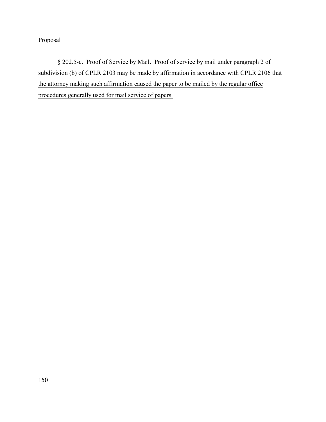# Proposal

§ 202.5-c. Proof of Service by Mail. Proof of service by mail under paragraph 2 of subdivision (b) of CPLR 2103 may be made by affirmation in accordance with CPLR 2106 that the attorney making such affirmation caused the paper to be mailed by the regular office procedures generally used for mail service of papers.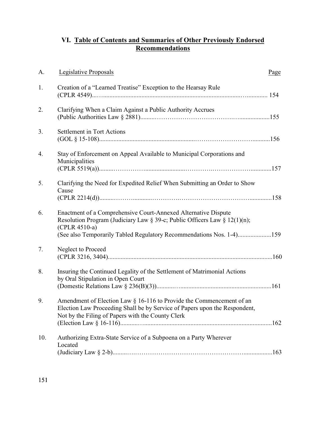# **VI. Table of Contents and Summaries of Other Previously Endorsed Recommendations**

| A.  | Legislative Proposals                                                                                                                                                                                                                | Page |
|-----|--------------------------------------------------------------------------------------------------------------------------------------------------------------------------------------------------------------------------------------|------|
| 1.  | Creation of a "Learned Treatise" Exception to the Hearsay Rule                                                                                                                                                                       |      |
| 2.  | Clarifying When a Claim Against a Public Authority Accrues                                                                                                                                                                           |      |
| 3.  | <b>Settlement in Tort Actions</b>                                                                                                                                                                                                    |      |
| 4.  | Stay of Enforcement on Appeal Available to Municipal Corporations and<br>Municipalities                                                                                                                                              |      |
| 5.  | Clarifying the Need for Expedited Relief When Submitting an Order to Show<br>Cause                                                                                                                                                   |      |
| 6.  | Enactment of a Comprehensive Court-Annexed Alternative Dispute<br>Resolution Program (Judiciary Law § 39-c; Public Officers Law § 12(1)(n);<br>(CPLR 4510-a)<br>(See also Temporarily Tabled Regulatory Recommendations Nos. 1-4)159 |      |
| 7.  | Neglect to Proceed                                                                                                                                                                                                                   |      |
| 8.  | Insuring the Continued Legality of the Settlement of Matrimonial Actions<br>by Oral Stipulation in Open Court                                                                                                                        |      |
| 9.  | Amendment of Election Law § 16-116 to Provide the Commencement of an<br>Election Law Proceeding Shall be by Service of Papers upon the Respondent,<br>Not by the Filing of Papers with the County Clerk                              |      |
| 10. | Authorizing Extra-State Service of a Subpoena on a Party Wherever<br>Located                                                                                                                                                         |      |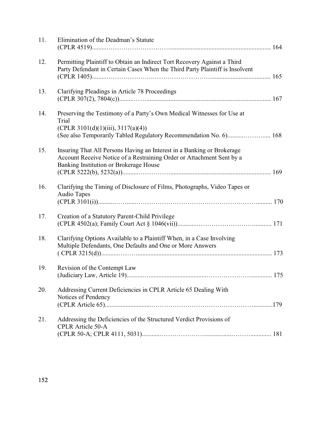| 11. | Elimination of the Deadman's Statute                                                                                                                                                       |     |
|-----|--------------------------------------------------------------------------------------------------------------------------------------------------------------------------------------------|-----|
| 12. | Permitting Plaintiff to Obtain an Indirect Tort Recovery Against a Third<br>Party Defendant in Certain Cases When the Third Party Plaintiff is Insolvent                                   |     |
| 13. | Clarifying Pleadings in Article 78 Proceedings                                                                                                                                             |     |
| 14. | Preserving the Testimony of a Party's Own Medical Witnesses for Use at<br>Trial<br>(CPLR 3101(d)(1)(iii), 3117(a)(4))<br>(See also Temporarily Tabled Regulatory Recommendation No. 6) 168 |     |
| 15. | Insuring That All Persons Having an Interest in a Banking or Brokerage<br>Account Receive Notice of a Restraining Order or Attachment Sent by a<br>Banking Institution or Brokerage House  |     |
| 16. | Clarifying the Timing of Disclosure of Films, Photographs, Video Tapes or<br>Audio Tapes                                                                                                   |     |
| 17. | Creation of a Statutory Parent-Child Privilege                                                                                                                                             |     |
| 18. | Clarifying Options Available to a Plaintiff When, in a Case Involving<br>Multiple Defendants, One Defaults and One or More Answers                                                         |     |
| 19. | Revision of the Contempt Law<br>(Judiciary Law, Article 19)                                                                                                                                | 175 |
| 20. | Addressing Current Deficiencies in CPLR Article 65 Dealing With<br>Notices of Pendency                                                                                                     |     |
| 21. | Addressing the Deficiencies of the Structured Verdict Provisions of<br><b>CPLR</b> Article 50-A                                                                                            |     |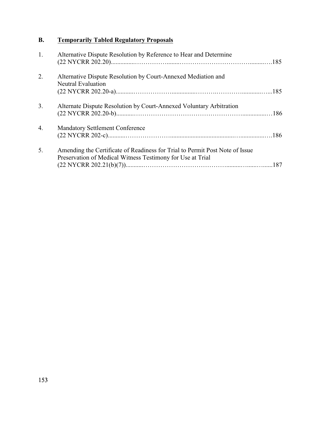# **B. Temporarily Tabled Regulatory Proposals**

| 1. | Alternative Dispute Resolution by Reference to Hear and Determine                                                                          |  |
|----|--------------------------------------------------------------------------------------------------------------------------------------------|--|
| 2. | Alternative Dispute Resolution by Court-Annexed Mediation and<br><b>Neutral Evaluation</b>                                                 |  |
| 3. | Alternate Dispute Resolution by Court-Annexed Voluntary Arbitration                                                                        |  |
| 4. | <b>Mandatory Settlement Conference</b>                                                                                                     |  |
| 5. | Amending the Certificate of Readiness for Trial to Permit Post Note of Issue<br>Preservation of Medical Witness Testimony for Use at Trial |  |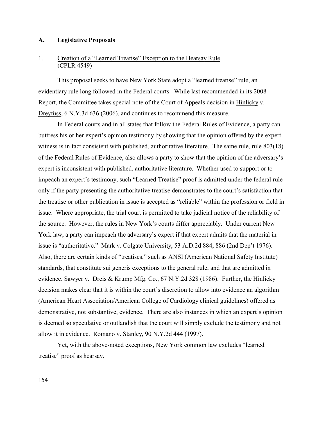#### **A. Legislative Proposals**

# 1. Creation of a "Learned Treatise" Exception to the Hearsay Rule (CPLR 4549)

This proposal seeks to have New York State adopt a "learned treatise" rule, an evidentiary rule long followed in the Federal courts. While last recommended in its 2008 Report, the Committee takes special note of the Court of Appeals decision in Hinlicky v. Dreyfuss, 6 N.Y.3d 636 (2006), and continues to recommend this measure.

In Federal courts and in all states that follow the Federal Rules of Evidence, a party can buttress his or her expert's opinion testimony by showing that the opinion offered by the expert witness is in fact consistent with published, authoritative literature. The same rule, rule 803(18) of the Federal Rules of Evidence, also allows a party to show that the opinion of the adversary's expert is inconsistent with published, authoritative literature. Whether used to support or to impeach an expert's testimony, such "Learned Treatise" proof is admitted under the federal rule only if the party presenting the authoritative treatise demonstrates to the court's satisfaction that the treatise or other publication in issue is accepted as "reliable" within the profession or field in issue. Where appropriate, the trial court is permitted to take judicial notice of the reliability of the source. However, the rules in New York's courts differ appreciably. Under current New York law, a party can impeach the adversary's expert if that expert admits that the material in issue is "authoritative." Mark v. Colgate University, 53 A.D.2d 884, 886 (2nd Dep't 1976). Also, there are certain kinds of "treatises," such as ANSI (American National Safety Institute) standards, that constitute sui generis exceptions to the general rule, and that are admitted in evidence. Sawyer v. Dreis & Krump Mfg. Co., 67 N.Y.2d 328 (1986). Further, the Hinlicky decision makes clear that it is within the court's discretion to allow into evidence an algorithm (American Heart Association/American College of Cardiology clinical guidelines) offered as demonstrative, not substantive, evidence. There are also instances in which an expert's opinion is deemed so speculative or outlandish that the court will simply exclude the testimony and not allow it in evidence. Romano v. Stanley, 90 N.Y.2d 444 (1997).

Yet, with the above-noted exceptions, New York common law excludes "learned treatise" proof as hearsay.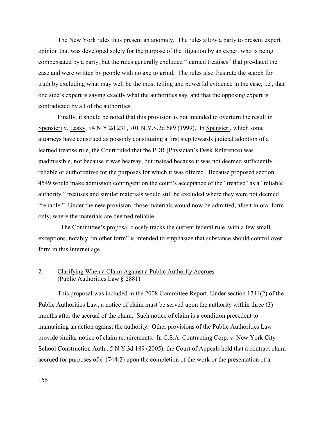The New York rules thus present an anomaly. The rules allow a party to present expert opinion that was developed solely for the purpose of the litigation by an expert who is being compensated by a party, but the rules generally excluded "learned treatises" that pre-dated the case and were written by people with no axe to grind. The rules also frustrate the search for truth by excluding what may well be the most telling and powerful evidence in the case, i.e., that one side's expert is saying exactly what the authorities say, and that the opposing expert is contradicted by all of the authorities.

Finally, it should be noted that this provision is not intended to overturn the result in Spensieri v. Lasky, 94 N.Y.2d 231, 701 N.Y.S.2d 689 (1999). In Spensieri, which some attorneys have construed as possibly constituting a first step towards judicial adoption of a learned treatise rule, the Court ruled that the PDR (Physician's Desk Reference) was inadmissible, not because it was hearsay, but instead because it was not deemed sufficiently reliable or authoritative for the purposes for which it was offered. Because proposed section 4549 would make admission contingent on the court's acceptance of the "treatise" as a "reliable authority," treatises and similar materials would still be excluded where they were not deemed "reliable." Under the new provision, those materials would now be admitted, albeit in oral form only, where the materials are deemed reliable.

 The Committee's proposal closely tracks the current federal rule, with a few small exceptions, notably "in other form" is intended to emphasize that substance should control over form in this Internet age.

# 2. Clarifying When a Claim Against a Public Authority Accrues (Public Authorities Law § 2881)

This proposal was included in the 2008 Committee Report. Under section 1744(2) of the Public Authorities Law, a notice of claim must be served upon the authority within three (3) months after the accrual of the claim. Such notice of claim is a condition precedent to maintaining an action against the authority. Other provisions of the Public Authorities Law provide similar notice of claim requirements. In C.S.A. Contracting Corp. v. New York City School Construction Auth., 5 N.Y.3d 189 (2005), the Court of Appeals held that a contract claim accrued for purposes of § 1744(2) upon the completion of the work or the presentation of a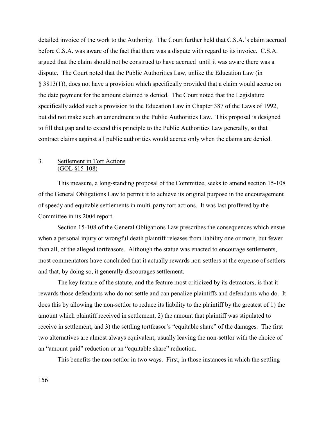detailed invoice of the work to the Authority. The Court further held that C.S.A.'s claim accrued before C.S.A. was aware of the fact that there was a dispute with regard to its invoice. C.S.A. argued that the claim should not be construed to have accrued until it was aware there was a dispute. The Court noted that the Public Authorities Law, unlike the Education Law (in § 3813(1)), does not have a provision which specifically provided that a claim would accrue on the date payment for the amount claimed is denied. The Court noted that the Legislature specifically added such a provision to the Education Law in Chapter 387 of the Laws of 1992, but did not make such an amendment to the Public Authorities Law. This proposal is designed to fill that gap and to extend this principle to the Public Authorities Law generally, so that contract claims against all public authorities would accrue only when the claims are denied.

#### 3. Settlement in Tort Actions (GOL §15-108)

This measure, a long-standing proposal of the Committee, seeks to amend section 15-108 of the General Obligations Law to permit it to achieve its original purpose in the encouragement of speedy and equitable settlements in multi-party tort actions. It was last proffered by the Committee in its 2004 report.

Section 15-108 of the General Obligations Law prescribes the consequences which ensue when a personal injury or wrongful death plaintiff releases from liability one or more, but fewer than all, of the alleged tortfeasors. Although the statue was enacted to encourage settlements, most commentators have concluded that it actually rewards non-settlers at the expense of settlers and that, by doing so, it generally discourages settlement.

The key feature of the statute, and the feature most criticized by its detractors, is that it rewards those defendants who do not settle and can penalize plaintiffs and defendants who do. It does this by allowing the non-settlor to reduce its liability to the plaintiff by the greatest of 1) the amount which plaintiff received in settlement, 2) the amount that plaintiff was stipulated to receive in settlement, and 3) the settling tortfeasor's "equitable share" of the damages. The first two alternatives are almost always equivalent, usually leaving the non-settlor with the choice of an "amount paid" reduction or an "equitable share" reduction.

This benefits the non-settlor in two ways. First, in those instances in which the settling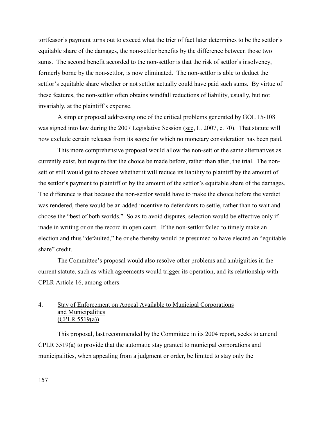tortfeasor's payment turns out to exceed what the trier of fact later determines to be the settlor's equitable share of the damages, the non-settler benefits by the difference between those two sums. The second benefit accorded to the non-settlor is that the risk of settlor's insolvency, formerly borne by the non-settlor, is now eliminated. The non-settlor is able to deduct the settlor's equitable share whether or not settlor actually could have paid such sums. By virtue of these features, the non-settlor often obtains windfall reductions of liability, usually, but not invariably, at the plaintiff's expense.

A simpler proposal addressing one of the critical problems generated by GOL 15-108 was signed into law during the 2007 Legislative Session (see, L. 2007, c. 70). That statute will now exclude certain releases from its scope for which no monetary consideration has been paid.

This more comprehensive proposal would allow the non-settlor the same alternatives as currently exist, but require that the choice be made before, rather than after, the trial. The nonsettlor still would get to choose whether it will reduce its liability to plaintiff by the amount of the settlor's payment to plaintiff or by the amount of the settlor's equitable share of the damages. The difference is that because the non-settlor would have to make the choice before the verdict was rendered, there would be an added incentive to defendants to settle, rather than to wait and choose the "best of both worlds." So as to avoid disputes, selection would be effective only if made in writing or on the record in open court. If the non-settlor failed to timely make an election and thus "defaulted," he or she thereby would be presumed to have elected an "equitable share" credit.

The Committee's proposal would also resolve other problems and ambiguities in the current statute, such as which agreements would trigger its operation, and its relationship with CPLR Article 16, among others.

#### 4. Stay of Enforcement on Appeal Available to Municipal Corporations and Municipalities (CPLR 5519(a))

This proposal, last recommended by the Committee in its 2004 report, seeks to amend CPLR 5519(a) to provide that the automatic stay granted to municipal corporations and municipalities, when appealing from a judgment or order, be limited to stay only the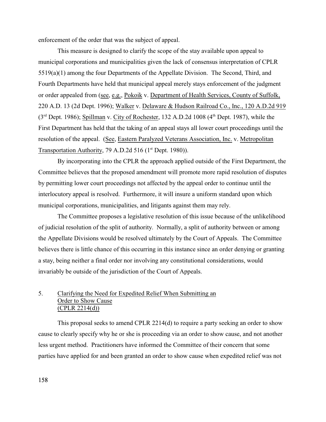enforcement of the order that was the subject of appeal.

This measure is designed to clarify the scope of the stay available upon appeal to municipal corporations and municipalities given the lack of consensus interpretation of CPLR 5519(a)(1) among the four Departments of the Appellate Division. The Second, Third, and Fourth Departments have held that municipal appeal merely stays enforcement of the judgment or order appealed from (see, e.g., Pokoik v. Department of Health Services, County of Suffolk, 220 A.D. 13 (2d Dept. 1996); Walker v. Delaware & Hudson Railroad Co., Inc., 120 A.D.2d 919 ( $3<sup>rd</sup>$  Dept. 1986); Spillman v. City of Rochester, 132 A.D.2d 1008 ( $4<sup>th</sup>$  Dept. 1987), while the First Department has held that the taking of an appeal stays all lower court proceedings until the resolution of the appeal. (See, Eastern Paralyzed Veterans Association, Inc. v. Metropolitan Transportation Authority, 79 A.D.2d 516 (1<sup>st</sup> Dept. 1980)).

By incorporating into the CPLR the approach applied outside of the First Department, the Committee believes that the proposed amendment will promote more rapid resolution of disputes by permitting lower court proceedings not affected by the appeal order to continue until the interlocutory appeal is resolved. Furthermore, it will insure a uniform standard upon which municipal corporations, municipalities, and litigants against them may rely.

The Committee proposes a legislative resolution of this issue because of the unlikelihood of judicial resolution of the split of authority. Normally, a split of authority between or among the Appellate Divisions would be resolved ultimately by the Court of Appeals. The Committee believes there is little chance of this occurring in this instance since an order denying or granting a stay, being neither a final order nor involving any constitutional considerations, would invariably be outside of the jurisdiction of the Court of Appeals.

# 5. Clarifying the Need for Expedited Relief When Submitting an Order to Show Cause  $\overline{\text{CPLR } 2214\text{(d))}}$

This proposal seeks to amend CPLR 2214(d) to require a party seeking an order to show cause to clearly specify why he or she is proceeding via an order to show cause, and not another less urgent method. Practitioners have informed the Committee of their concern that some parties have applied for and been granted an order to show cause when expedited relief was not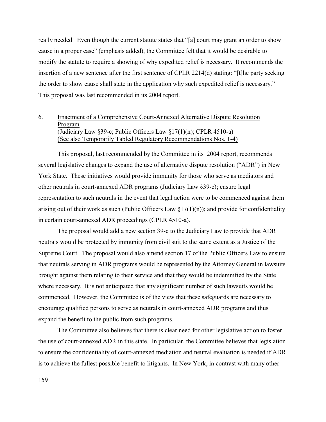really needed. Even though the current statute states that "[a] court may grant an order to show cause in a proper case" (emphasis added), the Committee felt that it would be desirable to modify the statute to require a showing of why expedited relief is necessary. It recommends the insertion of a new sentence after the first sentence of CPLR 2214(d) stating: "[t]he party seeking the order to show cause shall state in the application why such expedited relief is necessary." This proposal was last recommended in its 2004 report.

# 6. Enactment of a Comprehensive Court-Annexed Alternative Dispute Resolution Program (Judiciary Law §39-c; Public Officers Law §17(1)(n); CPLR 4510-a) (See also Temporarily Tabled Regulatory Recommendations Nos. 1-4)

This proposal, last recommended by the Committee in its 2004 report, recommends several legislative changes to expand the use of alternative dispute resolution ("ADR") in New York State. These initiatives would provide immunity for those who serve as mediators and other neutrals in court-annexed ADR programs (Judiciary Law §39-c); ensure legal representation to such neutrals in the event that legal action were to be commenced against them arising out of their work as such (Public Officers Law  $\S17(1)(n)$ ); and provide for confidentiality in certain court-annexed ADR proceedings (CPLR 4510-a).

The proposal would add a new section 39-c to the Judiciary Law to provide that ADR neutrals would be protected by immunity from civil suit to the same extent as a Justice of the Supreme Court. The proposal would also amend section 17 of the Public Officers Law to ensure that neutrals serving in ADR programs would be represented by the Attorney General in lawsuits brought against them relating to their service and that they would be indemnified by the State where necessary. It is not anticipated that any significant number of such lawsuits would be commenced. However, the Committee is of the view that these safeguards are necessary to encourage qualified persons to serve as neutrals in court-annexed ADR programs and thus expand the benefit to the public from such programs.

The Committee also believes that there is clear need for other legislative action to foster the use of court-annexed ADR in this state. In particular, the Committee believes that legislation to ensure the confidentiality of court-annexed mediation and neutral evaluation is needed if ADR is to achieve the fullest possible benefit to litigants. In New York, in contrast with many other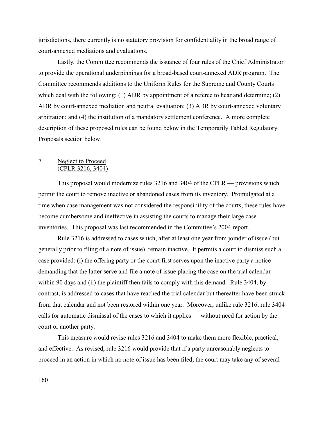jurisdictions, there currently is no statutory provision for confidentiality in the broad range of court-annexed mediations and evaluations.

Lastly, the Committee recommends the issuance of four rules of the Chief Administrator to provide the operational underpinnings for a broad-based court-annexed ADR program. The Committee recommends additions to the Uniform Rules for the Supreme and County Courts which deal with the following: (1) ADR by appointment of a referee to hear and determine; (2) ADR by court-annexed mediation and neutral evaluation; (3) ADR by court-annexed voluntary arbitration; and (4) the institution of a mandatory settlement conference. A more complete description of these proposed rules can be found below in the Temporarily Tabled Regulatory Proposals section below.

#### 7. Neglect to Proceed (CPLR 3216, 3404)

This proposal would modernize rules 3216 and 3404 of the CPLR — provisions which permit the court to remove inactive or abandoned cases from its inventory. Promulgated at a time when case management was not considered the responsibility of the courts, these rules have become cumbersome and ineffective in assisting the courts to manage their large case inventories. This proposal was last recommended in the Committee's 2004 report.

Rule 3216 is addressed to cases which, after at least one year from joinder of issue (but generally prior to filing of a note of issue), remain inactive. It permits a court to dismiss such a case provided: (i) the offering party or the court first serves upon the inactive party a notice demanding that the latter serve and file a note of issue placing the case on the trial calendar within 90 days and (ii) the plaintiff then fails to comply with this demand. Rule 3404, by contrast, is addressed to cases that have reached the trial calendar but thereafter have been struck from that calendar and not been restored within one year. Moreover, unlike rule 3216, rule 3404 calls for automatic dismissal of the cases to which it applies — without need for action by the court or another party.

This measure would revise rules 3216 and 3404 to make them more flexible, practical, and effective. As revised, rule 3216 would provide that if a party unreasonably neglects to proceed in an action in which no note of issue has been filed, the court may take any of several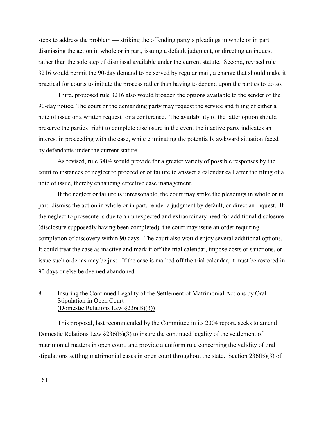steps to address the problem — striking the offending party's pleadings in whole or in part, dismissing the action in whole or in part, issuing a default judgment, or directing an inquest rather than the sole step of dismissal available under the current statute. Second, revised rule 3216 would permit the 90-day demand to be served by regular mail, a change that should make it practical for courts to initiate the process rather than having to depend upon the parties to do so.

Third, proposed rule 3216 also would broaden the options available to the sender of the 90-day notice. The court or the demanding party may request the service and filing of either a note of issue or a written request for a conference. The availability of the latter option should preserve the parties' right to complete disclosure in the event the inactive party indicates an interest in proceeding with the case, while eliminating the potentially awkward situation faced by defendants under the current statute.

As revised, rule 3404 would provide for a greater variety of possible responses by the court to instances of neglect to proceed or of failure to answer a calendar call after the filing of a note of issue, thereby enhancing effective case management.

If the neglect or failure is unreasonable, the court may strike the pleadings in whole or in part, dismiss the action in whole or in part, render a judgment by default, or direct an inquest. If the neglect to prosecute is due to an unexpected and extraordinary need for additional disclosure (disclosure supposedly having been completed), the court may issue an order requiring completion of discovery within 90 days. The court also would enjoy several additional options. It could treat the case as inactive and mark it off the trial calendar, impose costs or sanctions, or issue such order as may be just. If the case is marked off the trial calendar, it must be restored in 90 days or else be deemed abandoned.

#### 8. Insuring the Continued Legality of the Settlement of Matrimonial Actions by Oral Stipulation in Open Court (Domestic Relations Law §236(B)(3))

This proposal, last recommended by the Committee in its 2004 report, seeks to amend Domestic Relations Law §236(B)(3) to insure the continued legality of the settlement of matrimonial matters in open court, and provide a uniform rule concerning the validity of oral stipulations settling matrimonial cases in open court throughout the state. Section 236(B)(3) of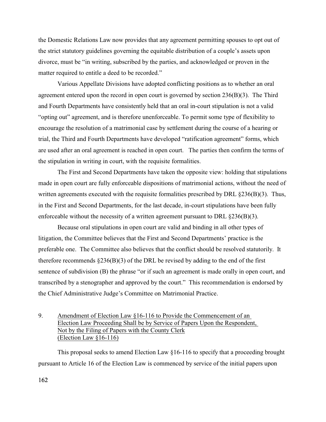the Domestic Relations Law now provides that any agreement permitting spouses to opt out of the strict statutory guidelines governing the equitable distribution of a couple's assets upon divorce, must be "in writing, subscribed by the parties, and acknowledged or proven in the matter required to entitle a deed to be recorded."

Various Appellate Divisions have adopted conflicting positions as to whether an oral agreement entered upon the record in open court is governed by section 236(B)(3). The Third and Fourth Departments have consistently held that an oral in-court stipulation is not a valid "opting out" agreement, and is therefore unenforceable. To permit some type of flexibility to encourage the resolution of a matrimonial case by settlement during the course of a hearing or trial, the Third and Fourth Departments have developed "ratification agreement" forms, which are used after an oral agreement is reached in open court. The parties then confirm the terms of the stipulation in writing in court, with the requisite formalities.

The First and Second Departments have taken the opposite view: holding that stipulations made in open court are fully enforceable dispositions of matrimonial actions, without the need of written agreements executed with the requisite formalities prescribed by DRL §236(B)(3). Thus, in the First and Second Departments, for the last decade, in-court stipulations have been fully enforceable without the necessity of a written agreement pursuant to DRL  $\S 236(B)(3)$ .

Because oral stipulations in open court are valid and binding in all other types of litigation, the Committee believes that the First and Second Departments' practice is the preferable one. The Committee also believes that the conflict should be resolved statutorily. It therefore recommends  $\S236(B)(3)$  of the DRL be revised by adding to the end of the first sentence of subdivision (B) the phrase "or if such an agreement is made orally in open court, and transcribed by a stenographer and approved by the court." This recommendation is endorsed by the Chief Administrative Judge's Committee on Matrimonial Practice.

# 9. Amendment of Election Law §16-116 to Provide the Commencement of an Election Law Proceeding Shall be by Service of Papers Upon the Respondent, Not by the Filing of Papers with the County Clerk (Election Law §16-116)

This proposal seeks to amend Election Law §16-116 to specify that a proceeding brought pursuant to Article 16 of the Election Law is commenced by service of the initial papers upon

162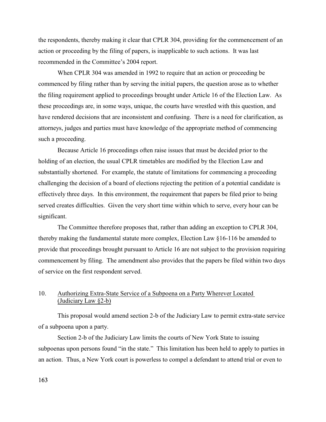the respondents, thereby making it clear that CPLR 304, providing for the commencement of an action or proceeding by the filing of papers, is inapplicable to such actions. It was last recommended in the Committee's 2004 report.

When CPLR 304 was amended in 1992 to require that an action or proceeding be commenced by filing rather than by serving the initial papers, the question arose as to whether the filing requirement applied to proceedings brought under Article 16 of the Election Law. As these proceedings are, in some ways, unique, the courts have wrestled with this question, and have rendered decisions that are inconsistent and confusing. There is a need for clarification, as attorneys, judges and parties must have knowledge of the appropriate method of commencing such a proceeding.

Because Article 16 proceedings often raise issues that must be decided prior to the holding of an election, the usual CPLR timetables are modified by the Election Law and substantially shortened. For example, the statute of limitations for commencing a proceeding challenging the decision of a board of elections rejecting the petition of a potential candidate is effectively three days. In this environment, the requirement that papers be filed prior to being served creates difficulties. Given the very short time within which to serve, every hour can be significant.

The Committee therefore proposes that, rather than adding an exception to CPLR 304, thereby making the fundamental statute more complex, Election Law §16-116 be amended to provide that proceedings brought pursuant to Article 16 are not subject to the provision requiring commencement by filing. The amendment also provides that the papers be filed within two days of service on the first respondent served.

# 10. Authorizing Extra-State Service of a Subpoena on a Party Wherever Located (Judiciary Law §2-b)

This proposal would amend section 2-b of the Judiciary Law to permit extra-state service of a subpoena upon a party.

Section 2-b of the Judiciary Law limits the courts of New York State to issuing subpoenas upon persons found "in the state." This limitation has been held to apply to parties in an action. Thus, a New York court is powerless to compel a defendant to attend trial or even to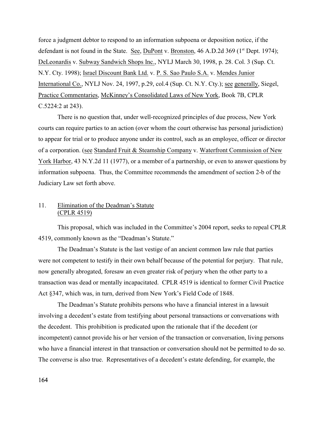force a judgment debtor to respond to an information subpoena or deposition notice, if the defendant is not found in the State. See, DuPont v. Bronston,  $46$  A.D.2d  $369$  ( $1<sup>st</sup>$  Dept. 1974); DeLeonardis v. Subway Sandwich Shops Inc., NYLJ March 30, 1998, p. 28. Col. 3 (Sup. Ct. N.Y. Cty. 1998); Israel Discount Bank Ltd. v. P. S. Sao Paulo S.A. v. Mendes Junior International Co., NYLJ Nov. 24, 1997, p.29, col.4 (Sup. Ct. N.Y. Cty.); see generally, Siegel, Practice Commentaries, McKinney's Consolidated Laws of New York, Book 7B, CPLR C.5224:2 at 243).

There is no question that, under well-recognized principles of due process, New York courts can require parties to an action (over whom the court otherwise has personal jurisdiction) to appear for trial or to produce anyone under its control, such as an employee, officer or director of a corporation. (see Standard Fruit & Steamship Company v. Waterfront Commission of New York Harbor, 43 N.Y.2d 11 (1977), or a member of a partnership, or even to answer questions by information subpoena. Thus, the Committee recommends the amendment of section 2-b of the Judiciary Law set forth above.

# 11. Elimination of the Deadman's Statute (CPLR 4519)

This proposal, which was included in the Committee's 2004 report, seeks to repeal CPLR 4519, commonly known as the "Deadman's Statute."

The Deadman's Statute is the last vestige of an ancient common law rule that parties were not competent to testify in their own behalf because of the potential for perjury. That rule, now generally abrogated, foresaw an even greater risk of perjury when the other party to a transaction was dead or mentally incapacitated. CPLR 4519 is identical to former Civil Practice Act §347, which was, in turn, derived from New York's Field Code of 1848.

The Deadman's Statute prohibits persons who have a financial interest in a lawsuit involving a decedent's estate from testifying about personal transactions or conversations with the decedent. This prohibition is predicated upon the rationale that if the decedent (or incompetent) cannot provide his or her version of the transaction or conversation, living persons who have a financial interest in that transaction or conversation should not be permitted to do so. The converse is also true. Representatives of a decedent's estate defending, for example, the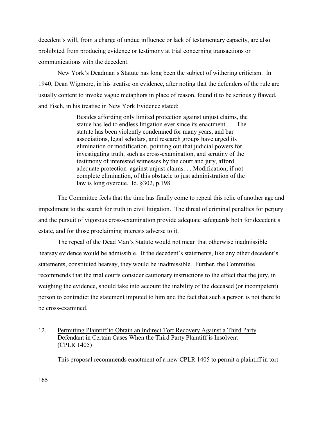decedent's will, from a charge of undue influence or lack of testamentary capacity, are also prohibited from producing evidence or testimony at trial concerning transactions or communications with the decedent.

New York's Deadman's Statute has long been the subject of withering criticism. In 1940, Dean Wigmore, in his treatise on evidence, after noting that the defenders of the rule are usually content to invoke vague metaphors in place of reason, found it to be seriously flawed, and Fisch, in his treatise in New York Evidence stated:

> Besides affording only limited protection against unjust claims, the statue has led to endless litigation ever since its enactment . . . The statute has been violently condemned for many years, and bar associations, legal scholars, and research groups have urged its elimination or modification, pointing out that judicial powers for investigating truth, such as cross-examination, and scrutiny of the testimony of interested witnesses by the court and jury, afford adequate protection against unjust claims. . . Modification, if not complete elimination, of this obstacle to just administration of the law is long overdue. Id. §302, p.198.

The Committee feels that the time has finally come to repeal this relic of another age and impediment to the search for truth in civil litigation. The threat of criminal penalties for perjury and the pursuit of vigorous cross-examination provide adequate safeguards both for decedent's estate, and for those proclaiming interests adverse to it.

The repeal of the Dead Man's Statute would not mean that otherwise inadmissible hearsay evidence would be admissible. If the decedent's statements, like any other decedent's statements, constituted hearsay, they would be inadmissible. Further, the Committee recommends that the trial courts consider cautionary instructions to the effect that the jury, in weighing the evidence, should take into account the inability of the deceased (or incompetent) person to contradict the statement imputed to him and the fact that such a person is not there to be cross-examined.

# 12. Permitting Plaintiff to Obtain an Indirect Tort Recovery Against a Third Party Defendant in Certain Cases When the Third Party Plaintiff is Insolvent (CPLR 1405)

This proposal recommends enactment of a new CPLR 1405 to permit a plaintiff in tort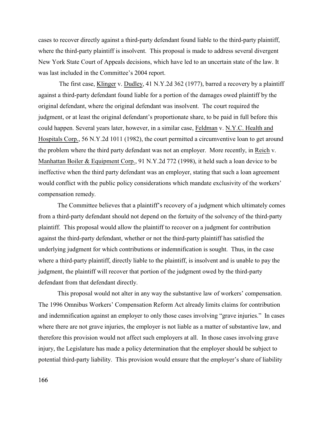cases to recover directly against a third-party defendant found liable to the third-party plaintiff, where the third-party plaintiff is insolvent. This proposal is made to address several divergent New York State Court of Appeals decisions, which have led to an uncertain state of the law. It was last included in the Committee's 2004 report.

 The first case, Klinger v. Dudley, 41 N.Y.2d 362 (1977), barred a recovery by a plaintiff against a third-party defendant found liable for a portion of the damages owed plaintiff by the original defendant, where the original defendant was insolvent. The court required the judgment, or at least the original defendant's proportionate share, to be paid in full before this could happen. Several years later, however, in a similar case, Feldman v. N.Y.C. Health and Hospitals Corp., 56 N.Y.2d 1011 (1982), the court permitted a circumventive loan to get around the problem where the third party defendant was not an employer. More recently, in Reich v. Manhattan Boiler & Equipment Corp., 91 N.Y.2d 772 (1998), it held such a loan device to be ineffective when the third party defendant was an employer, stating that such a loan agreement would conflict with the public policy considerations which mandate exclusivity of the workers' compensation remedy.

The Committee believes that a plaintiff's recovery of a judgment which ultimately comes from a third-party defendant should not depend on the fortuity of the solvency of the third-party plaintiff. This proposal would allow the plaintiff to recover on a judgment for contribution against the third-party defendant, whether or not the third-party plaintiff has satisfied the underlying judgment for which contributions or indemnification is sought. Thus, in the case where a third-party plaintiff, directly liable to the plaintiff, is insolvent and is unable to pay the judgment, the plaintiff will recover that portion of the judgment owed by the third-party defendant from that defendant directly.

This proposal would not alter in any way the substantive law of workers' compensation. The 1996 Omnibus Workers' Compensation Reform Act already limits claims for contribution and indemnification against an employer to only those cases involving "grave injuries." In cases where there are not grave injuries, the employer is not liable as a matter of substantive law, and therefore this provision would not affect such employers at all. In those cases involving grave injury, the Legislature has made a policy determination that the employer should be subject to potential third-party liability. This provision would ensure that the employer's share of liability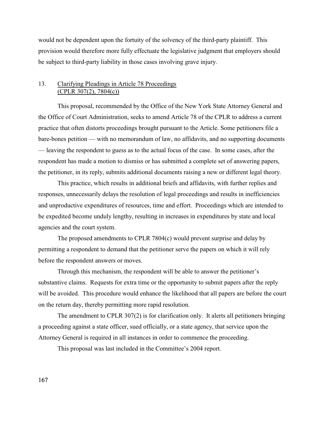would not be dependent upon the fortuity of the solvency of the third-party plaintiff. This provision would therefore more fully effectuate the legislative judgment that employers should be subject to third-party liability in those cases involving grave injury.

# 13. Clarifying Pleadings in Article 78 Proceedings (CPLR 307(2), 7804(c))

This proposal, recommended by the Office of the New York State Attorney General and the Office of Court Administration, seeks to amend Article 78 of the CPLR to address a current practice that often distorts proceedings brought pursuant to the Article. Some petitioners file a bare-bones petition — with no memorandum of law, no affidavits, and no supporting documents — leaving the respondent to guess as to the actual focus of the case. In some cases, after the respondent has made a motion to dismiss or has submitted a complete set of answering papers, the petitioner, in its reply, submits additional documents raising a new or different legal theory.

This practice, which results in additional briefs and affidavits, with further replies and responses, unnecessarily delays the resolution of legal proceedings and results in inefficiencies and unproductive expenditures of resources, time and effort. Proceedings which are intended to be expedited become unduly lengthy, resulting in increases in expenditures by state and local agencies and the court system.

The proposed amendments to CPLR 7804(c) would prevent surprise and delay by permitting a respondent to demand that the petitioner serve the papers on which it will rely before the respondent answers or moves.

Through this mechanism, the respondent will be able to answer the petitioner's substantive claims. Requests for extra time or the opportunity to submit papers after the reply will be avoided. This procedure would enhance the likelihood that all papers are before the court on the return day, thereby permitting more rapid resolution.

The amendment to CPLR 307(2) is for clarification only. It alerts all petitioners bringing a proceeding against a state officer, sued officially, or a state agency, that service upon the Attorney General is required in all instances in order to commence the proceeding.

This proposal was last included in the Committee's 2004 report.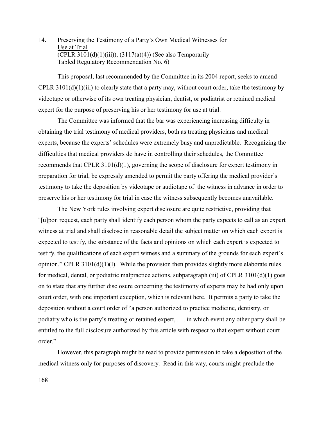# 14. Preserving the Testimony of a Party's Own Medical Witnesses for Use at Trial  $(CPLR 3101(d)(1)(iii))$ ,  $(3117(a)(4))$  (See also Temporarily Tabled Regulatory Recommendation No. 6)

This proposal, last recommended by the Committee in its 2004 report, seeks to amend CPLR  $3101(d)(1)(iii)$  to clearly state that a party may, without court order, take the testimony by videotape or otherwise of its own treating physician, dentist, or podiatrist or retained medical expert for the purpose of preserving his or her testimony for use at trial.

The Committee was informed that the bar was experiencing increasing difficulty in obtaining the trial testimony of medical providers, both as treating physicians and medical experts, because the experts' schedules were extremely busy and unpredictable. Recognizing the difficulties that medical providers do have in controlling their schedules, the Committee recommends that CPLR  $3101(d)(1)$ , governing the scope of disclosure for expert testimony in preparation for trial, be expressly amended to permit the party offering the medical provider's testimony to take the deposition by videotape or audiotape of the witness in advance in order to preserve his or her testimony for trial in case the witness subsequently becomes unavailable.

The New York rules involving expert disclosure are quite restrictive, providing that ?[u]pon request, each party shall identify each person whom the party expects to call as an expert witness at trial and shall disclose in reasonable detail the subject matter on which each expert is expected to testify, the substance of the facts and opinions on which each expert is expected to testify, the qualifications of each expert witness and a summary of the grounds for each expert's opinion." CPLR  $3101(d)(1)(I)$ . While the provision then provides slightly more elaborate rules for medical, dental, or podiatric malpractice actions, subparagraph (iii) of CPLR 3101(d)(1) goes on to state that any further disclosure concerning the testimony of experts may be had only upon court order, with one important exception, which is relevant here. It permits a party to take the deposition without a court order of "a person authorized to practice medicine, dentistry, or podiatry who is the party's treating or retained expert, . . . in which event any other party shall be entitled to the full disclosure authorized by this article with respect to that expert without court order."

However, this paragraph might be read to provide permission to take a deposition of the medical witness only for purposes of discovery. Read in this way, courts might preclude the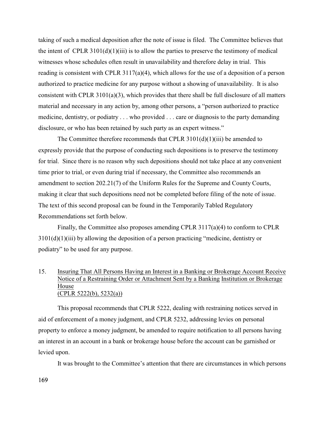taking of such a medical deposition after the note of issue is filed. The Committee believes that the intent of CPLR  $3101(d)(1)(iii)$  is to allow the parties to preserve the testimony of medical witnesses whose schedules often result in unavailability and therefore delay in trial. This reading is consistent with CPLR 3117(a)(4), which allows for the use of a deposition of a person authorized to practice medicine for any purpose without a showing of unavailability. It is also consistent with CPLR 3101(a)(3), which provides that there shall be full disclosure of all matters material and necessary in any action by, among other persons, a "person authorized to practice medicine, dentistry, or podiatry . . . who provided . . . care or diagnosis to the party demanding disclosure, or who has been retained by such party as an expert witness."

The Committee therefore recommends that CPLR  $3101(d)(1)(iii)$  be amended to expressly provide that the purpose of conducting such depositions is to preserve the testimony for trial. Since there is no reason why such depositions should not take place at any convenient time prior to trial, or even during trial if necessary, the Committee also recommends an amendment to section 202.21(7) of the Uniform Rules for the Supreme and County Courts, making it clear that such depositions need not be completed before filing of the note of issue. The text of this second proposal can be found in the Temporarily Tabled Regulatory Recommendations set forth below.

Finally, the Committee also proposes amending CPLR 3117(a)(4) to conform to CPLR 3101(d)(1)(iii) by allowing the deposition of a person practicing "medicine, dentistry or podiatry" to be used for any purpose.

# 15. Insuring That All Persons Having an Interest in a Banking or Brokerage Account Receive Notice of a Restraining Order or Attachment Sent by a Banking Institution or Brokerage House (CPLR 5222(b), 5232(a))

This proposal recommends that CPLR 5222, dealing with restraining notices served in aid of enforcement of a money judgment, and CPLR 5232, addressing levies on personal property to enforce a money judgment, be amended to require notification to all persons having an interest in an account in a bank or brokerage house before the account can be garnished or levied upon.

It was brought to the Committee's attention that there are circumstances in which persons

169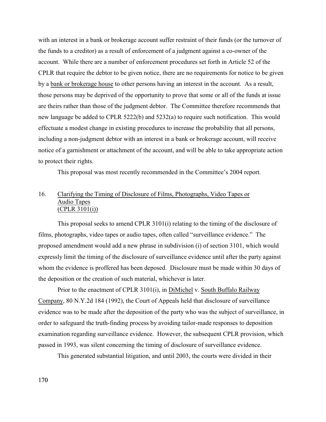with an interest in a bank or brokerage account suffer restraint of their funds (or the turnover of the funds to a creditor) as a result of enforcement of a judgment against a co-owner of the account. While there are a number of enforcement procedures set forth in Article 52 of the CPLR that require the debtor to be given notice, there are no requirements for notice to be given by a bank or brokerage house to other persons having an interest in the account. As a result, those persons may be deprived of the opportunity to prove that some or all of the funds at issue are theirs rather than those of the judgment debtor. The Committee therefore recommends that new language be added to CPLR 5222(b) and 5232(a) to require such notification. This would effectuate a modest change in existing procedures to increase the probability that all persons, including a non-judgment debtor with an interest in a bank or brokerage account, will receive notice of a garnishment or attachment of the account, and will be able to take appropriate action to protect their rights.

This proposal was most recently recommended in the Committee's 2004 report.

#### 16. Clarifying the Timing of Disclosure of Films, Photographs, Video Tapes or Audio Tapes (CPLR 3101(i))

This proposal seeks to amend CPLR 3101(i) relating to the timing of the disclosure of films, photographs, video tapes or audio tapes, often called "surveillance evidence." The proposed amendment would add a new phrase in subdivision (i) of section 3101, which would expressly limit the timing of the disclosure of surveillance evidence until after the party against whom the evidence is proffered has been deposed. Disclosure must be made within 30 days of the deposition or the creation of such material, whichever is later.

Prior to the enactment of CPLR 3101(i), in DiMichel v. South Buffalo Railway Company, 80 N.Y.2d 184 (1992), the Court of Appeals held that disclosure of surveillance evidence was to be made after the deposition of the party who was the subject of surveillance, in order to safeguard the truth-finding process by avoiding tailor-made responses to deposition examination regarding surveillance evidence. However, the subsequent CPLR provision, which passed in 1993, was silent concerning the timing of disclosure of surveillance evidence.

This generated substantial litigation, and until 2003, the courts were divided in their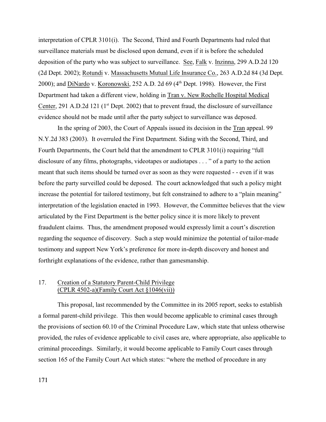interpretation of CPLR 3101(i). The Second, Third and Fourth Departments had ruled that surveillance materials must be disclosed upon demand, even if it is before the scheduled deposition of the party who was subject to surveillance. See, Falk v. Inzinna, 299 A.D.2d 120 (2d Dept. 2002); Rotundi v. Massachusetts Mutual Life Insurance Co., 263 A.D.2d 84 (3d Dept. 2000); and DiNardo v. Koronowski, 252 A.D. 2d  $69$  ( $4<sup>th</sup>$  Dept. 1998). However, the First Department had taken a different view, holding in Tran v. New Rochelle Hospital Medical Center, 291 A.D.2d 121 ( $1<sup>st</sup>$  Dept. 2002) that to prevent fraud, the disclosure of surveillance evidence should not be made until after the party subject to surveillance was deposed.

In the spring of 2003, the Court of Appeals issued its decision in the Tran appeal. 99 N.Y.2d 383 (2003). It overruled the First Department. Siding with the Second, Third, and Fourth Departments, the Court held that the amendment to CPLR 3101(i) requiring "full disclosure of any films, photographs, videotapes or audiotapes . . . " of a party to the action meant that such items should be turned over as soon as they were requested - - even if it was before the party surveilled could be deposed. The court acknowledged that such a policy might increase the potential for tailored testimony, but felt constrained to adhere to a "plain meaning" interpretation of the legislation enacted in 1993. However, the Committee believes that the view articulated by the First Department is the better policy since it is more likely to prevent fraudulent claims. Thus, the amendment proposed would expressly limit a court's discretion regarding the sequence of discovery. Such a step would minimize the potential of tailor-made testimony and support New York's preference for more in-depth discovery and honest and forthright explanations of the evidence, rather than gamesmanship.

# 17. Creation of a Statutory Parent-Child Privilege (CPLR 4502-a)(Family Court Act §1046(vii))

This proposal, last recommended by the Committee in its 2005 report, seeks to establish a formal parent-child privilege. This then would become applicable to criminal cases through the provisions of section 60.10 of the Criminal Procedure Law, which state that unless otherwise provided, the rules of evidence applicable to civil cases are, where appropriate, also applicable to criminal proceedings. Similarly, it would become applicable to Family Court cases through section 165 of the Family Court Act which states: "where the method of procedure in any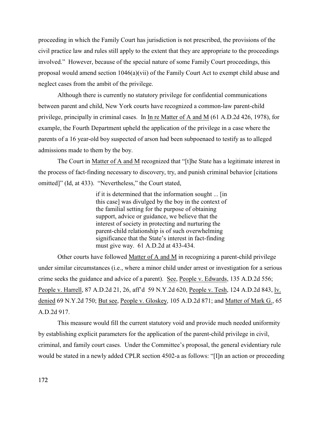proceeding in which the Family Court has jurisdiction is not prescribed, the provisions of the civil practice law and rules still apply to the extent that they are appropriate to the proceedings involved." However, because of the special nature of some Family Court proceedings, this proposal would amend section 1046(a)(vii) of the Family Court Act to exempt child abuse and neglect cases from the ambit of the privilege.

Although there is currently no statutory privilege for confidential communications between parent and child, New York courts have recognized a common-law parent-child privilege, principally in criminal cases. In In re Matter of A and M (61 A.D.2d 426, 1978), for example, the Fourth Department upheld the application of the privilege in a case where the parents of a 16 year-old boy suspected of arson had been subpoenaed to testify as to alleged admissions made to them by the boy.

The Court in Matter of A and M recognized that "[t]he State has a legitimate interest in the process of fact-finding necessary to discovery, try, and punish criminal behavior [citations omitted]" (Id, at 433). "Nevertheless," the Court stated,

> if it is determined that the information sought ... [in this case] was divulged by the boy in the context of the familial setting for the purpose of obtaining support, advice or guidance, we believe that the interest of society in protecting and nurturing the parent-child relationship is of such overwhelming significance that the State's interest in fact-finding must give way. 61 A.D.2d at 433-434.

Other courts have followed Matter of A and M in recognizing a parent-child privilege under similar circumstances (i.e., where a minor child under arrest or investigation for a serious crime seeks the guidance and advice of a parent). See, People v. Edwards, 135 A.D.2d 556; People v. Harrell, 87 A.D.2d 21, 26, aff'd 59 N.Y.2d 620, People v. Tesh, 124 A.D.2d 843, lv. denied 69 N.Y.2d 750; But see, People v. Gloskey, 105 A.D.2d 871; and Matter of Mark G., 65 A.D.2d 917.

This measure would fill the current statutory void and provide much needed uniformity by establishing explicit parameters for the application of the parent-child privilege in civil, criminal, and family court cases. Under the Committee's proposal, the general evidentiary rule would be stated in a newly added CPLR section 4502-a as follows: "[I]n an action or proceeding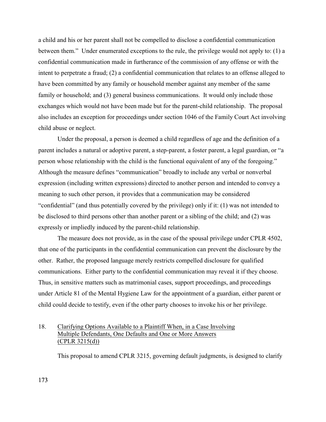a child and his or her parent shall not be compelled to disclose a confidential communication between them." Under enumerated exceptions to the rule, the privilege would not apply to: (1) a confidential communication made in furtherance of the commission of any offense or with the intent to perpetrate a fraud; (2) a confidential communication that relates to an offense alleged to have been committed by any family or household member against any member of the same family or household; and (3) general business communications. It would only include those exchanges which would not have been made but for the parent-child relationship. The proposal also includes an exception for proceedings under section 1046 of the Family Court Act involving child abuse or neglect.

Under the proposal, a person is deemed a child regardless of age and the definition of a parent includes a natural or adoptive parent, a step-parent, a foster parent, a legal guardian, or "a person whose relationship with the child is the functional equivalent of any of the foregoing." Although the measure defines "communication" broadly to include any verbal or nonverbal expression (including written expressions) directed to another person and intended to convey a meaning to such other person, it provides that a communication may be considered "confidential" (and thus potentially covered by the privilege) only if it: (1) was not intended to be disclosed to third persons other than another parent or a sibling of the child; and (2) was expressly or impliedly induced by the parent-child relationship.

The measure does not provide, as in the case of the spousal privilege under CPLR 4502, that one of the participants in the confidential communication can prevent the disclosure by the other. Rather, the proposed language merely restricts compelled disclosure for qualified communications. Either party to the confidential communication may reveal it if they choose. Thus, in sensitive matters such as matrimonial cases, support proceedings, and proceedings under Article 81 of the Mental Hygiene Law for the appointment of a guardian, either parent or child could decide to testify, even if the other party chooses to invoke his or her privilege.

# 18. Clarifying Options Available to a Plaintiff When, in a Case Involving Multiple Defendants, One Defaults and One or More Answers (CPLR 3215(d))

This proposal to amend CPLR 3215, governing default judgments, is designed to clarify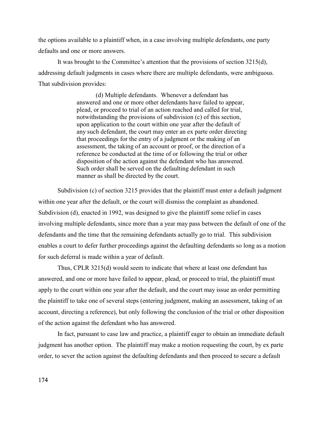the options available to a plaintiff when, in a case involving multiple defendants, one party defaults and one or more answers.

It was brought to the Committee's attention that the provisions of section 3215(d), addressing default judgments in cases where there are multiple defendants, were ambiguous. That subdivision provides:

> (d) Multiple defendants. Whenever a defendant has answered and one or more other defendants have failed to appear, plead, or proceed to trial of an action reached and called for trial, notwithstanding the provisions of subdivision (c) of this section, upon application to the court within one year after the default of any such defendant, the court may enter an ex parte order directing that proceedings for the entry of a judgment or the making of an assessment, the taking of an account or proof, or the direction of a reference be conducted at the time of or following the trial or other disposition of the action against the defendant who has answered. Such order shall be served on the defaulting defendant in such manner as shall be directed by the court.

Subdivision (c) of section 3215 provides that the plaintiff must enter a default judgment within one year after the default, or the court will dismiss the complaint as abandoned. Subdivision (d), enacted in 1992, was designed to give the plaintiff some relief in cases involving multiple defendants, since more than a year may pass between the default of one of the defendants and the time that the remaining defendants actually go to trial. This subdivision enables a court to defer further proceedings against the defaulting defendants so long as a motion for such deferral is made within a year of default.

Thus, CPLR 3215(d) would seem to indicate that where at least one defendant has answered, and one or more have failed to appear, plead, or proceed to trial, the plaintiff must apply to the court within one year after the default, and the court may issue an order permitting the plaintiff to take one of several steps (entering judgment, making an assessment, taking of an account, directing a reference), but only following the conclusion of the trial or other disposition of the action against the defendant who has answered.

In fact, pursuant to case law and practice, a plaintiff eager to obtain an immediate default judgment has another option. The plaintiff may make a motion requesting the court, by ex parte order, to sever the action against the defaulting defendants and then proceed to secure a default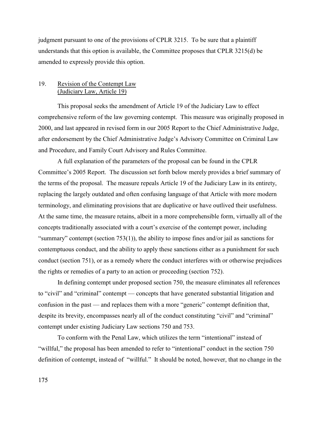judgment pursuant to one of the provisions of CPLR 3215. To be sure that a plaintiff understands that this option is available, the Committee proposes that CPLR 3215(d) be amended to expressly provide this option.

#### 19. Revision of the Contempt Law (Judiciary Law, Article 19)

This proposal seeks the amendment of Article 19 of the Judiciary Law to effect comprehensive reform of the law governing contempt. This measure was originally proposed in 2000, and last appeared in revised form in our 2005 Report to the Chief Administrative Judge, after endorsement by the Chief Administrative Judge's Advisory Committee on Criminal Law and Procedure, and Family Court Advisory and Rules Committee.

A full explanation of the parameters of the proposal can be found in the CPLR Committee's 2005 Report. The discussion set forth below merely provides a brief summary of the terms of the proposal. The measure repeals Article 19 of the Judiciary Law in its entirety, replacing the largely outdated and often confusing language of that Article with more modern terminology, and eliminating provisions that are duplicative or have outlived their usefulness. At the same time, the measure retains, albeit in a more comprehensible form, virtually all of the concepts traditionally associated with a court's exercise of the contempt power, including "summary" contempt (section 753(1)), the ability to impose fines and/or jail as sanctions for contemptuous conduct, and the ability to apply these sanctions either as a punishment for such conduct (section 751), or as a remedy where the conduct interferes with or otherwise prejudices the rights or remedies of a party to an action or proceeding (section 752).

In defining contempt under proposed section 750, the measure eliminates all references to "civil" and "criminal" contempt — concepts that have generated substantial litigation and confusion in the past — and replaces them with a more "generic" contempt definition that, despite its brevity, encompasses nearly all of the conduct constituting "civil" and "criminal" contempt under existing Judiciary Law sections 750 and 753.

To conform with the Penal Law, which utilizes the term "intentional" instead of "willful," the proposal has been amended to refer to "intentional" conduct in the section 750 definition of contempt, instead of "willful." It should be noted, however, that no change in the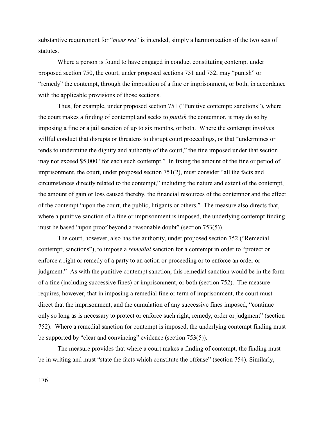substantive requirement for "*mens rea*" is intended, simply a harmonization of the two sets of statutes.

Where a person is found to have engaged in conduct constituting contempt under proposed section 750, the court, under proposed sections 751 and 752, may "punish" or "remedy" the contempt, through the imposition of a fine or imprisonment, or both, in accordance with the applicable provisions of those sections.

Thus, for example, under proposed section 751 ("Punitive contempt; sanctions"), where the court makes a finding of contempt and seeks to *punish* the contemnor, it may do so by imposing a fine or a jail sanction of up to six months, or both. Where the contempt involves willful conduct that disrupts or threatens to disrupt court proceedings, or that "undermines or tends to undermine the dignity and authority of the court," the fine imposed under that section may not exceed \$5,000 "for each such contempt." In fixing the amount of the fine or period of imprisonment, the court, under proposed section 751(2), must consider "all the facts and circumstances directly related to the contempt," including the nature and extent of the contempt, the amount of gain or loss caused thereby, the financial resources of the contemnor and the effect of the contempt "upon the court, the public, litigants or others." The measure also directs that, where a punitive sanction of a fine or imprisonment is imposed, the underlying contempt finding must be based "upon proof beyond a reasonable doubt" (section 753(5)).

The court, however, also has the authority, under proposed section 752 ("Remedial contempt; sanctions"), to impose a *remedial* sanction for a contempt in order to "protect or enforce a right or remedy of a party to an action or proceeding or to enforce an order or judgment." As with the punitive contempt sanction, this remedial sanction would be in the form of a fine (including successive fines) or imprisonment, or both (section 752). The measure requires, however, that in imposing a remedial fine or term of imprisonment, the court must direct that the imprisonment, and the cumulation of any successive fines imposed, "continue only so long as is necessary to protect or enforce such right, remedy, order or judgment" (section 752). Where a remedial sanction for contempt is imposed, the underlying contempt finding must be supported by "clear and convincing" evidence (section 753(5)).

The measure provides that where a court makes a finding of contempt, the finding must be in writing and must "state the facts which constitute the offense" (section 754). Similarly,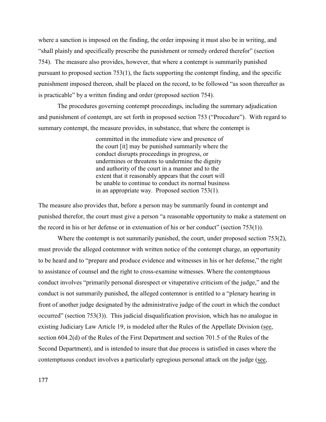where a sanction is imposed on the finding, the order imposing it must also be in writing, and "shall plainly and specifically prescribe the punishment or remedy ordered therefor" (section 754). The measure also provides, however, that where a contempt is summarily punished pursuant to proposed section 753(1), the facts supporting the contempt finding, and the specific punishment imposed thereon, shall be placed on the record, to be followed "as soon thereafter as is practicable" by a written finding and order (proposed section 754).

The procedures governing contempt proceedings, including the summary adjudication and punishment of contempt, are set forth in proposed section 753 ("Procedure"). With regard to summary contempt, the measure provides, in substance, that where the contempt is

> committed in the immediate view and presence of the court [it] may be punished summarily where the conduct disrupts proceedings in progress, or undermines or threatens to undermine the dignity and authority of the court in a manner and to the extent that it reasonably appears that the court will be unable to continue to conduct its normal business in an appropriate way. Proposed section 753(1).

The measure also provides that, before a person may be summarily found in contempt and punished therefor, the court must give a person "a reasonable opportunity to make a statement on the record in his or her defense or in extenuation of his or her conduct" (section 753(1)).

Where the contempt is not summarily punished, the court, under proposed section 753(2), must provide the alleged contemnor with written notice of the contempt charge, an opportunity to be heard and to "prepare and produce evidence and witnesses in his or her defense," the right to assistance of counsel and the right to cross-examine witnesses. Where the contemptuous conduct involves "primarily personal disrespect or vituperative criticism of the judge," and the conduct is not summarily punished, the alleged contemnor is entitled to a "plenary hearing in front of another judge designated by the administrative judge of the court in which the conduct occurred" (section 753(3)). This judicial disqualification provision, which has no analogue in existing Judiciary Law Article 19, is modeled after the Rules of the Appellate Division (see, section 604.2(d) of the Rules of the First Department and section 701.5 of the Rules of the Second Department), and is intended to insure that due process is satisfied in cases where the contemptuous conduct involves a particularly egregious personal attack on the judge (see,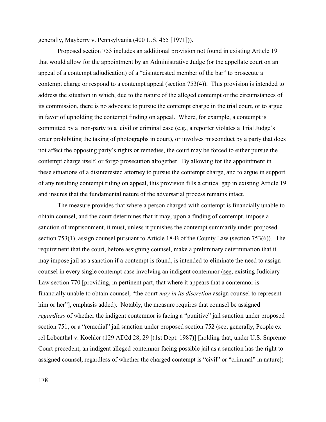#### generally, Mayberry v. Pennsylvania (400 U.S. 455 [1971])).

Proposed section 753 includes an additional provision not found in existing Article 19 that would allow for the appointment by an Administrative Judge (or the appellate court on an appeal of a contempt adjudication) of a "disinterested member of the bar" to prosecute a contempt charge or respond to a contempt appeal (section 753(4)). This provision is intended to address the situation in which, due to the nature of the alleged contempt or the circumstances of its commission, there is no advocate to pursue the contempt charge in the trial court, or to argue in favor of upholding the contempt finding on appeal. Where, for example, a contempt is committed by a non-party to a civil or criminal case (e.g., a reporter violates a Trial Judge's order prohibiting the taking of photographs in court), or involves misconduct by a party that does not affect the opposing party's rights or remedies, the court may be forced to either pursue the contempt charge itself, or forgo prosecution altogether. By allowing for the appointment in these situations of a disinterested attorney to pursue the contempt charge, and to argue in support of any resulting contempt ruling on appeal, this provision fills a critical gap in existing Article 19 and insures that the fundamental nature of the adversarial process remains intact.

The measure provides that where a person charged with contempt is financially unable to obtain counsel, and the court determines that it may, upon a finding of contempt, impose a sanction of imprisonment, it must, unless it punishes the contempt summarily under proposed section 753(1), assign counsel pursuant to Article 18-B of the County Law (section 753(6)). The requirement that the court, before assigning counsel, make a preliminary determination that it may impose jail as a sanction if a contempt is found, is intended to eliminate the need to assign counsel in every single contempt case involving an indigent contemnor (see, existing Judiciary Law section 770 [providing, in pertinent part, that where it appears that a contemnor is financially unable to obtain counsel, "the court *may in its discretion* assign counsel to represent him or her"], emphasis added). Notably, the measure requires that counsel be assigned *regardless* of whether the indigent contemnor is facing a "punitive" jail sanction under proposed section 751, or a "remedial" jail sanction under proposed section 752 (see, generally, People ex rel Lobenthal v. Koehler (129 AD2d 28, 29 [(1st Dept. 1987)] [holding that, under U.S. Supreme Court precedent, an indigent alleged contemnor facing possible jail as a sanction has the right to assigned counsel, regardless of whether the charged contempt is "civil" or "criminal" in nature];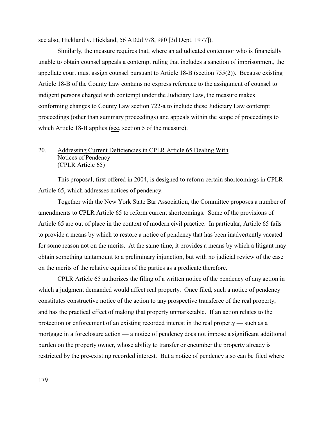see also, Hickland v. Hickland, 56 AD2d 978, 980 [3d Dept. 1977]).

Similarly, the measure requires that, where an adjudicated contemnor who is financially unable to obtain counsel appeals a contempt ruling that includes a sanction of imprisonment, the appellate court must assign counsel pursuant to Article 18-B (section 755(2)). Because existing Article 18-B of the County Law contains no express reference to the assignment of counsel to indigent persons charged with contempt under the Judiciary Law, the measure makes conforming changes to County Law section 722-a to include these Judiciary Law contempt proceedings (other than summary proceedings) and appeals within the scope of proceedings to which Article 18-B applies (see, section 5 of the measure).

# 20. Addressing Current Deficiencies in CPLR Article 65 Dealing With Notices of Pendency (CPLR Article 65)

This proposal, first offered in 2004, is designed to reform certain shortcomings in CPLR Article 65, which addresses notices of pendency.

Together with the New York State Bar Association, the Committee proposes a number of amendments to CPLR Article 65 to reform current shortcomings. Some of the provisions of Article 65 are out of place in the context of modern civil practice. In particular, Article 65 fails to provide a means by which to restore a notice of pendency that has been inadvertently vacated for some reason not on the merits. At the same time, it provides a means by which a litigant may obtain something tantamount to a preliminary injunction, but with no judicial review of the case on the merits of the relative equities of the parties as a predicate therefore.

CPLR Article 65 authorizes the filing of a written notice of the pendency of any action in which a judgment demanded would affect real property. Once filed, such a notice of pendency constitutes constructive notice of the action to any prospective transferee of the real property, and has the practical effect of making that property unmarketable. If an action relates to the protection or enforcement of an existing recorded interest in the real property — such as a mortgage in a foreclosure action — a notice of pendency does not impose a significant additional burden on the property owner, whose ability to transfer or encumber the property already is restricted by the pre-existing recorded interest. But a notice of pendency also can be filed where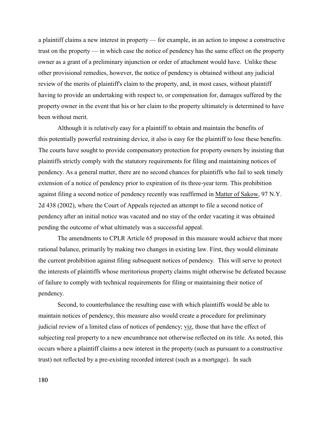a plaintiff claims a new interest in property — for example, in an action to impose a constructive trust on the property — in which case the notice of pendency has the same effect on the property owner as a grant of a preliminary injunction or order of attachment would have. Unlike these other provisional remedies, however, the notice of pendency is obtained without any judicial review of the merits of plaintiff's claim to the property, and, in most cases, without plaintiff having to provide an undertaking with respect to, or compensation for, damages suffered by the property owner in the event that his or her claim to the property ultimately is determined to have been without merit.

Although it is relatively easy for a plaintiff to obtain and maintain the benefits of this potentially powerful restraining device, it also is easy for the plaintiff to lose these benefits. The courts have sought to provide compensatory protection for property owners by insisting that plaintiffs strictly comply with the statutory requirements for filing and maintaining notices of pendency. As a general matter, there are no second chances for plaintiffs who fail to seek timely extension of a notice of pendency prior to expiration of its three-year term. This prohibition against filing a second notice of pendency recently was reaffirmed in Matter of Sakow, 97 N.Y. 2d 438 (2002), where the Court of Appeals rejected an attempt to file a second notice of pendency after an initial notice was vacated and no stay of the order vacating it was obtained pending the outcome of what ultimately was a successful appeal.

The amendments to CPLR Article 65 proposed in this measure would achieve that more rational balance, primarily by making two changes in existing law. First, they would eliminate the current prohibition against filing subsequent notices of pendency. This will serve to protect the interests of plaintiffs whose meritorious property claims might otherwise be defeated because of failure to comply with technical requirements for filing or maintaining their notice of pendency.

Second, to counterbalance the resulting ease with which plaintiffs would be able to maintain notices of pendency, this measure also would create a procedure for preliminary judicial review of a limited class of notices of pendency; viz, those that have the effect of subjecting real property to a new encumbrance not otherwise reflected on its title. As noted, this occurs where a plaintiff claims a new interest in the property (such as pursuant to a constructive trust) not reflected by a pre-existing recorded interest (such as a mortgage). In such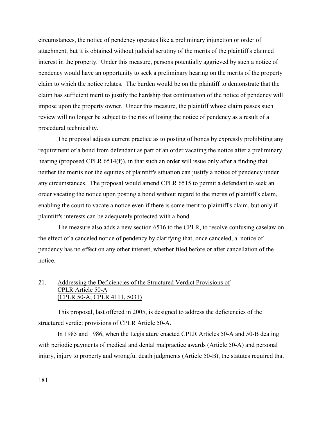circumstances, the notice of pendency operates like a preliminary injunction or order of attachment, but it is obtained without judicial scrutiny of the merits of the plaintiff's claimed interest in the property. Under this measure, persons potentially aggrieved by such a notice of pendency would have an opportunity to seek a preliminary hearing on the merits of the property claim to which the notice relates. The burden would be on the plaintiff to demonstrate that the claim has sufficient merit to justify the hardship that continuation of the notice of pendency will impose upon the property owner. Under this measure, the plaintiff whose claim passes such review will no longer be subject to the risk of losing the notice of pendency as a result of a procedural technicality.

The proposal adjusts current practice as to posting of bonds by expressly prohibiting any requirement of a bond from defendant as part of an order vacating the notice after a preliminary hearing (proposed CPLR 6514(f)), in that such an order will issue only after a finding that neither the merits nor the equities of plaintiff's situation can justify a notice of pendency under any circumstances. The proposal would amend CPLR 6515 to permit a defendant to seek an order vacating the notice upon posting a bond without regard to the merits of plaintiff's claim, enabling the court to vacate a notice even if there is some merit to plaintiff's claim, but only if plaintiff's interests can be adequately protected with a bond.

The measure also adds a new section 6516 to the CPLR, to resolve confusing caselaw on the effect of a canceled notice of pendency by clarifying that, once canceled, a notice of pendency has no effect on any other interest, whether filed before or after cancellation of the notice.

### 21. Addressing the Deficiencies of the Structured Verdict Provisions of CPLR Article 50-A (CPLR 50-A; CPLR 4111, 5031)

This proposal, last offered in 2005, is designed to address the deficiencies of the structured verdict provisions of CPLR Article 50-A.

In 1985 and 1986, when the Legislature enacted CPLR Articles 50-A and 50-B dealing with periodic payments of medical and dental malpractice awards (Article 50-A) and personal injury, injury to property and wrongful death judgments (Article 50-B), the statutes required that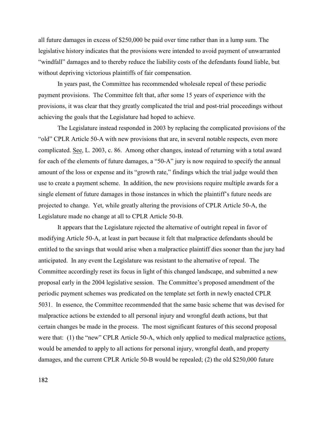all future damages in excess of \$250,000 be paid over time rather than in a lump sum. The legislative history indicates that the provisions were intended to avoid payment of unwarranted "windfall" damages and to thereby reduce the liability costs of the defendants found liable, but without depriving victorious plaintiffs of fair compensation.

In years past, the Committee has recommended wholesale repeal of these periodic payment provisions. The Committee felt that, after some 15 years of experience with the provisions, it was clear that they greatly complicated the trial and post-trial proceedings without achieving the goals that the Legislature had hoped to achieve.

The Legislature instead responded in 2003 by replacing the complicated provisions of the "old" CPLR Article 50-A with new provisions that are, in several notable respects, even more complicated. See, L. 2003, c. 86. Among other changes, instead of returning with a total award for each of the elements of future damages, a "50-A" jury is now required to specify the annual amount of the loss or expense and its "growth rate," findings which the trial judge would then use to create a payment scheme. In addition, the new provisions require multiple awards for a single element of future damages in those instances in which the plaintiff's future needs are projected to change. Yet, while greatly altering the provisions of CPLR Article 50-A, the Legislature made no change at all to CPLR Article 50-B.

It appears that the Legislature rejected the alternative of outright repeal in favor of modifying Article 50-A, at least in part because it felt that malpractice defendants should be entitled to the savings that would arise when a malpractice plaintiff dies sooner than the jury had anticipated. In any event the Legislature was resistant to the alternative of repeal. The Committee accordingly reset its focus in light of this changed landscape, and submitted a new proposal early in the 2004 legislative session. The Committee's proposed amendment of the periodic payment schemes was predicated on the template set forth in newly enacted CPLR 5031. In essence, the Committee recommended that the same basic scheme that was devised for malpractice actions be extended to all personal injury and wrongful death actions, but that certain changes be made in the process. The most significant features of this second proposal were that: (1) the "new" CPLR Article 50-A, which only applied to medical malpractice actions, would be amended to apply to all actions for personal injury, wrongful death, and property damages, and the current CPLR Article 50-B would be repealed; (2) the old \$250,000 future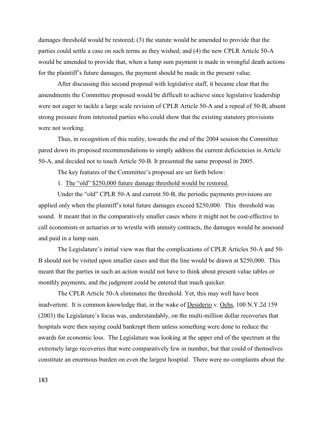damages threshold would be restored; (3) the statute would be amended to provide that the parties could settle a case on such terms as they wished; and (4) the new CPLR Article 50-A would be amended to provide that, when a lump sum payment is made in wrongful death actions for the plaintiff's future damages, the payment should be made in the present value.

After discussing this second proposal with legislative staff, it became clear that the amendments the Committee proposed would be difficult to achieve since legislative leadership were not eager to tackle a large scale revision of CPLR Article 50-A and a repeal of 50-B, absent strong pressure from interested parties who could show that the existing statutory provisions were not working.

Thus, in recognition of this reality, towards the end of the 2004 session the Committee pared down its proposed recommendations to simply address the current deficiencies in Article 50-A, and decided not to touch Article 50-B. It presented the same proposal in 2005.

The key features of the Committee's proposal are set forth below:

1. The "old" \$250,000 future damage threshold would be restored.

Under the "old" CPLR 50-A and current 50-B, the periodic payments provisions are applied only when the plaintiff's total future damages exceed \$250,000. This threshold was sound. It meant that in the comparatively smaller cases where it might not be cost-effective to call economists or actuaries or to wrestle with annuity contracts, the damages would be assessed and paid in a lump sum.

The Legislature's initial view was that the complications of CPLR Articles 50-A and 50- B should not be visited upon smaller cases and that the line would be drawn at \$250,000. This meant that the parties in such an action would not have to think about present value tables or monthly payments, and the judgment could be entered that much quicker.

The CPLR Article 50-A eliminates the threshold. Yet, this may well have been inadvertent. It is common knowledge that, in the wake of Desiderio v. Ochs, 100 N.Y.2d 159 (2003) the Legislature's focus was, understandably, on the multi-million dollar recoveries that hospitals were then saying could bankrupt them unless something were done to reduce the awards for economic loss. The Legislature was looking at the upper end of the spectrum at the extremely large recoveries that were comparatively few in number, but that could of themselves constitute an enormous burden on even the largest hospital. There were no complaints about the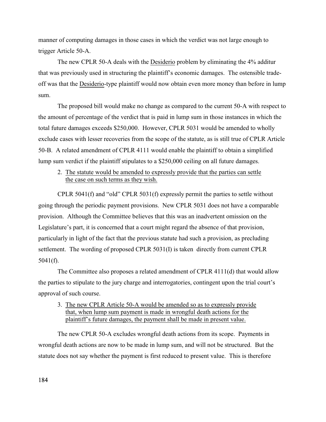manner of computing damages in those cases in which the verdict was not large enough to trigger Article 50-A.

The new CPLR 50-A deals with the Desiderio problem by eliminating the 4% additur that was previously used in structuring the plaintiff's economic damages. The ostensible tradeoff was that the Desiderio-type plaintiff would now obtain even more money than before in lump sum.

The proposed bill would make no change as compared to the current 50-A with respect to the amount of percentage of the verdict that is paid in lump sum in those instances in which the total future damages exceeds \$250,000. However, CPLR 5031 would be amended to wholly exclude cases with lesser recoveries from the scope of the statute, as is still true of CPLR Article 50-B. A related amendment of CPLR 4111 would enable the plaintiff to obtain a simplified lump sum verdict if the plaintiff stipulates to a \$250,000 ceiling on all future damages.

2. The statute would be amended to expressly provide that the parties can settle the case on such terms as they wish.

CPLR 5041(f) and "old" CPLR 5031(f) expressly permit the parties to settle without going through the periodic payment provisions. New CPLR 5031 does not have a comparable provision. Although the Committee believes that this was an inadvertent omission on the Legislature's part, it is concerned that a court might regard the absence of that provision, particularly in light of the fact that the previous statute had such a provision, as precluding settlement. The wording of proposed CPLR 5031(I) is taken directly from current CPLR 5041(f).

The Committee also proposes a related amendment of CPLR 4111(d) that would allow the parties to stipulate to the jury charge and interrogatories, contingent upon the trial court's approval of such course.

3. The new CPLR Article 50-A would be amended so as to expressly provide that, when lump sum payment is made in wrongful death actions for the plaintiff's future damages, the payment shall be made in present value.

The new CPLR 50-A excludes wrongful death actions from its scope. Payments in wrongful death actions are now to be made in lump sum, and will not be structured. But the statute does not say whether the payment is first reduced to present value. This is therefore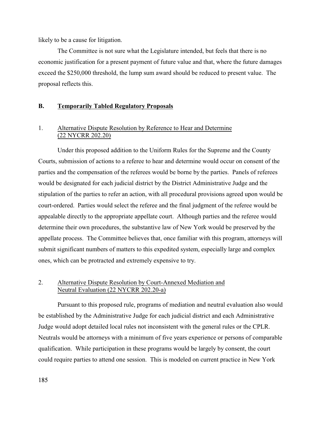likely to be a cause for litigation.

The Committee is not sure what the Legislature intended, but feels that there is no economic justification for a present payment of future value and that, where the future damages exceed the \$250,000 threshold, the lump sum award should be reduced to present value. The proposal reflects this.

#### **B. Temporarily Tabled Regulatory Proposals**

#### 1. Alternative Dispute Resolution by Reference to Hear and Determine (22 NYCRR 202.20)

Under this proposed addition to the Uniform Rules for the Supreme and the County Courts, submission of actions to a referee to hear and determine would occur on consent of the parties and the compensation of the referees would be borne by the parties. Panels of referees would be designated for each judicial district by the District Administrative Judge and the stipulation of the parties to refer an action, with all procedural provisions agreed upon would be court-ordered. Parties would select the referee and the final judgment of the referee would be appealable directly to the appropriate appellate court. Although parties and the referee would determine their own procedures, the substantive law of New York would be preserved by the appellate process. The Committee believes that, once familiar with this program, attorneys will submit significant numbers of matters to this expedited system, especially large and complex ones, which can be protracted and extremely expensive to try.

### 2. Alternative Dispute Resolution by Court-Annexed Mediation and Neutral Evaluation (22 NYCRR 202.20-a)

Pursuant to this proposed rule, programs of mediation and neutral evaluation also would be established by the Administrative Judge for each judicial district and each Administrative Judge would adopt detailed local rules not inconsistent with the general rules or the CPLR. Neutrals would be attorneys with a minimum of five years experience or persons of comparable qualification. While participation in these programs would be largely by consent, the court could require parties to attend one session. This is modeled on current practice in New York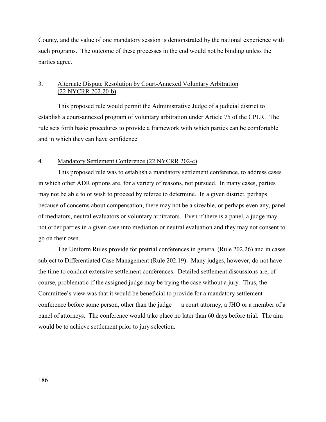County, and the value of one mandatory session is demonstrated by the national experience with such programs. The outcome of these processes in the end would not be binding unless the parties agree.

### 3. Alternate Dispute Resolution by Court-Annexed Voluntary Arbitration (22 NYCRR 202.20-b)

This proposed rule would permit the Administrative Judge of a judicial district to establish a court-annexed program of voluntary arbitration under Article 75 of the CPLR. The rule sets forth basic procedures to provide a framework with which parties can be comfortable and in which they can have confidence.

#### 4. Mandatory Settlement Conference (22 NYCRR 202-c)

This proposed rule was to establish a mandatory settlement conference, to address cases in which other ADR options are, for a variety of reasons, not pursued. In many cases, parties may not be able to or wish to proceed by referee to determine. In a given district, perhaps because of concerns about compensation, there may not be a sizeable, or perhaps even any, panel of mediators, neutral evaluators or voluntary arbitrators. Even if there is a panel, a judge may not order parties in a given case into mediation or neutral evaluation and they may not consent to go on their own.

The Uniform Rules provide for pretrial conferences in general (Rule 202.26) and in cases subject to Differentiated Case Management (Rule 202.19). Many judges, however, do not have the time to conduct extensive settlement conferences. Detailed settlement discussions are, of course, problematic if the assigned judge may be trying the case without a jury. Thus, the Committee's view was that it would be beneficial to provide for a mandatory settlement conference before some person, other than the judge — a court attorney, a JHO or a member of a panel of attorneys. The conference would take place no later than 60 days before trial. The aim would be to achieve settlement prior to jury selection.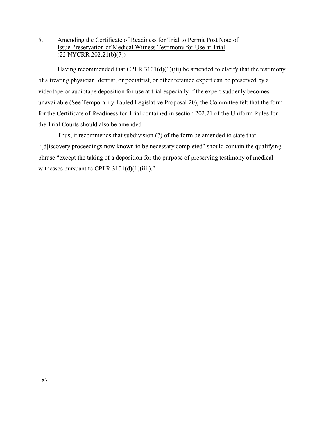### 5. Amending the Certificate of Readiness for Trial to Permit Post Note of Issue Preservation of Medical Witness Testimony for Use at Trial  $(22 NYCRR 202.21(b)(7))$

Having recommended that CPLR  $3101(d)(1)(iii)$  be amended to clarify that the testimony of a treating physician, dentist, or podiatrist, or other retained expert can be preserved by a videotape or audiotape deposition for use at trial especially if the expert suddenly becomes unavailable (See Temporarily Tabled Legislative Proposal 20), the Committee felt that the form for the Certificate of Readiness for Trial contained in section 202.21 of the Uniform Rules for the Trial Courts should also be amended.

Thus, it recommends that subdivision (7) of the form be amended to state that "[d]iscovery proceedings now known to be necessary completed" should contain the qualifying phrase "except the taking of a deposition for the purpose of preserving testimony of medical witnesses pursuant to CPLR  $3101(d)(1)(iii)$ ."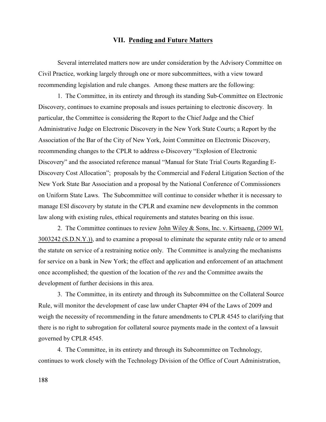#### **VII. Pending and Future Matters**

Several interrelated matters now are under consideration by the Advisory Committee on Civil Practice, working largely through one or more subcommittees, with a view toward recommending legislation and rule changes. Among these matters are the following:

1. The Committee, in its entirety and through its standing Sub-Committee on Electronic Discovery, continues to examine proposals and issues pertaining to electronic discovery. In particular, the Committee is considering the Report to the Chief Judge and the Chief Administrative Judge on Electronic Discovery in the New York State Courts; a Report by the Association of the Bar of the City of New York, Joint Committee on Electronic Discovery, recommending changes to the CPLR to address e-Discovery "Explosion of Electronic Discovery" and the associated reference manual "Manual for State Trial Courts Regarding E-Discovery Cost Allocation"; proposals by the Commercial and Federal Litigation Section of the New York State Bar Association and a proposal by the National Conference of Commissioners on Uniform State Laws. The Subcommittee will continue to consider whether it is necessary to manage ESI discovery by statute in the CPLR and examine new developments in the common law along with existing rules, ethical requirements and statutes bearing on this issue.

2. The Committee continues to review John Wiley & Sons, Inc. v. Kirtsaeng, (2009 WL 3003242 (S.D.N.Y.)), and to examine a proposal to eliminate the separate entity rule or to amend the statute on service of a restraining notice only. The Committee is analyzing the mechanisms for service on a bank in New York; the effect and application and enforcement of an attachment once accomplished; the question of the location of the *res* and the Committee awaits the development of further decisions in this area.

3. The Committee, in its entirety and through its Subcommittee on the Collateral Source Rule, will monitor the development of case law under Chapter 494 of the Laws of 2009 and weigh the necessity of recommending in the future amendments to CPLR 4545 to clarifying that there is no right to subrogation for collateral source payments made in the context of a lawsuit governed by CPLR 4545.

4. The Committee, in its entirety and through its Subcommittee on Technology, continues to work closely with the Technology Division of the Office of Court Administration,

188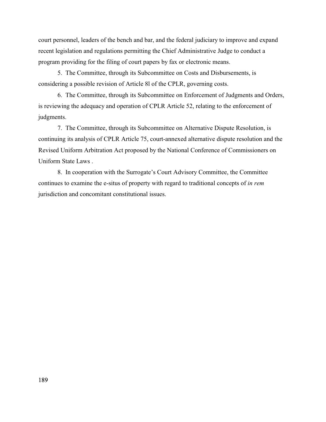court personnel, leaders of the bench and bar, and the federal judiciary to improve and expand recent legislation and regulations permitting the Chief Administrative Judge to conduct a program providing for the filing of court papers by fax or electronic means.

5. The Committee, through its Subcommittee on Costs and Disbursements, is considering a possible revision of Article 8l of the CPLR, governing costs.

6. The Committee, through its Subcommittee on Enforcement of Judgments and Orders, is reviewing the adequacy and operation of CPLR Article 52, relating to the enforcement of judgments.

7. The Committee, through its Subcommittee on Alternative Dispute Resolution, is continuing its analysis of CPLR Article 75, court-annexed alternative dispute resolution and the Revised Uniform Arbitration Act proposed by the National Conference of Commissioners on Uniform State Laws .

8. In cooperation with the Surrogate's Court Advisory Committee, the Committee continues to examine the e-situs of property with regard to traditional concepts of *in rem* jurisdiction and concomitant constitutional issues.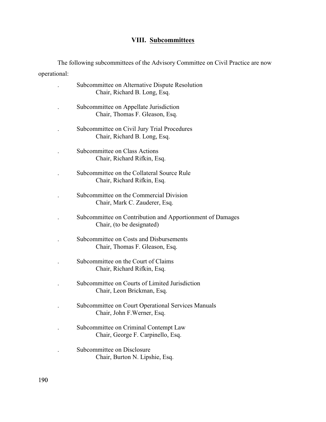#### **VIII. Subcommittees**

The following subcommittees of the Advisory Committee on Civil Practice are now operational:

- . Subcommittee on Alternative Dispute Resolution Chair, Richard B. Long, Esq.
- . Subcommittee on Appellate Jurisdiction Chair, Thomas F. Gleason, Esq.
- . Subcommittee on Civil Jury Trial Procedures Chair, Richard B. Long, Esq.
- . Subcommittee on Class Actions Chair, Richard Rifkin, Esq.
- . Subcommittee on the Collateral Source Rule Chair, Richard Rifkin, Esq.
- . Subcommittee on the Commercial Division Chair, Mark C. Zauderer, Esq.
- . Subcommittee on Contribution and Apportionment of Damages Chair, (to be designated)
- . Subcommittee on Costs and Disbursements Chair, Thomas F. Gleason, Esq.
- . Subcommittee on the Court of Claims Chair, Richard Rifkin, Esq.
- . Subcommittee on Courts of Limited Jurisdiction Chair, Leon Brickman, Esq.
- . Subcommittee on Court Operational Services Manuals Chair, John F.Werner, Esq.
- . Subcommittee on Criminal Contempt Law Chair, George F. Carpinello, Esq.
- . Subcommittee on Disclosure Chair, Burton N. Lipshie, Esq.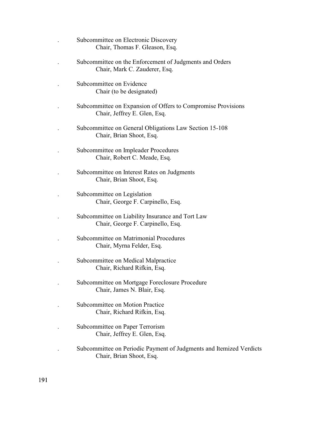. Subcommittee on Electronic Discovery Chair, Thomas F. Gleason, Esq. . Subcommittee on the Enforcement of Judgments and Orders Chair, Mark C. Zauderer, Esq. . Subcommittee on Evidence Chair (to be designated) . Subcommittee on Expansion of Offers to Compromise Provisions Chair, Jeffrey E. Glen, Esq. . Subcommittee on General Obligations Law Section 15-108 Chair, Brian Shoot, Esq. . Subcommittee on Impleader Procedures Chair, Robert C. Meade, Esq. . Subcommittee on Interest Rates on Judgments Chair, Brian Shoot, Esq. . Subcommittee on Legislation Chair, George F. Carpinello, Esq. . Subcommittee on Liability Insurance and Tort Law Chair, George F. Carpinello, Esq. . Subcommittee on Matrimonial Procedures Chair, Myrna Felder, Esq. . Subcommittee on Medical Malpractice Chair, Richard Rifkin, Esq. . Subcommittee on Mortgage Foreclosure Procedure Chair, James N. Blair, Esq. . Subcommittee on Motion Practice Chair, Richard Rifkin, Esq. . Subcommittee on Paper Terrorism Chair, Jeffrey E. Glen, Esq. . Subcommittee on Periodic Payment of Judgments and Itemized Verdicts Chair, Brian Shoot, Esq.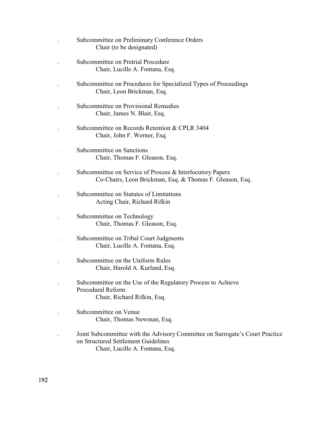- . Subcommittee on Preliminary Conference Orders Chair (to be designated) . Subcommittee on Pretrial Procedure Chair, Lucille A. Fontana, Esq. . Subcommittee on Procedures for Specialized Types of Proceedings Chair, Leon Brickman, Esq. . Subcommittee on Provisional Remedies Chair, James N. Blair, Esq. . Subcommittee on Records Retention & CPLR 3404 Chair, John F. Werner, Esq. . Subcommittee on Sanctions Chair, Thomas F. Gleason, Esq. . Subcommittee on Service of Process & Interlocutory Papers Co-Chairs, Leon Brickman, Esq. & Thomas F. Gleason, Esq. . Subcommittee on Statutes of Limitations Acting Chair, Richard Rifkin . Subcommittee on Technology Chair, Thomas F. Gleason, Esq. . Subcommittee on Tribal Court Judgments Chair, Lucille A. Fontana, Esq.
	- . Subcommittee on the Uniform Rules Chair, Harold A. Kurland, Esq.
- . Subcommittee on the Use of the Regulatory Process to Achieve Procedural Reform Chair, Richard Rifkin, Esq.
- . Subcommittee on Venue Chair, Thomas Newman, Esq.
- . Joint Subcommittee with the Advisory Committee on Surrogate's Court Practice on Structured Settlement Guidelines Chair, Lucille A. Fontana, Esq.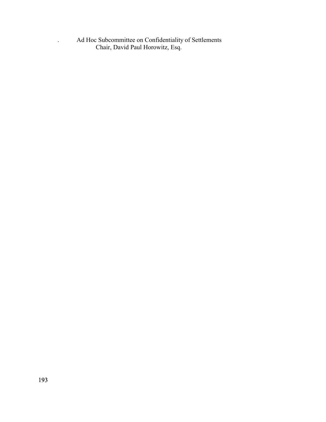. Ad Hoc Subcommittee on Confidentiality of Settlements Chair, David Paul Horowitz, Esq.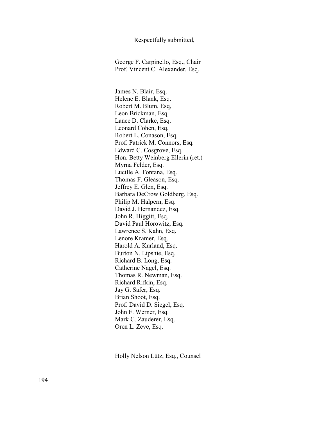Respectfully submitted,

Geor ge F. Carpinello, Esq., Chair Prof. Vincent C. Alexander, Esq.

James N. Blair, Esq. Helene E. Blank, Esq. Robert M. Blum, Esq, Leon Brickman, Esq. Lance D. Clarke, Esq. Leonard Cohen, Esq. Robert L. Conason, Esq. Prof. Patrick M. Connors, Esq. Edward C. Cosgrove, Esq. Hon. Betty Weinberg Ellerin (ret.) Myrna Felder, Esq. Lucille A. Fontana, Esq. Thomas F. Gleason, Esq. Jeffrey E. Glen, Esq. Barbara DeCrow Goldber g, Esq. Philip M. Halpern, Esq. David J. Hernandez, Esq. John R. Higgitt, Esq. David Paul Horowitz, Esq. Lawrence S. Kahn, Esq. Lenore Kramer, Esq. Harold A. Kurland, Esq. Burton N. Lipshie, Esq. Richard B. Long, Esq. Catherine Nagel, Esq. Thomas R. Newman, Esq. Richard Rifkin, Esq. Jay G. Safer, Esq. Brian Shoot, Esq. Prof. David D. Siegel, Esq. John F. Werner, Esq. Mark C. Zauderer, Esq. Oren L. Zeve, Esq.

Holly Nelson Lütz, Esq., Counsel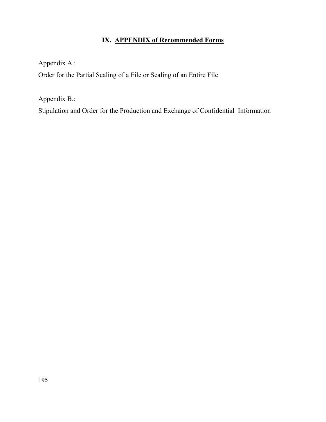# **IX. APPENDIX of Recommended Forms**

Appendix A.: Order for the Partial Sealing of a File or Sealing of an Entire File

Appendix B.:

Stipulation and Order for the Production and Exchange of Confidential Information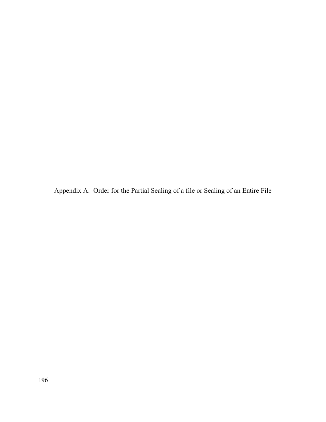Appendix A. Order for the Partial Sealing of a file or Sealing of an Entire File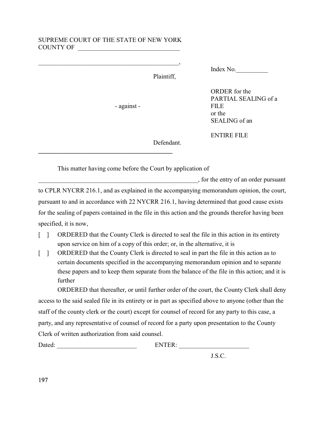## SUPREME COURT OF THE STATE OF NEW YORK COUNTY OF

\_\_\_\_\_\_\_\_\_\_\_\_\_\_\_\_\_\_\_\_\_\_\_\_\_\_\_\_\_\_\_\_\_\_\_\_\_\_\_\_\_\_\_\_,

**\_\_\_\_\_\_\_\_\_\_\_\_\_\_\_\_\_\_\_\_\_\_\_\_\_\_\_\_\_\_\_\_\_\_\_\_\_\_\_\_\_\_**

Plaintiff,

Index No.\_\_\_\_\_\_\_\_\_\_

- against - FILE

ORDER for the PARTIAL SEALING of a or the SEALING of an

ENTIRE FILE

Defendant.

This matter having come before the Court by application of

\_\_\_\_\_\_\_\_\_\_\_\_\_\_\_\_\_\_\_\_\_\_\_\_\_\_\_\_\_\_\_\_\_\_\_\_\_\_\_\_\_\_\_\_\_\_\_\_\_\_, for the entry of an order pursuant to CPLR NYCRR 216.1, and as explained in the accompanying memorandum opinion, the court, pursuant to and in accordance with 22 NYCRR 216.1, having determined that good cause exists for the sealing of papers contained in the file in this action and the grounds therefor having been specified, it is now,

- [ ] ORDERED that the County Clerk is directed to seal the file in this action in its entirety upon service on him of a copy of this order; or, in the alternative, it is
- [ ] ORDERED that the County Clerk is directed to seal in part the file in this action as to certain documents specified in the accompanying memorandum opinion and to separate these papers and to keep them separate from the balance of the file in this action; and it is further

ORDERED that thereafter, or until further order of the court, the County Clerk shall deny access to the said sealed file in its entirety or in part as specified above to anyone (other than the staff of the county clerk or the court) except for counsel of record for any party to this case, a party, and any representative of counsel of record for a party upon presentation to the County Clerk of written authorization from said counsel.

Dated: \_\_\_\_\_\_\_\_\_\_\_\_\_\_\_\_\_\_\_\_\_\_\_\_\_ ENTER: \_\_\_\_\_\_\_\_\_\_\_\_\_\_\_\_\_\_\_\_\_\_

J.S.C.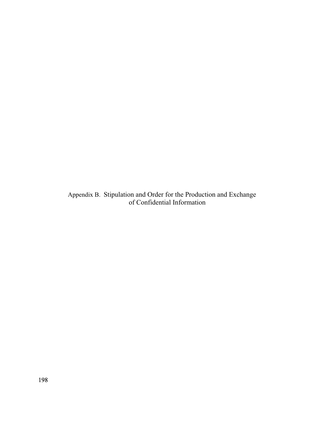Appendix B. Stipulation and Order for the Production and Exchange of Confidential Information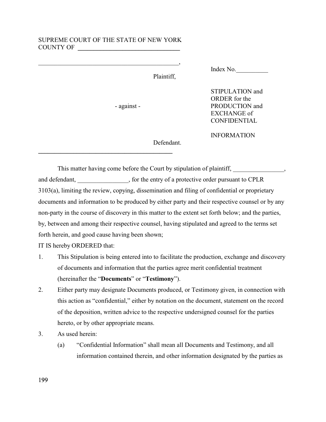# SUPREME COURT OF THE STATE OF NEW YORK COUNTY OF **\_\_\_\_\_\_\_\_\_\_\_\_\_\_\_\_\_\_\_\_\_\_\_\_\_\_\_\_\_\_\_\_**

\_\_\_\_\_\_\_\_\_\_\_\_\_\_\_\_\_\_\_\_\_\_\_\_\_\_\_\_\_\_\_\_\_\_\_\_\_\_\_\_\_\_\_\_,

**\_\_\_\_\_\_\_\_\_\_\_\_\_\_\_\_\_\_\_\_\_\_\_\_\_\_\_\_\_\_\_\_\_\_\_\_\_\_\_\_\_\_**

Plaintiff,

Index No.\_\_\_\_\_\_\_\_\_\_

STIPULATION and ORDER for the - against - PRODUCTION and EXCHANGE of **CONFIDENTIAL** 

INFORMATION

Defendant.

This matter having come before the Court by stipulation of plaintiff, \_\_\_\_\_\_\_\_\_\_\_\_, and defendant, extending the entry of a protective order pursuant to CPLR 3103(a), limiting the review, copying, dissemination and filing of confidential or proprietary documents and information to be produced by either party and their respective counsel or by any non-party in the course of discovery in this matter to the extent set forth below; and the parties, by, between and among their respective counsel, having stipulated and agreed to the terms set forth herein, and good cause having been shown;

IT IS hereby ORDERED that:

- 1. This Stipulation is being entered into to facilitate the production, exchange and discovery of documents and information that the parties agree merit confidential treatment (hereinafter the "**Documents**" or "**Testimony**").
- 2. Either party may designate Documents produced, or Testimony given, in connection with this action as "confidential," either by notation on the document, statement on the record of the deposition, written advice to the respective undersigned counsel for the parties hereto, or by other appropriate means.
- 3. As used herein:
	- (a) "Confidential Information" shall mean all Documents and Testimony, and all information contained therein, and other information designated by the parties as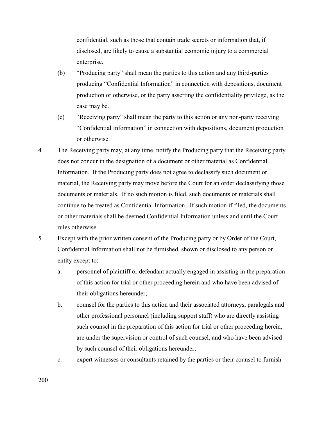confidential, such as those that contain trade secrets or information that, if disclosed, are likely to cause a substantial economic injury to a commercial enterprise.

- (b) "Producing party" shall mean the parties to this action and any third-parties producing "Confidential Information" in connection with depositions, document production or otherwise, or the party asserting the confidentiality privilege, as the case may be.
- (c) "Receiving party" shall mean the party to this action or any non-party receiving "Confidential Information" in connection with depositions, document production or otherwise.
- 4. The Receiving party may, at any time, notify the Producing party that the Receiving party does not concur in the designation of a document or other material as Confidential Information. If the Producing party does not agree to declassify such document or material, the Receiving party may move before the Court for an order declassifying those documents or materials. If no such motion is filed, such documents or materials shall continue to be treated as Confidential Information. If such motion if filed, the documents or other materials shall be deemed Confidential Information unless and until the Court rules otherwise.
- 5. Except with the prior written consent of the Producing party or by Order of the Court, Confidential Information shall not be furnished, shown or disclosed to any person or entity except to:
	- a. personnel of plaintiff or defendant actually engaged in assisting in the preparation of this action for trial or other proceeding herein and who have been advised of their obligations hereunder;
	- b. counsel for the parties to this action and their associated attorneys, paralegals and other professional personnel (including support staff) who are directly assisting such counsel in the preparation of this action for trial or other proceeding herein, are under the supervision or control of such counsel, and who have been advised by such counsel of their obligations hereunder;
	- c. expert witnesses or consultants retained by the parties or their counsel to furnish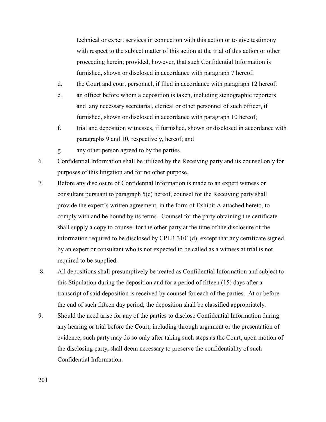technical or expert services in connection with this action or to give testimony with respect to the subject matter of this action at the trial of this action or other proceeding herein; provided, however, that such Confidential Information is furnished, shown or disclosed in accordance with paragraph 7 hereof;

- d. the Court and court personnel, if filed in accordance with paragraph 12 hereof;
- e. an officer before whom a deposition is taken, including stenographic reporters and any necessary secretarial, clerical or other personnel of such officer, if furnished, shown or disclosed in accordance with paragraph 10 hereof;
- f. trial and deposition witnesses, if furnished, shown or disclosed in accordance with paragraphs 9 and 10, respectively, hereof; and
- g. any other person agreed to by the parties.
- 6. Confidential Information shall be utilized by the Receiving party and its counsel only for purposes of this litigation and for no other purpose.
- 7. Before any disclosure of Confidential Information is made to an expert witness or consultant pursuant to paragraph 5(c) hereof, counsel for the Receiving party shall provide the expert's written agreement, in the form of Exhibit A attached hereto, to comply with and be bound by its terms. Counsel for the party obtaining the certificate shall supply a copy to counsel for the other party at the time of the disclosure of the information required to be disclosed by CPLR 3101(d), except that any certificate signed by an expert or consultant who is not expected to be called as a witness at trial is not required to be supplied.
- 8. All depositions shall presumptively be treated as Confidential Information and subject to this Stipulation during the deposition and for a period of fifteen (15) days after a transcript of said deposition is received by counsel for each of the parties. At or before the end of such fifteen day period, the deposition shall be classified appropriately.
- 9. Should the need arise for any of the parties to disclose Confidential Information during any hearing or trial before the Court, including through argument or the presentation of evidence, such party may do so only after taking such steps as the Court, upon motion of the disclosing party, shall deem necessary to preserve the confidentiality of such Confidential Information.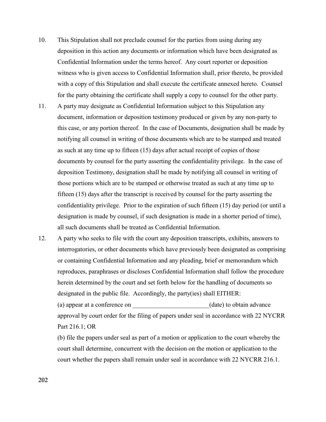- 10. This Stipulation shall not preclude counsel for the parties from using during any deposition in this action any documents or information which have been designated as Confidential Information under the terms hereof. Any court reporter or deposition witness who is given access to Confidential Information shall, prior thereto, be provided with a copy of this Stipulation and shall execute the certificate annexed hereto. Counsel for the party obtaining the certificate shall supply a copy to counsel for the other party.
- 11. A party may designate as Confidential Information subject to this Stipulation any document, information or deposition testimony produced or given by any non-party to this case, or any portion thereof. In the case of Documents, designation shall be made by notifying all counsel in writing of those documents which are to be stamped and treated as such at any time up to fifteen (15) days after actual receipt of copies of those documents by counsel for the party asserting the confidentiality privilege. In the case of deposition Testimony, designation shall be made by notifying all counsel in writing of those portions which are to be stamped or otherwise treated as such at any time up to fifteen (15) days after the transcript is received by counsel for the party asserting the confidentiality privilege. Prior to the expiration of such fifteen (15) day period (or until a designation is made by counsel, if such designation is made in a shorter period of time), all such documents shall be treated as Confidential Information.
- 12. A party who seeks to file with the court any deposition transcripts, exhibits, answers to interrogatories, or other documents which have previously been designated as comprising or containing Confidential Information and any pleading, brief or memorandum which reproduces, paraphrases or discloses Confidential Information shall follow the procedure herein determined by the court and set forth below for the handling of documents so designated in the public file. Accordingly, the party(ies) shall EITHER: (a) appear at a conference on  $(date)$  to obtain advance approval by court order for the filing of papers under seal in accordance with 22 NYCRR Part 216.1; OR

(b) file the papers under seal as part of a motion or application to the court whereby the court shall determine, concurrent with the decision on the motion or application to the court whether the papers shall remain under seal in accordance with 22 NYCRR 216.1.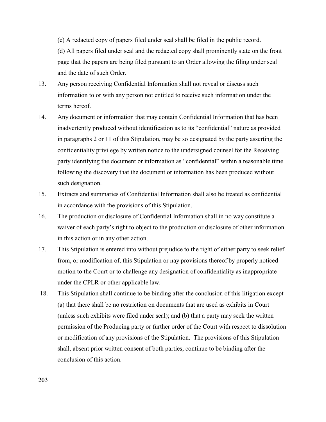(c) A redacted copy of papers filed under seal shall be filed in the public record. (d) All papers filed under seal and the redacted copy shall prominently state on the front page that the papers are being filed pursuant to an Order allowing the filing under seal and the date of such Order.

- 13. Any person receiving Confidential Information shall not reveal or discuss such information to or with any person not entitled to receive such information under the terms hereof.
- 14. Any document or information that may contain Confidential Information that has been inadvertently produced without identification as to its "confidential" nature as provided in paragraphs 2 or 11 of this Stipulation, may be so designated by the party asserting the confidentiality privilege by written notice to the undersigned counsel for the Receiving party identifying the document or information as "confidential" within a reasonable time following the discovery that the document or information has been produced without such designation.
- 15. Extracts and summaries of Confidential Information shall also be treated as confidential in accordance with the provisions of this Stipulation.
- 16. The production or disclosure of Confidential Information shall in no way constitute a waiver of each party's right to object to the production or disclosure of other information in this action or in any other action.
- 17. This Stipulation is entered into without prejudice to the right of either party to seek relief from, or modification of, this Stipulation or nay provisions thereof by properly noticed motion to the Court or to challenge any designation of confidentiality as inappropriate under the CPLR or other applicable law.
- 18. This Stipulation shall continue to be binding after the conclusion of this litigation except (a) that there shall be no restriction on documents that are used as exhibits in Court (unless such exhibits were filed under seal); and (b) that a party may seek the written permission of the Producing party or further order of the Court with respect to dissolution or modification of any provisions of the Stipulation. The provisions of this Stipulation shall, absent prior written consent of both parties, continue to be binding after the conclusion of this action.